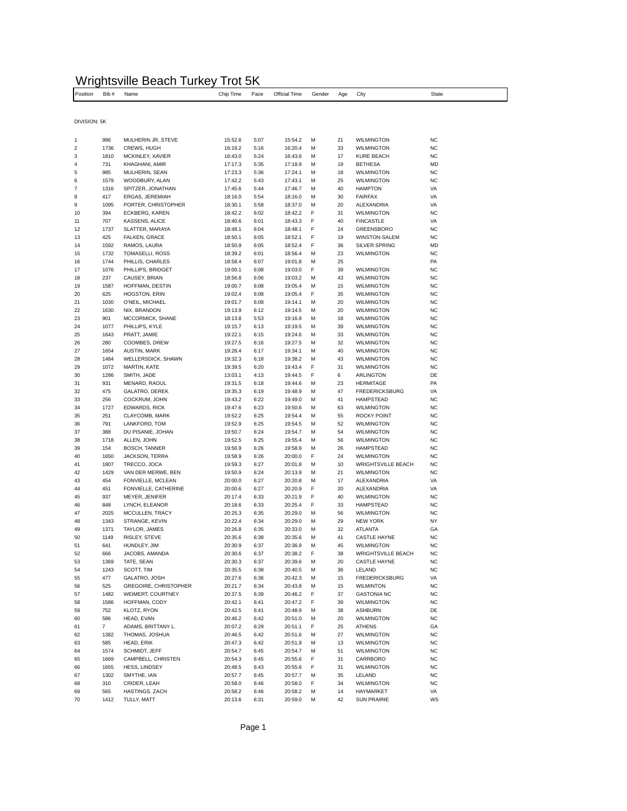## Wrightsville Beach Turkey Trot 5K

| Position       | Bib#           | Name                                   | Chip Time          | Pace         | Official Time      | Gender | Age      | City                                             | <b>State</b>           |
|----------------|----------------|----------------------------------------|--------------------|--------------|--------------------|--------|----------|--------------------------------------------------|------------------------|
|                |                |                                        |                    |              |                    |        |          |                                                  |                        |
| DIVISION: 5K   |                |                                        |                    |              |                    |        |          |                                                  |                        |
|                |                |                                        |                    |              |                    |        |          |                                                  |                        |
| 1              | 986            | MULHERIN JR, STEVE                     | 15:52.6            | 5:07         | 15:54.2            | М      | 21       | <b>WILMINGTON</b>                                | <b>NC</b>              |
| 2              | 1736           | CREWS, HUGH                            | 16:19.2            | 5:16         | 16:20.4            | м      | 33       | <b>WILMINGTON</b>                                | <b>NC</b>              |
| 3<br>4         | 1810<br>731    | MCKINLEY, XAVIER<br>KHAGHANI, AMIR     | 16:43.0<br>17:17.3 | 5:24<br>5:35 | 16:43.6<br>17:18.9 | м<br>м | 17<br>19 | <b>KURE BEACH</b><br><b>BETHESA</b>              | <b>NC</b><br>MD        |
| 5              | 985            | MULHERIN, SEAN                         | 17:23.3            | 5:36         | 17:24.1            | М      | 18       | <b>WILMINGTON</b>                                | NC                     |
| 6              | 1579           | WOODBURY, ALAN                         | 17:42.2            | 5:43         | 17:43.1            | М      | 25       | <b>WILMINGTON</b>                                | <b>NC</b>              |
| $\overline{7}$ | 1316           | SPITZER, JONATHAN                      | 17:45.6            | 5:44         | 17:46.7            | М      | 40       | <b>HAMPTON</b>                                   | VA                     |
| 8              | 417            | ERGAS, JEREMIAH                        | 18:16.0            | 5:54         | 18:16.0            | М      | 30       | <b>FAIRFAX</b>                                   | VA                     |
| 9<br>10        | 1095<br>394    | PORTER, CHRISTOPHER<br>ECKBERG, KAREN  | 18:30.1<br>18:42.2 | 5:58<br>6:02 | 18:37.0<br>18:42.2 | М<br>F | 20<br>31 | ALEXANDRIA<br><b>WILMINGTON</b>                  | VA<br><b>NC</b>        |
| 11             | 707            | KASSENS, ALICE                         | 18:40.6            | 6:01         | 18:43.3            | F      | 40       | <b>FINCASTLE</b>                                 | VA                     |
| 12             | 1737           | SLATTER, MARAYA                        | 18:48.1            | 6:04         | 18:48.1            | F      | 24       | GREENSBORO                                       | <b>NC</b>              |
| 13             | 425            | FALKEN, GRACE                          | 18:50.1            | 6:05         | 18:52.1            | F      | 19       | <b>WINSTON-SALEM</b>                             | <b>NC</b>              |
| 14             | 1592           | RAMOS, LAURA                           | 18:50.9            | 6:05         | 18:52.4            | F      | 36       | SILVER SPRING                                    | MD                     |
| 15<br>16       | 1732<br>1744   | TOMASELLI, ROSS<br>PHILLIS, CHARLES    | 18:39.2<br>18:58.4 | 6:01<br>6:07 | 18:56.4<br>19:01.8 | м<br>м | 23<br>25 | <b>WILMINGTON</b>                                | <b>NC</b><br>PA        |
| 17             | 1076           | PHILLIPS, BRIDGET                      | 19:00.1            | 6:08         | 19:03.0            | F      | 39       | <b>WILMINGTON</b>                                | <b>NC</b>              |
| 18             | 237            | CAUSEY, BRIAN                          | 18:56.8            | 6:06         | 19:03.2            | м      | 43       | <b>WILMINGTON</b>                                | <b>NC</b>              |
| 19             | 1587           | HOFFMAN, DESTIN                        | 19:00.7            | 6:08         | 19:05.4            | М      | 15       | <b>WILMINGTON</b>                                | <b>NC</b>              |
| 20             | 625            | HOGSTON, ERIN                          | 19:02.4            | 6:08         | 19:05.4            | F      | 35       | <b>WILMINGTON</b>                                | <b>NC</b>              |
| 21<br>22       | 1030           | O'NEIL, MICHAEL                        | 19:01.7            | 6:08         | 19:14.1            | М      | 20       | <b>WILMINGTON</b>                                | <b>NC</b><br><b>NC</b> |
| 23             | 1630<br>901    | NIX, BRANDON<br>MCCORMICK, SHANE       | 19:13.9<br>18:13.8 | 6:12<br>5:53 | 19:14.5<br>19:16.9 | м<br>М | 20<br>18 | <b>WILMINGTON</b><br><b>WILMINGTON</b>           | NC                     |
| 24             | 1077           | PHILLIPS, KYLE                         | 19:15.7            | 6:13         | 19:19.5            | М      | 39       | <b>WILMINGTON</b>                                | <b>NC</b>              |
| 25             | 1643           | PRATT, JAMIE                           | 19:22.1            | 6:15         | 19:24.6            | М      | 33       | <b>WILMINGTON</b>                                | <b>NC</b>              |
| 26             | 280            | COOMBES, DREW                          | 19:27.5            | 6:16         | 19:27.5            | м      | 32       | <b>WILMINGTON</b>                                | <b>NC</b>              |
| 27             | 1654           | AUSTIN, MARK                           | 19:28.4            | 6:17         | 19:34.1            | М      | 40       | <b>WILMINGTON</b>                                | <b>NC</b>              |
| 28<br>29       | 1484<br>1072   | WELLERSDICK, SHAWN<br>MARTIN, KATE     | 19:32.3<br>19:39.5 | 6:18<br>6:20 | 19:38.2<br>19:43.4 | М<br>F | 43<br>31 | <b>WILMINGTON</b><br><b>WILMINGTON</b>           | <b>NC</b><br><b>NC</b> |
| 30             | 1286           | SMITH, JADE                            | 13:03.1            | 4:13         | 19:44.5            | F      | 6        | ARLINGTON                                        | DE                     |
| 31             | 931            | MENARD, RAOUL                          | 19:31.5            | 6:18         | 19:44.6            | М      | 23       | <b>HERMITAGE</b>                                 | PA                     |
| 32             | 475            | GALATRO, DEREK                         | 19:35.3            | 6:19         | 19:48.9            | М      | 47       | <b>FREDERICKSBURG</b>                            | VA                     |
| 33             | 256            | COCKRUM, JOHN                          | 19:43.2            | 6:22         | 19:49.0            | м      | 41       | <b>HAMPSTEAD</b>                                 | NC                     |
| 34<br>35       | 1727<br>251    | <b>EDWARDS, RICK</b><br>CLAYCOMB, MARK | 19:47.6<br>19:52.2 | 6:23<br>6:25 | 19:50.6<br>19:54.4 | М<br>М | 63<br>55 | <b>WILMINGTON</b><br><b>ROCKY POINT</b>          | <b>NC</b><br><b>NC</b> |
| 36             | 791            | LANKFORD, TOM                          | 19:52.9            | 6:25         | 19:54.5            | м      | 52       | <b>WILMINGTON</b>                                | <b>NC</b>              |
| 37             | 388            | DU PISANIE, JOHAN                      | 19:50.7            | 6:24         | 19:54.7            | М      | 54       | <b>WILMINGTON</b>                                | <b>NC</b>              |
| 38             | 1718           | ALLEN, JOHN                            | 19:52.5            | 6:25         | 19:55.4            | М      | 56       | <b>WILMINGTON</b>                                | <b>NC</b>              |
| 39             | 154            | <b>BOSCH, TANNER</b>                   | 19:56.9            | 6:26         | 19:58.9            | М      | 26       | <b>HAMPSTEAD</b>                                 | <b>NC</b>              |
| 40<br>41       | 1650<br>1807   | JACKSON, TERRA<br>TRECCO, JOCA         | 19:58.9<br>19:59.3 | 6:26<br>6:27 | 20:00.0<br>20:01.8 | F<br>М | 24<br>10 | <b>WILMINGTON</b><br><b>WRIGHTSVILLE BEACH</b>   | <b>NC</b><br><b>NC</b> |
| 42             | 1429           | VAN DER MERWE, BEN                     | 19:50.9            | 6:24         | 20:13.9            | М      | 21       | <b>WILMINGTON</b>                                | NC                     |
| 43             | 454            | FONVIELLE, MCLEAN                      | 20:00.0            | 6:27         | 20:20.8            | М      | 17       | ALEXANDRIA                                       | VA                     |
| 44             | 451            | FONVIELLE, CATHERINE                   | 20:00.6            | 6:27         | 20:20.9            | F      | 20       | ALEXANDRIA                                       | VA                     |
| 45             | 937            | MEYER, JENIFER                         | 20:17.4            | 6:33         | 20:21.9            | F      | 40       | <b>WILMINGTON</b>                                | <b>NC</b>              |
| 46<br>47       | 848<br>2025    | LYNCH, ELEANOR<br>MCCULLEN, TRACY      | 20:18.6<br>20:25.3 | 6:33<br>6:35 | 20:25.4<br>20:29.0 | F<br>м | 33<br>56 | <b>HAMPSTEAD</b><br><b>WILMINGTON</b>            | <b>NC</b><br><b>NC</b> |
| 48             | 1343           | STRANGE, KEVIN                         | 20:22.4            | 6:34         | 20:29.0            | М      | 29       | <b>NEW YORK</b>                                  | NY                     |
| 49             | 1371           | TAYLOR, JAMES                          | 20:26.8            | 6:35         | 20:33.0            | М      | 32       | ATLANTA                                          | GA                     |
| 50             | 1149           | RISLEY, STEVE                          | 20:35.6            | 6:38         | 20:35.6            | М      | 41       | <b>CASTLE HAYNE</b>                              | <b>NC</b>              |
| 51             | 641            | HUNDLEY, JIM                           | 20:30.9            | 6:37         | 20:36.9            | м      | 45       | <b>WILMINGTON</b>                                | NC                     |
| 52<br>53       | 666<br>1369    | JACOBS, AMANDA<br>TATE, SEAN           | 20:30.6<br>20:30.3 | 6:37<br>6:37 | 20:38.2<br>20:39.6 | F<br>М | 38<br>20 | <b>WRIGHTSVILLE BEACH</b><br><b>CASTLE HAYNE</b> | NC<br><b>NC</b>        |
| 54             | 1243           | SCOTT, TIM                             | 20:35.5            | 6:38         | 20:40.5            | М      | 36       | LELAND                                           | NC                     |
| 55             | 477            | GALATRO, JOSH                          | 20:27.6            | 6:36         | 20:42.3            | М      | 15       | <b>FREDERICKSBURG</b>                            | VA                     |
| 56             | 525            | GREGOIRE, CHRISTOPHER                  | 20:21.7            | 6:34         | 20:43.8            | М      | 15       | <b>WILMINTON</b>                                 | <b>NC</b>              |
| 57             | 1482           | WEIMERT, COURTNEY                      | 20:37.5            | 6:39         | 20:46.2            | F      | 37       | <b>GASTONIA NC</b>                               | <b>NC</b>              |
| 58<br>59       | 1586<br>752    | HOFFMAN, CODY<br>KLOTZ, RYON           | 20:42.1<br>20:42.5 | 6:41<br>6:41 | 20:47.2<br>20:48.9 | F<br>м | 39<br>38 | <b>WILMINGTON</b><br><b>ASHBURN</b>              | <b>NC</b><br>DE        |
| 60             | 586            | HEAD, EVAN                             | 20:46.2            | 6:42         | 20:51.0            | М      | 20       | <b>WILMINGTON</b>                                | <b>NC</b>              |
| 61             | $\overline{7}$ | ADAMS, BRITTANY L.                     | 20:07.2            | 6:29         | 20:51.1            | F      | 25       | <b>ATHENS</b>                                    | GA                     |
| 62             | 1382           | THOMAS, JOSHUA                         | 20:46.5            | 6:42         | 20:51.6            | М      | 27       | <b>WILMINGTON</b>                                | <b>NC</b>              |
| 63             | 585            | HEAD, ERIK                             | 20:47.3            | 6:42         | 20:51.9            | М      | 13       | <b>WILMINGTON</b>                                | <b>NC</b>              |
| 64             | 1574           | SCHMIDT, JEFF                          | 20:54.7            | 6:45         | 20:54.7            | М<br>F | 51       | <b>WILMINGTON</b>                                | <b>NC</b><br>NC        |
| 65<br>66       | 1669<br>1655   | CAMPBELL, CHRISTEN<br>HESS, LINDSEY    | 20:54.3<br>20:48.5 | 6:45<br>6:43 | 20:55.6<br>20:55.6 | F      | 31<br>31 | CARRBORO<br><b>WILMINGTON</b>                    | <b>NC</b>              |
| 67             | 1302           | SMYTHE, IAN                            | 20:57.7            | 6:45         | 20:57.7            | М      | 35       | LELAND                                           | <b>NC</b>              |
| 68             | 310            | CRIDER, LEAH                           | 20:58.0            | 6:46         | 20:58.0            | F      | 34       | <b>WILMINGTON</b>                                | NC                     |
| 69             | 565            | HASTINGS, ZACH                         | 20:58.2            | 6:46         | 20:58.2            | М      | 14       | HAYMARKET                                        | VA                     |
| 70             | 1412           | TULLY, MATT                            | 20:13.6            | 6:31         | 20:59.0            | М      | 42       | <b>SUN PRAIRIE</b>                               | WS                     |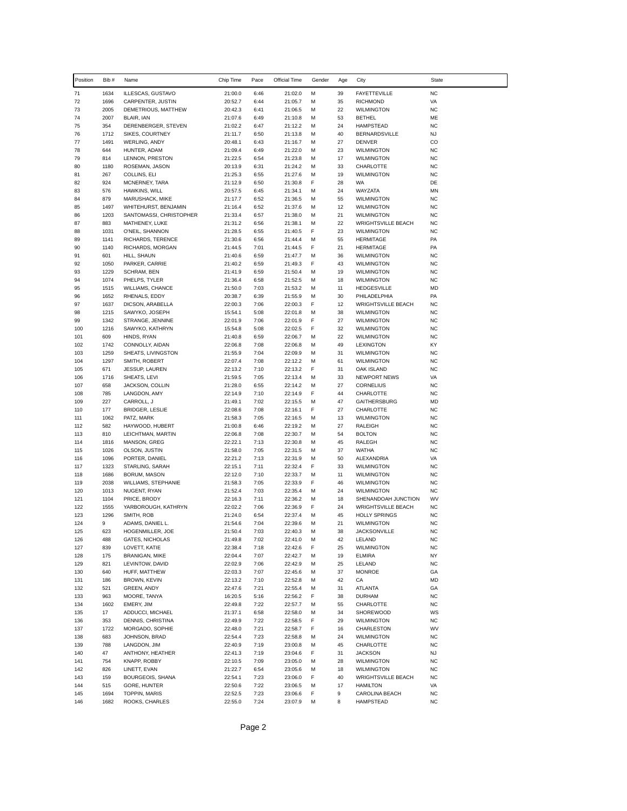| Position   | Bib#         | Name                                       | Chip Time          | Pace         | Official Time      | Gender | Age      | City                                           | State                   |
|------------|--------------|--------------------------------------------|--------------------|--------------|--------------------|--------|----------|------------------------------------------------|-------------------------|
| 71         | 1634         | ILLESCAS, GUSTAVO                          | 21:00.0            | 6:46         | 21:02.0            | М      | 39       | <b>FAYETTEVILLE</b>                            | <b>NC</b>               |
| 72         | 1696         | CARPENTER, JUSTIN                          | 20:52.7            | 6:44         | 21:05.7            | М      | 35       | <b>RICHMOND</b>                                | VA                      |
| 73<br>74   | 2005<br>2007 | DEMETRIOUS, MATTHEW                        | 20:42.3<br>21:07.6 | 6:41<br>6:49 | 21:06.5            | M<br>M | 22<br>53 | <b>WILMINGTON</b><br><b>BETHEL</b>             | <b>NC</b><br>ME         |
| 75         | 354          | BLAIR, IAN<br>DERENBERGER, STEVEN          | 21:02.2            | 6:47         | 21:10.8<br>21:12.2 | M      | 24       | <b>HAMPSTEAD</b>                               | <b>NC</b>               |
| 76         | 1712         | SIKES, COURTNEY                            | 21:11.7            | 6:50         | 21:13.8            | M      | 40       | <b>BERNARDSVILLE</b>                           | <b>NJ</b>               |
| 77         | 1491         | <b>WERLING, ANDY</b>                       | 20:48.1            | 6:43         | 21:16.7            | M      | 27       | <b>DENVER</b>                                  | CO                      |
| 78         | 644          | HUNTER, ADAM                               | 21:09.4            | 6:49         | 21:22.0            | M      | 23       | <b>WILMINGTON</b>                              | <b>NC</b>               |
| 79<br>80   | 814<br>1180  | LENNON, PRESTON<br>ROSEMAN, JASON          | 21:22.5<br>20:13.9 | 6:54<br>6:31 | 21:23.8<br>21:24.2 | M<br>M | 17<br>33 | <b>WILMINGTON</b><br>CHARLOTTE                 | <b>NC</b><br><b>NC</b>  |
| 81         | 267          | COLLINS, ELI                               | 21:25.3            | 6:55         | 21:27.6            | M      | 19       | <b>WILMINGTON</b>                              | <b>NC</b>               |
| 82         | 924          | MCNERNEY, TARA                             | 21:12.9            | 6:50         | 21:30.8            | F      | 28       | WA                                             | DE                      |
| 83         | 576          | HAWKINS, WILL                              | 20:57.5            | 6:45         | 21:34.1            | M      | 24       | WAYZATA                                        | MN                      |
| 84         | 879          | MARUSHACK, MIKE                            | 21:17.7            | 6:52         | 21:36.5            | M      | 55       | <b>WILMINGTON</b>                              | <b>NC</b>               |
| 85         | 1497         | WHITEHURST, BENJAMIN                       | 21:16.4            | 6:52         | 21:37.6            | М      | 12       | <b>WILMINGTON</b>                              | <b>NC</b>               |
| 86<br>87   | 1203<br>883  | SANTOMASSI, CHRISTOPHER<br>MATHENEY, LUKE  | 21:33.4<br>21:31.2 | 6:57<br>6:56 | 21:38.0<br>21:38.1 | M<br>M | 21<br>22 | <b>WILMINGTON</b><br><b>WRIGHTSVILLE BEACH</b> | <b>NC</b><br><b>NC</b>  |
| 88         | 1031         | O'NEIL, SHANNON                            | 21:28.5            | 6:55         | 21:40.5            | F      | 23       | <b>WILMINGTON</b>                              | <b>NC</b>               |
| 89         | 1141         | RICHARDS, TERENCE                          | 21:30.6            | 6:56         | 21:44.4            | M      | 55       | <b>HERMITAGE</b>                               | PA                      |
| 90         | 1140         | RICHARDS, MORGAN                           | 21:44.5            | 7:01         | 21:44.5            | F      | 21       | <b>HERMITAGE</b>                               | PA                      |
| 91         | 601          | HILL, SHAUN                                | 21:40.6            | 6:59         | 21:47.7            | М      | 36       | <b>WILMINGTON</b>                              | <b>NC</b>               |
| 92<br>93   | 1050<br>1229 | PARKER, CARRIE<br>SCHRAM, BEN              | 21:40.2<br>21:41.9 | 6:59<br>6:59 | 21:49.3<br>21:50.4 | F<br>M | 43<br>19 | <b>WILMINGTON</b><br><b>WILMINGTON</b>         | <b>NC</b><br><b>NC</b>  |
| 94         | 1074         | PHELPS, TYLER                              | 21:36.4            | 6:58         | 21:52.5            | M      | 18       | <b>WILMINGTON</b>                              | <b>NC</b>               |
| 95         | 1515         | WILLIAMS, CHANCE                           | 21:50.0            | 7:03         | 21:53.2            | M      | 11       | <b>HEDGESVILLE</b>                             | <b>MD</b>               |
| 96         | 1652         | RHENALS, EDDY                              | 20:38.7            | 6:39         | 21:55.9            | M      | 30       | PHILADELPHIA                                   | PA                      |
| 97         | 1637         | DICSON, ARABELLA                           | 22:00.3            | 7:06         | 22:00.3            | F      | 12       | <b>WRIGHTSVILLE BEACH</b>                      | <b>NC</b>               |
| 98         | 1215         | SAWYKO, JOSEPH                             | 15:54.1            | 5:08         | 22:01.8            | M      | 38       | <b>WILMINGTON</b>                              | <b>NC</b>               |
| 99<br>100  | 1342<br>1216 | STRANGE, JENNINE<br>SAWYKO, KATHRYN        | 22:01.9<br>15:54.8 | 7:06<br>5:08 | 22:01.9<br>22:02.5 | F<br>F | 27<br>32 | <b>WILMINGTON</b><br><b>WILMINGTON</b>         | <b>NC</b><br><b>NC</b>  |
| 101        | 609          | HINDS, RYAN                                | 21:40.8            | 6:59         | 22:06.7            | M      | 22       | <b>WILMINGTON</b>                              | <b>NC</b>               |
| 102        | 1742         | CONNOLLY, AIDAN                            | 22:06.8            | 7:08         | 22:06.8            | M      | 49       | <b>LEXINGTON</b>                               | KY                      |
| 103        | 1259         | SHEATS, LIVINGSTON                         | 21:55.9            | 7:04         | 22:09.9            | M      | 31       | <b>WILMINGTON</b>                              | <b>NC</b>               |
| 104        | 1297         | SMITH, ROBERT                              | 22:07.4            | 7:08         | 22:12.2            | M      | 61       | <b>WILMINGTON</b>                              | <b>NC</b>               |
| 105<br>106 | 671<br>1716  | JESSUP, LAUREN<br>SHEATS, LEVI             | 22:13.2<br>21:59.5 | 7:10<br>7:05 | 22:13.2<br>22:13.4 | F<br>M | 31<br>33 | OAK ISLAND<br>NEWPORT NEWS                     | <b>NC</b><br>VA         |
| 107        | 658          | JACKSON, COLLIN                            | 21:28.0            | 6:55         | 22:14.2            | M      | 27       | CORNELIUS                                      | <b>NC</b>               |
| 108        | 785          | LANGDON, AMY                               | 22:14.9            | 7:10         | 22:14.9            | F      | 44       | CHARLOTTE                                      | <b>NC</b>               |
| 109        | 227          | CARROLL, J                                 | 21:49.1            | 7:02         | 22:15.5            | M      | 47       | GAITHERSBURG                                   | <b>MD</b>               |
| 110        | 177          | BRIDGER, LESLIE                            | 22:08.6            | 7:08         | 22:16.1            | F      | 27       | CHARLOTTE                                      | <b>NC</b>               |
| 111<br>112 | 1062<br>582  | PATZ, MARK<br>HAYWOOD, HUBERT              | 21:58.3<br>21:00.8 | 7:05<br>6:46 | 22:16.5<br>22:19.2 | M<br>M | 13<br>27 | <b>WILMINGTON</b><br>RALEIGH                   | <b>NC</b><br><b>NC</b>  |
| 113        | 810          | LEICHTMAN, MARTIN                          | 22:06.8            | 7:08         | 22:30.7            | М      | 54       | <b>BOLTON</b>                                  | <b>NC</b>               |
| 114        | 1816         | MANSON, GREG                               | 22:22.1            | 7:13         | 22:30.8            | M      | 45       | RALEGH                                         | <b>NC</b>               |
| 115        | 1026         | OLSON, JUSTIN                              | 21:58.0            | 7:05         | 22:31.5            | M      | 37       | <b>WATHA</b>                                   | <b>NC</b>               |
| 116        | 1096         | PORTER, DANIEL                             | 22:21.2            | 7:13         | 22:31.9            | M      | 50       | ALEXANDRIA                                     | VA                      |
| 117<br>118 | 1323<br>1686 | STARLING, SARAH                            | 22:15.1            | 7:11         | 22:32.4            | F<br>M | 33       | <b>WILMINGTON</b>                              | <b>NC</b><br><b>NC</b>  |
| 119        | 2038         | BORUM, MASON<br><b>WILLIAMS, STEPHANIE</b> | 22:12.0<br>21:58.3 | 7:10<br>7:05 | 22:33.7<br>22:33.9 | F      | 11<br>46 | <b>WILMINGTON</b><br><b>WILMINGTON</b>         | <b>NC</b>               |
| 120        | 1013         | NUGENT, RYAN                               | 21:52.4            | 7:03         | 22:35.4            | M      | 24       | <b>WILMINGTON</b>                              | <b>NC</b>               |
| 121        | 1104         | PRICE, BRODY                               | 22:16.3            | 7:11         | 22:36.2            | M      | 18       | SHENANDOAH JUNCTION                            | WV                      |
| 122        | 1555         | YARBOROUGH, KATHRYN                        | 22:02.2            | 7:06         | 22:36.9            | F      | 24       | <b>WRIGHTSVILLE BEACH</b>                      | <b>NC</b>               |
| 123        | 1296         | SMITH, ROB                                 | 21:24.0            | 6:54         | 22:37.4            | M      | 45       | <b>HOLLY SPRINGS</b>                           | <b>NC</b>               |
| 124<br>125 | 9<br>623     | ADAMS, DANIEL L.<br>HOGENMILLER, JOE       | 21:54.6<br>21:50.4 | 7:04<br>7:03 | 22:39.6<br>22:40.3 | M<br>м | 21<br>38 | <b>WILMINGTON</b><br><b>JACKSONVILLE</b>       | <b>NC</b><br>${\sf NC}$ |
| 126        | 488          | GATES, NICHOLAS                            | 21:49.8            | 7:02         | 22:41.0            | M      | 42       | LELAND                                         | <b>NC</b>               |
| 127        | 839          | LOVETT, KATIE                              | 22:38.4            | 7:18         | 22:42.6            | F      | 25       | <b>WILMINGTON</b>                              | <b>NC</b>               |
| 128        | 175          | BRANIGAN, MIKE                             | 22:04.4            | 7:07         | 22:42.7            | М      | 19       | <b>ELMIRA</b>                                  | NY                      |
| 129        | 821          | LEVINTOW, DAVID                            | 22:02.9            | 7:06         | 22:42.9            | М      | 25       | LELAND                                         | <b>NC</b>               |
| 130<br>131 | 640<br>186   | HUFF, MATTHEW<br>BROWN, KEVIN              | 22:03.3<br>22:13.2 | 7:07<br>7:10 | 22:45.6<br>22:52.8 | М<br>М | 37<br>42 | <b>MONROE</b><br>CA                            | GA<br>MD                |
| 132        | 521          | GREEN, ANDY                                | 22:47.6            | 7:21         | 22:55.4            | M      | 31       | <b>ATLANTA</b>                                 | GA                      |
| 133        | 963          | MOORE, TANYA                               | 16:20.5            | 5:16         | 22:56.2            | F      | 38       | <b>DURHAM</b>                                  | <b>NC</b>               |
| 134        | 1602         | EMERY, JIM                                 | 22:49.8            | 7:22         | 22:57.7            | М      | 55       | CHARLOTTE                                      | <b>NC</b>               |
| 135        | 17           | ADDUCCI, MICHAEL                           | 21:37.1            | 6:58         | 22:58.0            | M      | 34       | SHOREWOOD                                      | WS                      |
| 136<br>137 | 353<br>1722  | DENNIS, CHRISTINA<br>MORGADO, SOPHIE       | 22:49.9<br>22:48.0 | 7:22         | 22:58.5            | F<br>F | 29<br>16 | <b>WILMINGTON</b><br>CHARLESTON                | <b>NC</b><br>WV         |
| 138        | 683          | JOHNSON, BRAD                              | 22:54.4            | 7:21<br>7:23 | 22:58.7<br>22:58.8 | М      | 24       | <b>WILMINGTON</b>                              | <b>NC</b>               |
| 139        | 788          | LANGDON, JIM                               | 22:40.9            | 7:19         | 23:00.8            | М      | 45       | CHARLOTTE                                      | <b>NC</b>               |
| 140        | 47           | ANTHONY, HEATHER                           | 22:41.3            | 7:19         | 23:04.6            | F      | 31       | <b>JACKSON</b>                                 | <b>NJ</b>               |
| 141        | 754          | KNAPP, ROBBY                               | 22:10.5            | 7:09         | 23:05.0            | М      | 28       | <b>WILMINGTON</b>                              | <b>NC</b>               |
| 142        | 826          | LINETT, EVAN                               | 21:22.7            | 6:54         | 23:05.6            | M      | 18       | <b>WILMINGTON</b>                              | <b>NC</b>               |
| 143<br>144 | 159<br>515   | BOURGEOIS, SHANA<br>GORE, HUNTER           | 22:54.1<br>22:50.6 | 7:23<br>7:22 | 23:06.0<br>23:06.5 | F<br>М | 40<br>17 | WRIGHTSVILLE BEACH<br><b>HAMILTON</b>          | <b>NC</b><br>VA         |
| 145        | 1694         | TOPPIN, MARIS                              | 22:52.5            | 7:23         | 23:06.6            | F      | 9        | CAROLINA BEACH                                 | <b>NC</b>               |
| 146        | 1682         | ROOKS, CHARLES                             | 22:55.0            | 7:24         | 23:07.9            | М      | 8        | <b>HAMPSTEAD</b>                               | <b>NC</b>               |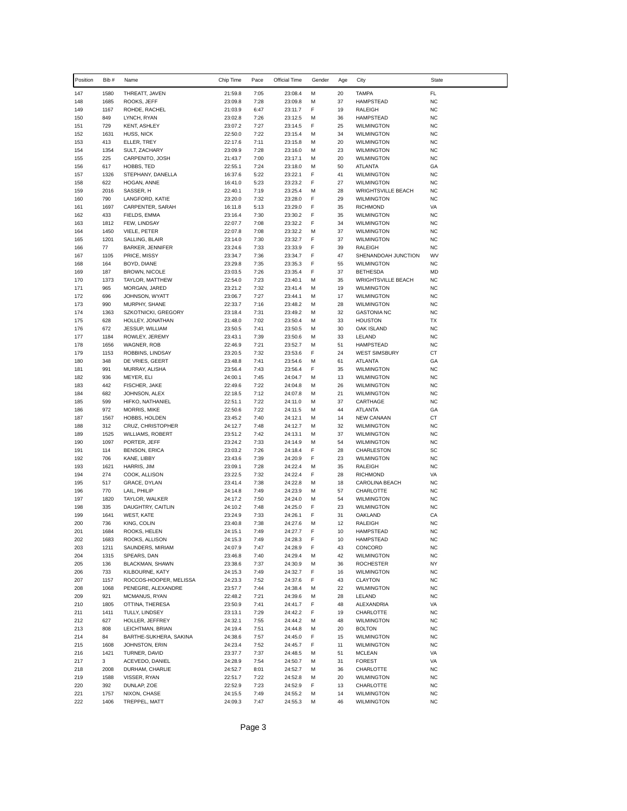| Position   | Bib #        | Name                                         | Chip Time          | Pace         | Official Time      | Gender | Age      | City                                           | State                  |
|------------|--------------|----------------------------------------------|--------------------|--------------|--------------------|--------|----------|------------------------------------------------|------------------------|
| 147        | 1580         | THREATT, JAVEN                               | 21:59.8            | 7:05         | 23:08.4            | М      | 20       | <b>TAMPA</b>                                   | FL                     |
| 148        | 1685         | ROOKS, JEFF                                  | 23:09.8            | 7:28         | 23:09.8            | M      | 37       | <b>HAMPSTEAD</b>                               | <b>NC</b>              |
| 149        | 1167         | ROHDE, RACHEL                                | 21:03.9            | 6:47         | 23:11.7            | F      | 19       | <b>RALEIGH</b>                                 | <b>NC</b>              |
| 150        | 849<br>729   | LYNCH, RYAN                                  | 23:02.8            | 7:26         | 23:12.5            | М<br>F | 36<br>25 | <b>HAMPSTEAD</b><br><b>WILMINGTON</b>          | <b>NC</b><br><b>NC</b> |
| 151<br>152 | 1631         | KENT, ASHLEY<br>HUSS, NICK                   | 23:07.2<br>22:50.0 | 7:27<br>7:22 | 23:14.5<br>23:15.4 | M      | 34       | <b>WILMINGTON</b>                              | <b>NC</b>              |
| 153        | 413          | ELLER, TREY                                  | 22:17.6            | 7:11         | 23:15.8            | М      | 20       | <b>WILMINGTON</b>                              | <b>NC</b>              |
| 154        | 1354         | SULT, ZACHARY                                | 23:09.9            | 7:28         | 23:16.0            | М      | 23       | <b>WILMINGTON</b>                              | <b>NC</b>              |
| 155        | 225          | CARPENITO, JOSH                              | 21:43.7            | 7:00         | 23:17.1            | м      | 20       | <b>WILMINGTON</b>                              | <b>NC</b>              |
| 156        | 617          | HOBBS, TED                                   | 22:55.1            | 7:24         | 23:18.0            | M      | 50       | <b>ATLANTA</b>                                 | GA                     |
| 157        | 1326         | STEPHANY, DANELLA                            | 16:37.6            | 5:22         | 23:22.1            | F      | 41       | <b>WILMINGTON</b>                              | <b>NC</b>              |
| 158<br>159 | 622<br>2016  | HOGAN, ANNE<br>SASSER, H                     | 16:41.0<br>22:40.1 | 5:23<br>7:19 | 23:23.2<br>23:25.4 | F<br>M | 27<br>28 | <b>WILMINGTON</b><br><b>WRIGHTSVILLE BEACH</b> | <b>NC</b><br><b>NC</b> |
| 160        | 790          | LANGFORD, KATIE                              | 23:20.0            | 7:32         | 23:28.0            | F      | 29       | <b>WILMINGTON</b>                              | <b>NC</b>              |
| 161        | 1697         | CARPENTER, SARAH                             | 16:11.8            | 5:13         | 23:29.0            | F      | 35       | <b>RICHMOND</b>                                | VA                     |
| 162        | 433          | FIELDS, EMMA                                 | 23:16.4            | 7:30         | 23:30.2            | F      | 35       | <b>WILMINGTON</b>                              | <b>NC</b>              |
| 163        | 1812         | FEW, LINDSAY                                 | 22:07.7            | 7:08         | 23:32.2            | F      | 34       | <b>WILMINGTON</b>                              | <b>NC</b>              |
| 164        | 1450         | VIELE, PETER                                 | 22:07.8            | 7:08         | 23:32.2            | М      | 37       | <b>WILMINGTON</b>                              | <b>NC</b>              |
| 165        | 1201<br>77   | SALLING, BLAIR                               | 23:14.0            | 7:30         | 23:32.7            | F<br>F | 37<br>39 | <b>WILMINGTON</b><br><b>RALEIGH</b>            | <b>NC</b><br><b>NC</b> |
| 166<br>167 | 1105         | <b>BARKER, JENNIFER</b><br>PRICE, MISSY      | 23:24.6<br>23:34.7 | 7:33<br>7:36 | 23:33.9<br>23:34.7 | F      | 47       | SHENANDOAH JUNCTION                            | WV                     |
| 168        | 164          | BOYD, DIANE                                  | 23:29.8            | 7:35         | 23:35.3            | F      | 55       | <b>WILMINGTON</b>                              | <b>NC</b>              |
| 169        | 187          | <b>BROWN, NICOLE</b>                         | 23:03.5            | 7:26         | 23:35.4            | F      | 37       | <b>BETHESDA</b>                                | <b>MD</b>              |
| 170        | 1373         | TAYLOR, MATTHEW                              | 22:54.0            | 7:23         | 23:40.1            | М      | 35       | <b>WRIGHTSVILLE BEACH</b>                      | <b>NC</b>              |
| 171        | 965          | MORGAN, JARED                                | 23:21.2            | 7:32         | 23:41.4            | м      | 19       | <b>WILMINGTON</b>                              | <b>NC</b>              |
| 172        | 696          | JOHNSON, WYATT                               | 23:06.7            | 7:27         | 23:44.1            | М      | 17       | <b>WILMINGTON</b>                              | <b>NC</b>              |
| 173<br>174 | 990          | MURPHY, SHANE                                | 22:33.7            | 7:16         | 23:48.2            | M<br>м | 28<br>32 | <b>WILMINGTON</b><br><b>GASTONIA NC</b>        | <b>NC</b><br><b>NC</b> |
| 175        | 1363<br>628  | SZKOTNICKI, GREGORY<br>HOLLEY, JONATHAN      | 23:18.4<br>21:48.0 | 7:31<br>7:02 | 23:49.2<br>23:50.4 | М      | 33       | <b>HOUSTON</b>                                 | TX                     |
| 176        | 672          | JESSUP, WILLIAM                              | 23:50.5            | 7:41         | 23:50.5            | м      | 30       | <b>OAK ISLAND</b>                              | <b>NC</b>              |
| 177        | 1184         | ROWLEY, JEREMY                               | 23:43.1            | 7:39         | 23:50.6            | M      | 33       | LELAND                                         | <b>NC</b>              |
| 178        | 1656         | <b>WAGNER, ROB</b>                           | 22:46.9            | 7:21         | 23:52.7            | М      | 51       | <b>HAMPSTEAD</b>                               | <b>NC</b>              |
| 179        | 1153         | ROBBINS, LINDSAY                             | 23:20.5            | 7:32         | 23:53.6            | F      | 24       | <b>WEST SIMSBURY</b>                           | CT                     |
| 180        | 348          | DE VRIES, GEERT                              | 23:48.8            | 7:41         | 23:54.6            | м      | 61       | <b>ATLANTA</b>                                 | GA                     |
| 181<br>182 | 991<br>936   | MURRAY, ALISHA<br>MEYER, ELI                 | 23:56.4<br>24:00.1 | 7:43<br>7:45 | 23:56.4<br>24:04.7 | F<br>М | 35<br>13 | <b>WILMINGTON</b><br><b>WILMINGTON</b>         | <b>NC</b><br><b>NC</b> |
| 183        | 442          | FISCHER, JAKE                                | 22:49.6            | 7:22         | 24:04.8            | м      | 26       | <b>WILMINGTON</b>                              | <b>NC</b>              |
| 184        | 682          | JOHNSON, ALEX                                | 22:18.5            | 7:12         | 24:07.8            | M      | 21       | <b>WILMINGTON</b>                              | <b>NC</b>              |
| 185        | 599          | HIFKO, NATHANIEL                             | 22:51.1            | 7:22         | 24:11.0            | М      | 37       | CARTHAGE                                       | <b>NC</b>              |
| 186        | 972          | MORRIS, MIKE                                 | 22:50.6            | 7:22         | 24:11.5            | М      | 44       | <b>ATLANTA</b>                                 | GA                     |
| 187        | 1567         | HOBBS, HOLDEN                                | 23:45.2            | 7:40         | 24:12.1            | м      | 14       | <b>NEW CANAAN</b>                              | CT                     |
| 188<br>189 | 312<br>1525  | CRUZ, CHRISTOPHER<br><b>WILLIAMS, ROBERT</b> | 24:12.7<br>23:51.2 | 7:48<br>7:42 | 24:12.7<br>24:13.1 | м<br>М | 32<br>37 | <b>WILMINGTON</b><br><b>WILMINGTON</b>         | <b>NC</b><br><b>NC</b> |
| 190        | 1097         | PORTER, JEFF                                 | 23:24.2            | 7:33         | 24:14.9            | M      | 54       | <b>WILMINGTON</b>                              | <b>NC</b>              |
| 191        | 114          | <b>BENSON, ERICA</b>                         | 23:03.2            | 7:26         | 24:18.4            | F      | 28       | CHARLESTON                                     | SC                     |
| 192        | 706          | KANE, LIBBY                                  | 23:43.6            | 7:39         | 24:20.9            | F      | 23       | <b>WILMINGTON</b>                              | <b>NC</b>              |
| 193        | 1621         | HARRIS, JIM                                  | 23:09.1            | 7:28         | 24:22.4            | М      | 35       | RALEIGH                                        | <b>NC</b>              |
| 194        | 274          | COOK, ALLISON                                | 23:22.5            | 7:32         | 24:22.4            | F      | 28       | <b>RICHMOND</b>                                | VA                     |
| 195        | 517          | GRACE, DYLAN                                 | 23:41.4            | 7:38         | 24:22.8            | М      | 18       | CAROLINA BEACH                                 | <b>NC</b>              |
| 196<br>197 | 770<br>1820  | LAIL, PHILIP<br>TAYLOR, WALKER               | 24:14.8<br>24:17.2 | 7:49<br>7:50 | 24:23.9<br>24:24.0 | м<br>м | 57<br>54 | CHARLOTTE<br><b>WILMINGTON</b>                 | <b>NC</b><br><b>NC</b> |
| 198        | 335          | DAUGHTRY, CAITLIN                            | 24:10.2            | 7:48         | 24:25.0            | F      | 23       | <b>WILMINGTON</b>                              | <b>NC</b>              |
| 199        | 1641         | WEST, KATE                                   | 23:24.9            | 7:33         | 24:26.1            | F      | 31       | OAKLAND                                        | CA                     |
| 200        | 736          | KING, COLIN                                  | 23:40.8            | 7:38         | 24:27.6            | М      | 12       | RALEIGH                                        | <b>NC</b>              |
| 201        | 1684         | ROOKS, HELEN                                 | 24:15.1            | 7:49         | 24:27.7            | F      | 10       | HAMPSTEAD                                      | <b>NC</b>              |
| 202        | 1683         | ROOKS, ALLISON                               | 24:15.3            | 7:49         | 24:28.3            | F      | 10       | <b>HAMPSTEAD</b>                               | <b>NC</b>              |
| 203        | 1211<br>1315 | SAUNDERS, MIRIAM                             | 24:07.9            | 7:47         | 24:28.9            | F      | 43<br>42 | CONCORD                                        | <b>NC</b><br><b>NC</b> |
| 204<br>205 | 136          | SPEARS, DAN<br>BLACKMAN, SHAWN               | 23:46.8<br>23:38.6 | 7:40<br>7:37 | 24:29.4<br>24:30.9 | М<br>M | 36       | <b>WILMINGTON</b><br><b>ROCHESTER</b>          | NY                     |
| 206        | 733          | KILBOURNE, KATY                              | 24:15.3            | 7:49         | 24:32.7            | F      | 16       | <b>WILMINGTON</b>                              | <b>NC</b>              |
| 207        | 1157         | ROCCOS-HOOPER, MELISSA                       | 24:23.3            | 7:52         | 24:37.6            | F      | 43       | <b>CLAYTON</b>                                 | <b>NC</b>              |
| 208        | 1068         | PENEGRE, ALEXANDRE                           | 23:57.7            | 7:44         | 24:38.4            | М      | 22       | <b>WILMINGTON</b>                              | <b>NC</b>              |
| 209        | 921          | MCMANUS, RYAN                                | 22:48.2            | 7:21         | 24:39.6            | M      | 28       | LELAND                                         | <b>NC</b>              |
| 210        | 1805         | OTTINA, THERESA                              | 23:50.9            | 7:41         | 24:41.7            | F      | 48       | ALEXANDRIA                                     | VA                     |
| 211<br>212 | 1411<br>627  | TULLY, LINDSEY<br>HOLLER, JEFFREY            | 23:13.1<br>24:32.1 | 7:29<br>7:55 | 24:42.2<br>24:44.2 | F<br>M | 19<br>48 | CHARLOTTE<br><b>WILMINGTON</b>                 | <b>NC</b><br><b>NC</b> |
| 213        | 808          | LEICHTMAN, BRIAN                             | 24:19.4            | 7:51         | 24:44.8            | М      | 20       | <b>BOLTON</b>                                  | <b>NC</b>              |
| 214        | 84           | BARTHE-SUKHERA, SAKINA                       | 24:38.6            | 7:57         | 24:45.0            | F      | 15       | <b>WILMINGTON</b>                              | <b>NC</b>              |
| 215        | 1608         | JOHNSTON, ERIN                               | 24:23.4            | 7:52         | 24:45.7            | F      | 11       | <b>WILMINGTON</b>                              | <b>NC</b>              |
| 216        | 1421         | TURNER, DAVID                                | 23:37.7            | 7:37         | 24:48.5            | М      | 51       | <b>MCLEAN</b>                                  | VA                     |
| 217        | 3            | ACEVEDO, DANIEL                              | 24:28.9            | 7:54         | 24:50.7            | М      | 31       | <b>FOREST</b>                                  | VA                     |
| 218        | 2008         | DURHAM, CHARLIE                              | 24:52.7            | 8:01         | 24:52.7            | М      | 36       | CHARLOTTE                                      | <b>NC</b>              |
| 219        | 1588         | VISSER, RYAN                                 | 22:51.7            | 7:22         | 24:52.8            | М      | 20       | <b>WILMINGTON</b>                              | <b>NC</b>              |
| 220<br>221 | 392<br>1757  | DUNLAP, ZOE<br>NIXON, CHASE                  | 22:52.9<br>24:15.5 | 7:23<br>7:49 | 24:52.9<br>24:55.2 | F<br>М | 13<br>14 | CHARLOTTE<br><b>WILMINGTON</b>                 | <b>NC</b><br><b>NC</b> |
| 222        | 1406         | TREPPEL, MATT                                | 24:09.3            | 7:47         | 24:55.3            | М      | 46       | <b>WILMINGTON</b>                              | <b>NC</b>              |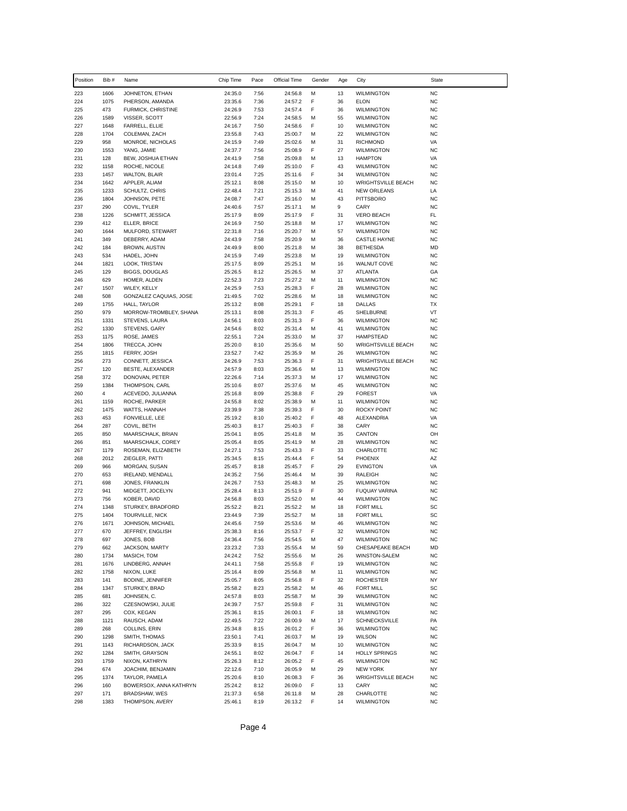| Position   | Bib #        | Name                                     | Chip Time          | Pace         | Official Time      | Gender | Age      | City                                            | <b>State</b>           |
|------------|--------------|------------------------------------------|--------------------|--------------|--------------------|--------|----------|-------------------------------------------------|------------------------|
| 223        | 1606         | JOHNETON, ETHAN                          | 24:35.0            | 7:56         | 24:56.8            | М      | 13       | <b>WILMINGTON</b>                               | <b>NC</b>              |
| 224        | 1075         | PHERSON, AMANDA                          | 23:35.6            | 7:36         | 24:57.2            | F      | 36       | <b>ELON</b>                                     | <b>NC</b>              |
| 225        | 473          | FURMICK, CHRISTINE                       | 24:26.9            | 7:53         | 24:57.4            | F      | 36       | <b>WILMINGTON</b>                               | <b>NC</b>              |
| 226        | 1589         | VISSER, SCOTT                            | 22:56.9            | 7:24         | 24:58.5            | М      | 55       | <b>WILMINGTON</b><br><b>WILMINGTON</b>          | <b>NC</b>              |
| 227<br>228 | 1648<br>1704 | FARRELL, ELLIE<br>COLEMAN, ZACH          | 24:16.7<br>23:55.8 | 7:50<br>7:43 | 24:58.6<br>25:00.7 | F<br>M | 10<br>22 | <b>WILMINGTON</b>                               | <b>NC</b><br><b>NC</b> |
| 229        | 958          | MONROE, NICHOLAS                         | 24:15.9            | 7:49         | 25:02.6            | М      | 31       | <b>RICHMOND</b>                                 | VA                     |
| 230        | 1553         | YANG, JAMIE                              | 24:37.7            | 7:56         | 25:08.9            | F      | 27       | <b>WILMINGTON</b>                               | <b>NC</b>              |
| 231        | 128          | BEW, JOSHUA ETHAN                        | 24:41.9            | 7:58         | 25:09.8            | М      | 13       | <b>HAMPTON</b>                                  | VA                     |
| 232        | 1158         | ROCHE, NICOLE                            | 24:14.8            | 7:49         | 25:10.0            | F      | 43       | <b>WILMINGTON</b>                               | <b>NC</b>              |
| 233        | 1457         | <b>WALTON, BLAIR</b>                     | 23:01.4            | 7:25         | 25:11.6            | F      | 34       | <b>WILMINGTON</b>                               | <b>NC</b>              |
| 234<br>235 | 1642<br>1233 | APPLER, ALIAM<br>SCHULTZ, CHRIS          | 25:12.1<br>22:48.4 | 8:08<br>7:21 | 25:15.0<br>25:15.3 | M<br>M | 10<br>41 | <b>WRIGHTSVILLE BEACH</b><br><b>NEW ORLEANS</b> | <b>NC</b><br>LA        |
| 236        | 1804         | JOHNSON, PETE                            | 24:08.7            | 7:47         | 25:16.0            | М      | 43       | <b>PITTSBORO</b>                                | <b>NC</b>              |
| 237        | 290          | COVIL, TYLER                             | 24:40.6            | 7:57         | 25:17.1            | М      | 9        | CARY                                            | <b>NC</b>              |
| 238        | 1226         | SCHMITT, JESSICA                         | 25:17.9            | 8:09         | 25:17.9            | F      | 31       | <b>VERO BEACH</b>                               | FL                     |
| 239        | 412          | ELLER, BRICE                             | 24:16.9            | 7:50         | 25:18.8            | м      | 17       | <b>WILMINGTON</b>                               | <b>NC</b>              |
| 240        | 1644         | MULFORD, STEWART                         | 22:31.8            | 7:16         | 25:20.7            | М      | 57       | <b>WILMINGTON</b>                               | <b>NC</b>              |
| 241        | 349          | DEBERRY, ADAM                            | 24:43.9            | 7:58         | 25:20.9            | M      | 36       | <b>CASTLE HAYNE</b>                             | <b>NC</b>              |
| 242<br>243 | 184<br>534   | <b>BROWN, AUSTIN</b><br>HADEL, JOHN      | 24:49.9<br>24:15.9 | 8:00<br>7:49 | 25:21.8<br>25:23.8 | м<br>М | 38<br>19 | <b>BETHESDA</b><br><b>WILMINGTON</b>            | <b>MD</b><br><b>NC</b> |
| 244        | 1821         | LOOK, TRISTAN                            | 25:17.5            | 8:09         | 25:25.1            | М      | 16       | <b>WALNUT COVE</b>                              | <b>NC</b>              |
| 245        | 129          | <b>BIGGS, DOUGLAS</b>                    | 25:26.5            | 8:12         | 25:26.5            | м      | 37       | ATLANTA                                         | GA                     |
| 246        | 629          | HOMER, ALDEN                             | 22:52.3            | 7:23         | 25:27.2            | м      | 11       | <b>WILMINGTON</b>                               | <b>NC</b>              |
| 247        | 1507         | WILEY, KELLY                             | 24:25.9            | 7:53         | 25:28.3            | F      | 28       | <b>WILMINGTON</b>                               | <b>NC</b>              |
| 248        | 508          | GONZALEZ CAQUIAS, JOSE                   | 21:49.5            | 7:02         | 25:28.6            | М      | 18       | <b>WILMINGTON</b>                               | <b>NC</b>              |
| 249        | 1755         | HALL, TAYLOR                             | 25:13.2            | 8:08         | 25:29.1            | F<br>F | 18       | DALLAS                                          | TX                     |
| 250<br>251 | 979<br>1331  | MORROW-TROMBLEY, SHANA<br>STEVENS, LAURA | 25:13.1<br>24:56.1 | 8:08<br>8:03 | 25:31.3<br>25:31.3 | F      | 45<br>36 | SHELBURNE<br><b>WILMINGTON</b>                  | VT<br><b>NC</b>        |
| 252        | 1330         | STEVENS, GARY                            | 24:54.6            | 8:02         | 25:31.4            | М      | 41       | <b>WILMINGTON</b>                               | <b>NC</b>              |
| 253        | 1175         | ROSE, JAMES                              | 22:55.1            | 7:24         | 25:33.0            | M      | 37       | <b>HAMPSTEAD</b>                                | <b>NC</b>              |
| 254        | 1806         | TRECCA, JOHN                             | 25:20.0            | 8:10         | 25:35.6            | М      | 50       | <b>WRIGHTSVILLE BEACH</b>                       | <b>NC</b>              |
| 255        | 1815         | FERRY, JOSH                              | 23:52.7            | 7:42         | 25:35.9            | М      | 26       | <b>WILMINGTON</b>                               | <b>NC</b>              |
| 256        | 273          | CONNETT, JESSICA                         | 24:26.9            | 7:53         | 25:36.3            | F      | 31       | <b>WRIGHTSVILLE BEACH</b>                       | <b>NC</b>              |
| 257<br>258 | 120<br>372   | BESTE, ALEXANDER<br>DONOVAN, PETER       | 24:57.9<br>22:26.6 | 8:03<br>7:14 | 25:36.6<br>25:37.3 | М<br>М | 13<br>17 | <b>WILMINGTON</b><br><b>WILMINGTON</b>          | <b>NC</b><br><b>NC</b> |
| 259        | 1384         | THOMPSON, CARL                           | 25:10.6            | 8:07         | 25:37.6            | м      | 45       | <b>WILMINGTON</b>                               | <b>NC</b>              |
| 260        | 4            | ACEVEDO, JULIANNA                        | 25:16.8            | 8:09         | 25:38.8            | F      | 29       | <b>FOREST</b>                                   | VA                     |
| 261        | 1159         | ROCHE, PARKER                            | 24:55.8            | 8:02         | 25:38.9            | М      | 11       | <b>WILMINGTON</b>                               | <b>NC</b>              |
| 262        | 1475         | WATTS, HANNAH                            | 23:39.9            | 7:38         | 25:39.3            | F      | 30       | <b>ROCKY POINT</b>                              | <b>NC</b>              |
| 263        | 453          | FONVIELLE, LEE                           | 25:19.2            | 8:10         | 25:40.2            | F      | 48       | ALEXANDRIA                                      | VA                     |
| 264<br>265 | 287<br>850   | COVIL, BETH<br>MAARSCHALK, BRIAN         | 25:40.3<br>25:04.1 | 8:17<br>8:05 | 25:40.3<br>25:41.8 | F<br>М | 38<br>35 | CARY<br>CANTON                                  | <b>NC</b><br>OH        |
| 266        | 851          | MAARSCHALK, COREY                        | 25:05.4            | 8:05         | 25:41.9            | M      | 28       | <b>WILMINGTON</b>                               | <b>NC</b>              |
| 267        | 1179         | ROSEMAN, ELIZABETH                       | 24:27.1            | 7:53         | 25:43.3            | F      | 33       | CHARLOTTE                                       | <b>NC</b>              |
| 268        | 2012         | ZIEGLER, PATTI                           | 25:34.5            | 8:15         | 25:44.4            | F      | 54       | PHOENIX                                         | AZ                     |
| 269        | 966          | MORGAN, SUSAN                            | 25:45.7            | 8:18         | 25:45.7            | F      | 29       | <b>EVINGTON</b>                                 | VA                     |
| 270        | 653          | <b>IRELAND, MENDALL</b>                  | 24:35.2            | 7:56         | 25:46.4            | м      | 39       | <b>RALEIGH</b>                                  | <b>NC</b>              |
| 271        | 698          | JONES, FRANKLIN                          | 24:26.7            | 7:53         | 25:48.3            | М<br>F | 25<br>30 | <b>WILMINGTON</b><br><b>FUQUAY VARINA</b>       | <b>NC</b>              |
| 272<br>273 | 941<br>756   | MIDGETT, JOCELYN<br>KOBER, DAVID         | 25:28.4<br>24:56.8 | 8:13<br>8:03 | 25:51.9<br>25:52.0 | м      | 44       | <b>WILMINGTON</b>                               | <b>NC</b><br><b>NC</b> |
| 274        | 1348         | STURKEY, BRADFORD                        | 25:52.2            | 8:21         | 25:52.2            | М      | 18       | <b>FORT MILL</b>                                | SC                     |
| 275        | 1404         | TOURVILLE, NICK                          | 23:44.9            | 7:39         | 25:52.7            | М      | 18       | <b>FORT MILL</b>                                | SC                     |
| 276        | 1671         | JOHNSON, MICHAEL                         | 24:45.6            | 7:59         | 25:53.6            | М      | 46       | <b>WILMINGTON</b>                               | <b>NC</b>              |
| 277        | 670          | JEFFREY, ENGLISH                         | 25:38.3            | 8:16         | 25:53.7            | F      | 32       | <b>WILMINGTON</b>                               | <b>NC</b>              |
| 278        | 697          | JONES, BOB                               | 24:36.4            | 7:56         | 25:54.5            | М      | 47       | <b>WILMINGTON</b>                               | <b>NC</b>              |
| 279<br>280 | 662<br>1734  | JACKSON, MARTY<br>MASICH, TOM            | 23:23.2<br>24:24.2 | 7:33<br>7:52 | 25:55.4<br>25:55.6 | M<br>М | 59<br>26 | CHESAPEAKE BEACH<br>WINSTON-SALEM               | MD<br><b>NC</b>        |
| 281        | 1676         | LINDBERG, ANNAH                          | 24:41.1            | 7:58         | 25:55.8            | F      | 19       | <b>WILMINGTON</b>                               | <b>NC</b>              |
| 282        | 1758         | NIXON, LUKE                              | 25:16.4            | 8:09         | 25:56.8            | M      | 11       | <b>WILMINGTON</b>                               | <b>NC</b>              |
| 283        | 141          | BODINE, JENNIFER                         | 25:05.7            | 8:05         | 25:56.8            | F      | 32       | <b>ROCHESTER</b>                                | NY                     |
| 284        | 1347         | STURKEY, BRAD                            | 25:58.2            | 8:23         | 25:58.2            | М      | 46       | <b>FORT MILL</b>                                | SC                     |
| 285        | 681          | JOHNSEN, C.                              | 24:57.8            | 8:03         | 25:58.7            | M      | 39       | <b>WILMINGTON</b>                               | <b>NC</b>              |
| 286        | 322          | CZESNOWSKI, JULIE                        | 24:39.7            | 7:57         | 25:59.8            | F      | 31       | <b>WILMINGTON</b>                               | <b>NC</b>              |
| 287<br>288 | 295<br>1121  | COX, KEGAN<br>RAUSCH, ADAM               | 25:36.1<br>22:49.5 | 8:15<br>7:22 | 26:00.1<br>26:00.9 | F<br>M | 18<br>17 | <b>WILMINGTON</b><br><b>SCHNECKSVILLE</b>       | <b>NC</b><br>PA        |
| 289        | 268          | COLLINS, ERIN                            | 25:34.8            | 8:15         | 26:01.2            | F      | 36       | <b>WILMINGTON</b>                               | <b>NC</b>              |
| 290        | 1298         | SMITH, THOMAS                            | 23:50.1            | 7:41         | 26:03.7            | М      | 19       | <b>WILSON</b>                                   | <b>NC</b>              |
| 291        | 1143         | RICHARDSON, JACK                         | 25:33.9            | 8:15         | 26:04.7            | M      | 10       | <b>WILMINGTON</b>                               | <b>NC</b>              |
| 292        | 1284         | SMITH, GRAYSON                           | 24:55.1            | 8:02         | 26:04.7            | F      | 14       | <b>HOLLY SPRINGS</b>                            | <b>NC</b>              |
| 293        | 1759         | NIXON, KATHRYN                           | 25:26.3            | 8:12         | 26:05.2            | F      | 45       | <b>WILMINGTON</b>                               | <b>NC</b>              |
| 294        | 674          | JOACHIM, BENJAMIN                        | 22:12.6            | 7:10         | 26:05.9            | М      | 29       | <b>NEW YORK</b>                                 | <b>NY</b>              |
| 295        | 1374<br>160  | TAYLOR, PAMELA                           | 25:20.6            | 8:10         | 26:08.3            | F<br>F | 36       | WRIGHTSVILLE BEACH                              | <b>NC</b><br><b>NC</b> |
| 296<br>297 | 171          | BOWERSOX, ANNA KATHRYN<br>BRADSHAW, WES  | 25:24.2<br>21:37.3 | 8:12<br>6:58 | 26:09.0<br>26:11.8 | M      | 13<br>28 | CARY<br>CHARLOTTE                               | <b>NC</b>              |
| 298        | 1383         | THOMPSON, AVERY                          | 25:46.1            | 8:19         | 26:13.2            | F      | 14       | <b>WILMINGTON</b>                               | <b>NC</b>              |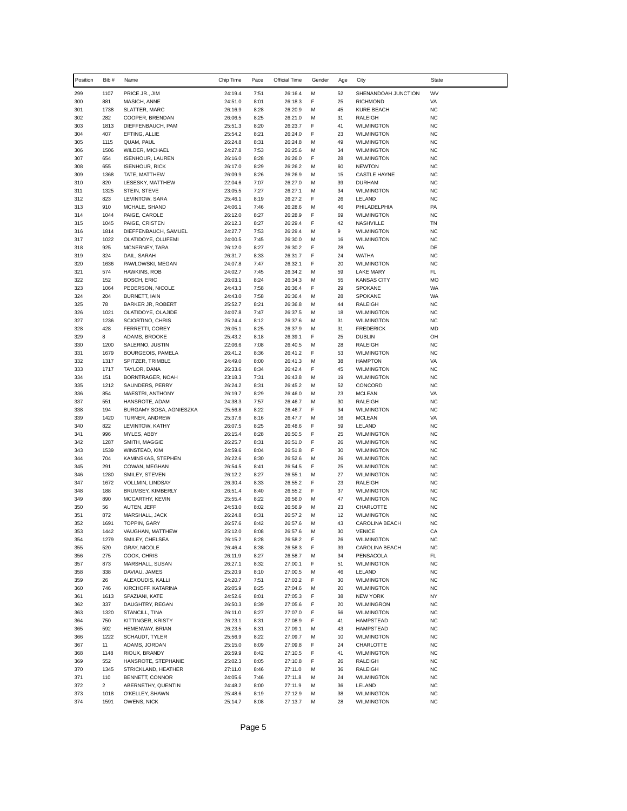| Position   | Bib #                          | Name                                           | Chip Time          | Pace         | Official Time      | Gender | Age      | City                                   | State                  |
|------------|--------------------------------|------------------------------------------------|--------------------|--------------|--------------------|--------|----------|----------------------------------------|------------------------|
| 299        | 1107                           | PRICE JR., JIM                                 | 24:19.4            | 7:51         | 26:16.4            | М      | 52       | SHENANDOAH JUNCTION                    | WV                     |
| 300        | 881                            | MASICH, ANNE                                   | 24:51.0            | 8:01         | 26:18.3            | F      | 25       | <b>RICHMOND</b>                        | VA                     |
| 301        | 1738                           | SLATTER, MARC                                  | 26:16.9            | 8:28         | 26:20.9            | M      | 45       | <b>KURE BEACH</b>                      | <b>NC</b>              |
| 302<br>303 | 282<br>1813                    | COOPER, BRENDAN<br>DIEFFENBAUCH, PAM           | 26:06.5<br>25:51.3 | 8:25<br>8:20 | 26:21.0<br>26:23.7 | М<br>F | 31<br>41 | <b>RALEIGH</b><br><b>WILMINGTON</b>    | <b>NC</b><br><b>NC</b> |
| 304        | 407                            | EFTING, ALLIE                                  | 25:54.2            | 8:21         | 26:24.0            | F      | 23       | <b>WILMINGTON</b>                      | <b>NC</b>              |
| 305        | 1115                           | QUAM, PAUL                                     | 26:24.8            | 8:31         | 26:24.8            | М      | 49       | <b>WILMINGTON</b>                      | <b>NC</b>              |
| 306        | 1506                           | WILDER, MICHAEL                                | 24:27.8            | 7:53         | 26:25.6            | М      | 34       | <b>WILMINGTON</b>                      | <b>NC</b>              |
| 307        | 654                            | <b>ISENHOUR, LAUREN</b>                        | 26:16.0            | 8:28         | 26:26.0            | F      | 28       | <b>WILMINGTON</b>                      | <b>NC</b>              |
| 308        | 655                            | <b>ISENHOUR, RICK</b>                          | 26:17.0            | 8:29         | 26:26.2            | М      | 60       | NEWTON                                 | <b>NC</b>              |
| 309        | 1368                           | TATE, MATTHEW                                  | 26:09.9            | 8:26         | 26:26.9            | М      | 15       | <b>CASTLE HAYNE</b>                    | <b>NC</b>              |
| 310<br>311 | 820<br>1325                    | LESESKY, MATTHEW<br>STEIN, STEVE               | 22:04.6<br>23:05.5 | 7:07<br>7:27 | 26:27.0<br>26:27.1 | М<br>М | 39<br>34 | <b>DURHAM</b><br><b>WILMINGTON</b>     | <b>NC</b><br><b>NC</b> |
| 312        | 823                            | LEVINTOW, SARA                                 | 25:46.1            | 8:19         | 26:27.2            | F      | 26       | LELAND                                 | <b>NC</b>              |
| 313        | 910                            | MCHALE, SHAND                                  | 24:06.1            | 7:46         | 26:28.6            | M      | 46       | PHILADELPHIA                           | PA                     |
| 314        | 1044                           | PAIGE, CAROLE                                  | 26:12.0            | 8:27         | 26:28.9            | F      | 69       | <b>WILMINGTON</b>                      | <b>NC</b>              |
| 315        | 1045                           | PAIGE, CRISTEN                                 | 26:12.3            | 8:27         | 26:29.4            | F      | 42       | NASHVILLE                              | TN                     |
| 316        | 1814                           | DIEFFENBAUCH, SAMUEL                           | 24:27.7            | 7:53         | 26:29.4            | м      | 9        | <b>WILMINGTON</b>                      | <b>NC</b>              |
| 317        | 1022                           | OLATIDOYE, OLUFEMI                             | 24:00.5            | 7:45         | 26:30.0            | М<br>F | 16       | <b>WILMINGTON</b>                      | <b>NC</b><br>DE        |
| 318<br>319 | 925<br>324                     | MCNERNEY, TARA<br>DAIL, SARAH                  | 26:12.0<br>26:31.7 | 8:27<br>8:33 | 26:30.2<br>26:31.7 | F      | 28<br>24 | WA<br>WATHA                            | <b>NC</b>              |
| 320        | 1636                           | PAWLOWSKI, MEGAN                               | 24:07.8            | 7:47         | 26:32.1            | F      | 20       | <b>WILMINGTON</b>                      | <b>NC</b>              |
| 321        | 574                            | HAWKINS, ROB                                   | 24:02.7            | 7:45         | 26:34.2            | М      | 59       | LAKE MARY                              | FL                     |
| 322        | 152                            | <b>BOSCH, ERIC</b>                             | 26:03.1            | 8:24         | 26:34.3            | М      | 55       | KANSAS CITY                            | MO                     |
| 323        | 1064                           | PEDERSON, NICOLE                               | 24:43.3            | 7:58         | 26:36.4            | F      | 29       | <b>SPOKANE</b>                         | WA                     |
| 324        | 204                            | BURNETT, IAIN                                  | 24:43.0            | 7:58         | 26:36.4            | М      | 28       | SPOKANE                                | WA                     |
| 325<br>326 | 78<br>1021                     | <b>BARKER JR, ROBERT</b><br>OLATIDOYE, OLAJIDE | 25:52.7<br>24:07.8 | 8:21<br>7:47 | 26:36.8<br>26:37.5 | М<br>М | 44<br>18 | RALEIGH<br><b>WILMINGTON</b>           | <b>NC</b><br><b>NC</b> |
| 327        | 1236                           | SCIORTINO, CHRIS                               | 25:24.4            | 8:12         | 26:37.6            | М      | 31       | <b>WILMINGTON</b>                      | <b>NC</b>              |
| 328        | 428                            | FERRETTI, COREY                                | 26:05.1            | 8:25         | 26:37.9            | М      | 31       | <b>FREDERICK</b>                       | MD                     |
| 329        | 8                              | ADAMS, BROOKE                                  | 25:43.2            | 8:18         | 26:39.1            | F      | 25       | <b>DUBLIN</b>                          | OH                     |
| 330        | 1200                           | SALERNO, JUSTIN                                | 22:06.6            | 7:08         | 26:40.5            | М      | 28       | <b>RALEIGH</b>                         | <b>NC</b>              |
| 331        | 1679                           | BOURGEOIS, PAMELA                              | 26:41.2            | 8:36         | 26:41.2            | F      | 53       | <b>WILMINGTON</b>                      | <b>NC</b>              |
| 332        | 1317                           | SPITZER, TRIMBLE                               | 24:49.0            | 8:00         | 26:41.3            | М      | 38       | <b>HAMPTON</b>                         | VA                     |
| 333<br>334 | 1717<br>151                    | TAYLOR, DANA<br>BORNTRAGER, NOAH               | 26:33.6<br>23:18.3 | 8:34<br>7:31 | 26:42.4<br>26:43.8 | F<br>М | 45<br>19 | <b>WILMINGTON</b><br><b>WILMINGTON</b> | <b>NC</b><br><b>NC</b> |
| 335        | 1212                           | SAUNDERS, PERRY                                | 26:24.2            | 8:31         | 26:45.2            | М      | 52       | CONCORD                                | <b>NC</b>              |
| 336        | 854                            | MAESTRI, ANTHONY                               | 26:19.7            | 8:29         | 26:46.0            | М      | 23       | MCLEAN                                 | VA                     |
| 337        | 551                            | HANSROTE, ADAM                                 | 24:38.3            | 7:57         | 26:46.7            | М      | 30       | RALEIGH                                | <b>NC</b>              |
| 338        | 194                            | BURGAMY SOSA, AGNIESZKA                        | 25:56.8            | 8:22         | 26:46.7            | F      | 34       | <b>WILMINGTON</b>                      | <b>NC</b>              |
| 339        | 1420                           | TURNER, ANDREW                                 | 25:37.6            | 8:16         | 26:47.7            | М      | 16       | <b>MCLEAN</b>                          | VA                     |
| 340<br>341 | 822<br>996                     | LEVINTOW, KATHY<br>MYLES, ABBY                 | 26:07.5<br>26:15.4 | 8:25<br>8:28 | 26:48.6<br>26:50.5 | F<br>F | 59<br>25 | LELAND<br><b>WILMINGTON</b>            | <b>NC</b><br><b>NC</b> |
| 342        | 1287                           | SMITH, MAGGIE                                  | 26:25.7            | 8:31         | 26:51.0            | F      | 26       | <b>WILMINGTON</b>                      | <b>NC</b>              |
| 343        | 1539                           | WINSTEAD, KIM                                  | 24:59.6            | 8:04         | 26:51.8            | F      | 30       | <b>WILMINGTON</b>                      | <b>NC</b>              |
| 344        | 704                            | KAMINSKAS, STEPHEN                             | 26:22.6            | 8:30         | 26:52.6            | м      | 26       | <b>WILMINGTON</b>                      | <b>NC</b>              |
| 345        | 291                            | COWAN, MEGHAN                                  | 26:54.5            | 8:41         | 26:54.5            | F      | 25       | <b>WILMINGTON</b>                      | <b>NC</b>              |
| 346        | 1280                           | SMILEY, STEVEN                                 | 26:12.2            | 8:27         | 26:55.1            | М      | 27       | <b>WILMINGTON</b>                      | <b>NC</b>              |
| 347<br>348 | 1672<br>188                    | VOLLMIN, LINDSAY                               | 26:30.4<br>26:51.4 | 8:33<br>8:40 | 26:55.2<br>26:55.2 | F<br>F | 23<br>37 | RALEIGH<br><b>WILMINGTON</b>           | <b>NC</b><br><b>NC</b> |
| 349        | 890                            | BRUMSEY, KIMBERLY<br>MCCARTHY, KEVIN           | 25:55.4            | 8:22         | 26:56.0            | М      | 47       | <b>WILMINGTON</b>                      | <b>NC</b>              |
| 350        | 56                             | AUTEN, JEFF                                    | 24:53.0            | 8:02         | 26:56.9            | М      | 23       | CHARLOTTE                              | NC                     |
| 351        | 872                            | MARSHALL, JACK                                 | 26:24.8            | 8:31         | 26:57.2            | М      | 12       | <b>WILMINGTON</b>                      | <b>NC</b>              |
| 352        | 1691                           | <b>TOPPIN, GARY</b>                            | 26:57.6            | 8:42         | 26:57.6            | м      | 43       | CAROLINA BEACH                         | <b>NC</b>              |
| 353        | 1442                           | VAUGHAN, MATTHEW                               | 25:12.0            | 8:08         | 26:57.6            | м      | $30\,$   | <b>VENICE</b>                          | CA                     |
| 354        | 1279                           | SMILEY, CHELSEA                                | 26:15.2            | 8:28         | 26:58.2            | F      | 26       | <b>WILMINGTON</b>                      | <b>NC</b>              |
| 355<br>356 | 520<br>275                     | <b>GRAY, NICOLE</b><br>COOK, CHRIS             | 26:46.4<br>26:11.9 | 8:38<br>8:27 | 26:58.3<br>26:58.7 | F<br>м | 39<br>34 | CAROLINA BEACH<br>PENSACOLA            | NC<br>FL               |
| 357        | 873                            | MARSHALL, SUSAN                                | 26:27.1            | 8:32         | 27:00.1            | F      | 51       | <b>WILMINGTON</b>                      | <b>NC</b>              |
| 358        | 338                            | DAVIAU, JAMES                                  | 25:20.9            | 8:10         | 27:00.5            | м      | 46       | LELAND                                 | NC                     |
| 359        | 26                             | ALEXOUDIS, KALLI                               | 24:20.7            | 7:51         | 27:03.2            | F      | 30       | <b>WILMINGTON</b>                      | <b>NC</b>              |
| 360        | 746                            | KIRCHOFF, KATARINA                             | 26:05.9            | 8:25         | 27:04.6            | М      | 20       | <b>WILMINGTON</b>                      | <b>NC</b>              |
| 361        | 1613                           | SPAZIANI, KATE                                 | 24:52.6            | 8:01         | 27:05.3            | F      | 38       | <b>NEW YORK</b>                        | NY                     |
| 362        | 337                            | DAUGHTRY, REGAN                                | 26:50.3            | 8:39         | 27:05.6            | F      | 20       | <b>WILMINGRON</b>                      | <b>NC</b>              |
| 363<br>364 | 1320<br>750                    | STANCILL, TINA<br>KITTINGER, KRISTY            | 26:11.0<br>26:23.1 | 8:27<br>8:31 | 27:07.0<br>27:08.9 | F<br>F | 56<br>41 | <b>WILMINGTON</b><br>HAMPSTEAD         | <b>NC</b><br><b>NC</b> |
| 365        | 592                            | HEMENWAY, BRIAN                                | 26:23.5            | 8:31         | 27:09.1            | м      | 43       | HAMPSTEAD                              | <b>NC</b>              |
| 366        | 1222                           | SCHAUDT, TYLER                                 | 25:56.9            | 8:22         | 27:09.7            | М      | 10       | <b>WILMINGTON</b>                      | <b>NC</b>              |
| 367        | 11                             | ADAMS, JORDAN                                  | 25:15.0            | 8:09         | 27:09.8            | F      | 24       | CHARLOTTE                              | <b>NC</b>              |
| 368        | 1148                           | RIOUX, BRANDY                                  | 26:59.9            | 8:42         | 27:10.5            | F      | 41       | <b>WILMINGTON</b>                      | <b>NC</b>              |
| 369        | 552                            | HANSROTE, STEPHANIE                            | 25:02.3            | 8:05         | 27:10.8            | F      | 26       | RALEIGH                                | <b>NC</b>              |
| 370        | 1345                           | STRICKLAND, HEATHER                            | 27:11.0            | 8:46         | 27:11.0            | М      | 36       | RALEIGH                                | <b>NC</b>              |
| 371<br>372 | 110<br>$\overline{\mathbf{c}}$ | BENNETT, CONNOR<br>ABERNETHY, QUENTIN          | 24:05.6<br>24:48.2 | 7:46<br>8:00 | 27:11.8<br>27:11.9 | м<br>м | 24<br>36 | <b>WILMINGTON</b><br>LELAND            | <b>NC</b><br>NC        |
| 373        | 1018                           | O'KELLEY, SHAWN                                | 25:48.6            | 8:19         | 27:12.9            | М      | 38       | WILMINGTON                             | <b>NC</b>              |
| 374        | 1591                           | OWENS, NICK                                    | 25:14.7            | 8:08         | 27:13.7            | м      | 28       | <b>WILMINGTON</b>                      | NC                     |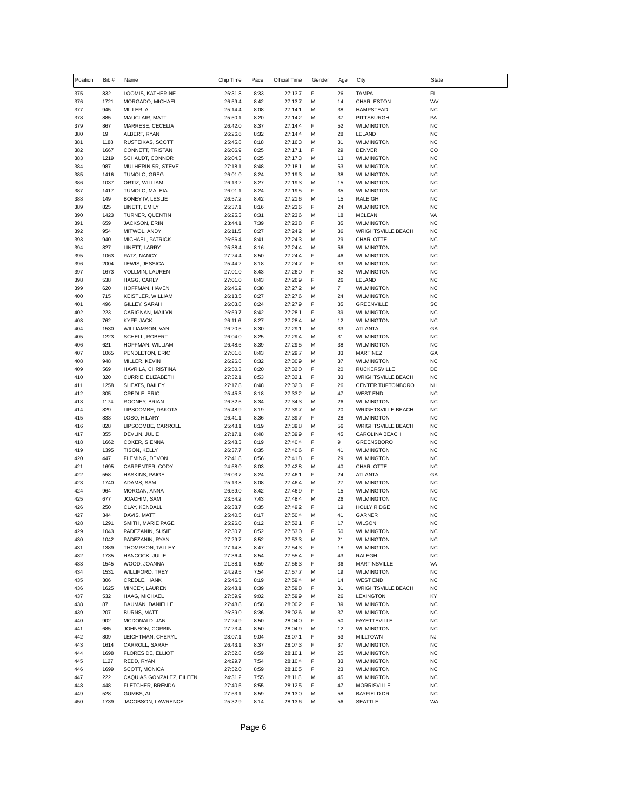| Position   | Bib #        | Name                              | Chip Time          | Pace         | Official Time      | Gender | Age            | City                                     | State                  |
|------------|--------------|-----------------------------------|--------------------|--------------|--------------------|--------|----------------|------------------------------------------|------------------------|
| 375        | 832          | LOOMIS, KATHERINE                 | 26:31.8            | 8:33         | 27:13.7            | F      | 26             | <b>TAMPA</b>                             | FL                     |
| 376        | 1721         | MORGADO, MICHAEL                  | 26:59.4            | 8:42         | 27:13.7            | М      | 14             | CHARLESTON                               | WV                     |
| 377        | 945          | MILLER, AL                        | 25:14.4            | 8:08         | 27:14.1            | М      | 38             | HAMPSTEAD                                | <b>NC</b>              |
| 378        | 885          | MAUCLAIR, MATT                    | 25:50.1            | 8:20         | 27:14.2            | М      | 37             | PITTSBURGH                               | PA                     |
| 379<br>380 | 867          | MARRESE, CECELIA                  | 26:42.0            | 8:37         | 27:14.4            | F<br>M | 52<br>28       | <b>WILMINGTON</b><br>LELAND              | <b>NC</b>              |
| 381        | 19<br>1188   | ALBERT, RYAN<br>RUSTEIKAS, SCOTT  | 26:26.6<br>25:45.8 | 8:32<br>8:18 | 27:14.4<br>27:16.3 | М      | 31             | <b>WILMINGTON</b>                        | <b>NC</b><br><b>NC</b> |
| 382        | 1667         | CONNETT, TRISTAN                  | 26:06.9            | 8:25         | 27:17.1            | F      | 29             | <b>DENVER</b>                            | CO                     |
| 383        | 1219         | SCHAUDT, CONNOR                   | 26:04.3            | 8:25         | 27:17.3            | М      | 13             | <b>WILMINGTON</b>                        | <b>NC</b>              |
| 384        | 987          | MULHERIN SR, STEVE                | 27:18.1            | 8:48         | 27:18.1            | M      | 53             | <b>WILMINGTON</b>                        | <b>NC</b>              |
| 385        | 1416         | TUMOLO, GREG                      | 26:01.0            | 8:24         | 27:19.3            | М      | 38             | <b>WILMINGTON</b>                        | <b>NC</b>              |
| 386        | 1037         | ORTIZ, WILLIAM                    | 26:13.2            | 8:27         | 27:19.3            | M      | 15             | <b>WILMINGTON</b>                        | <b>NC</b>              |
| 387<br>388 | 1417<br>149  | TUMOLO, MALEIA                    | 26:01.1            | 8:24<br>8:42 | 27:19.5            | F      | 35             | <b>WILMINGTON</b>                        | <b>NC</b><br><b>NC</b> |
| 389        | 825          | BONEY IV, LESLIE<br>LINETT, EMILY | 26:57.2<br>25:37.1 | 8:16         | 27:21.6<br>27:23.6 | М<br>F | 15<br>24       | RALEIGH<br><b>WILMINGTON</b>             | <b>NC</b>              |
| 390        | 1423         | TURNER, QUENTIN                   | 26:25.3            | 8:31         | 27:23.6            | M      | 18             | <b>MCLEAN</b>                            | VA                     |
| 391        | 659          | JACKSON, ERIN                     | 23:44.1            | 7:39         | 27:23.8            | F      | 35             | <b>WILMINGTON</b>                        | <b>NC</b>              |
| 392        | 954          | MITWOL, ANDY                      | 26:11.5            | 8:27         | 27:24.2            | М      | 36             | <b>WRIGHTSVILLE BEACH</b>                | <b>NC</b>              |
| 393        | 940          | MICHAEL, PATRICK                  | 26:56.4            | 8:41         | 27:24.3            | M      | 29             | CHARLOTTE                                | <b>NC</b>              |
| 394        | 827          | LINETT, LARRY                     | 25:38.4            | 8:16         | 27:24.4            | M      | 56             | <b>WILMINGTON</b>                        | <b>NC</b>              |
| 395<br>396 | 1063<br>2004 | PATZ, NANCY<br>LEWIS, JESSICA     | 27:24.4<br>25:44.2 | 8:50<br>8:18 | 27:24.4<br>27:24.7 | F<br>F | 46<br>33       | <b>WILMINGTON</b><br><b>WILMINGTON</b>   | <b>NC</b><br><b>NC</b> |
| 397        | 1673         | VOLLMIN, LAUREN                   | 27:01.0            | 8:43         | 27:26.0            | F      | 52             | <b>WILMINGTON</b>                        | <b>NC</b>              |
| 398        | 538          | HAGG, CARLY                       | 27:01.0            | 8:43         | 27:26.9            | F      | 26             | LELAND                                   | <b>NC</b>              |
| 399        | 620          | HOFFMAN, HAVEN                    | 26:46.2            | 8:38         | 27:27.2            | М      | $\overline{7}$ | <b>WILMINGTON</b>                        | <b>NC</b>              |
| 400        | 715          | <b>KEISTLER, WILLIAM</b>          | 26:13.5            | 8:27         | 27:27.6            | М      | 24             | <b>WILMINGTON</b>                        | <b>NC</b>              |
| 401        | 496          | GILLEY, SARAH                     | 26:03.8            | 8:24         | 27:27.9            | F      | 35             | <b>GREENVILLE</b>                        | SC                     |
| 402        | 223          | CARIGNAN, MAILYN                  | 26:59.7            | 8:42         | 27:28.1            | F      | 39             | <b>WILMINGTON</b>                        | <b>NC</b>              |
| 403<br>404 | 762<br>1530  | KYFF, JACK<br>WILLIAMSON, VAN     | 26:11.6<br>26:20.5 | 8:27<br>8:30 | 27:28.4<br>27:29.1 | М<br>М | 12<br>33       | <b>WILMINGTON</b><br>ATLANTA             | <b>NC</b><br>GA        |
| 405        | 1223         | SCHELL, ROBERT                    | 26:04.0            | 8:25         | 27:29.4            | M      | 31             | <b>WILMINGTON</b>                        | <b>NC</b>              |
| 406        | 621          | HOFFMAN, WILLIAM                  | 26:48.5            | 8:39         | 27:29.5            | М      | 38             | <b>WILMINGTON</b>                        | <b>NC</b>              |
| 407        | 1065         | PENDLETON, ERIC                   | 27:01.6            | 8:43         | 27:29.7            | М      | 33             | MARTINEZ                                 | GA                     |
| 408        | 948          | MILLER, KEVIN                     | 26:26.8            | 8:32         | 27:30.9            | M      | 37             | <b>WILMINGTON</b>                        | <b>NC</b>              |
| 409        | 569          | HAVRILA, CHRISTINA                | 25:50.3            | 8:20         | 27:32.0            | F      | 20             | <b>RUCKERSVILLE</b>                      | DE                     |
| 410        | 320          | CURRIE, ELIZABETH                 | 27:32.1            | 8:53         | 27:32.1            | F      | 33             | <b>WRIGHTSVILLE BEACH</b>                | <b>NC</b>              |
| 411<br>412 | 1258<br>305  | SHEATS, BAILEY<br>CREDLE, ERIC    | 27:17.8<br>25:45.3 | 8:48<br>8:18 | 27:32.3<br>27:33.2 | F<br>M | 26<br>47       | CENTER TUFTONBORO<br>WEST END            | NH<br><b>NC</b>        |
| 413        | 1174         | ROONEY, BRIAN                     | 26:32.5            | 8:34         | 27:34.3            | М      | 26             | <b>WILMINGTON</b>                        | <b>NC</b>              |
| 414        | 829          | LIPSCOMBE, DAKOTA                 | 25:48.9            | 8:19         | 27:39.7            | М      | 20             | <b>WRIGHTSVILLE BEACH</b>                | <b>NC</b>              |
| 415        | 833          | LOSO, HILARY                      | 26:41.1            | 8:36         | 27:39.7            | F      | 28             | <b>WILMINGTON</b>                        | <b>NC</b>              |
| 416        | 828          | LIPSCOMBE, CARROLL                | 25:48.1            | 8:19         | 27:39.8            | М      | 56             | <b>WRIGHTSVILLE BEACH</b>                | <b>NC</b>              |
| 417<br>418 | 355<br>1662  | DEVLIN, JULIE<br>COKER, SIENNA    | 27:17.1<br>25:48.3 | 8:48         | 27:39.9            | F<br>F | 45<br>9        | CAROLINA BEACH<br><b>GREENSBORO</b>      | <b>NC</b><br><b>NC</b> |
| 419        | 1395         | TISON, KELLY                      | 26:37.7            | 8:19<br>8:35 | 27:40.4<br>27:40.6 | F      | 41             | <b>WILMINGTON</b>                        | <b>NC</b>              |
| 420        | 447          | FLEMING, DEVON                    | 27:41.8            | 8:56         | 27:41.8            | F      | 29             | <b>WILMINGTON</b>                        | <b>NC</b>              |
| 421        | 1695         | CARPENTER, CODY                   | 24:58.0            | 8:03         | 27:42.8            | М      | 40             | CHARLOTTE                                | <b>NC</b>              |
| 422        | 558          | HASKINS, PAIGE                    | 26:03.7            | 8:24         | 27:46.1            | F      | 24             | ATLANTA                                  | GA                     |
| 423        | 1740         | ADAMS, SAM                        | 25:13.8            | 8:08         | 27:46.4            | М      | 27             | <b>WILMINGTON</b>                        | <b>NC</b>              |
| 424        | 964          | MORGAN, ANNA                      | 26:59.0            | 8:42         | 27:46.9            | F      | 15             | <b>WILMINGTON</b>                        | <b>NC</b>              |
| 425<br>426 | 677<br>250   | JOACHIM, SAM<br>CLAY, KENDALL     | 23:54.2<br>26:38.7 | 7:43<br>8:35 | 27:48.4<br>27:49.2 | М<br>F | 26<br>19       | <b>WILMINGTON</b><br><b>HOLLY RIDGE</b>  | <b>NC</b><br><b>NC</b> |
| 427        | 344          | DAVIS, MATT                       | 25:40.5            | 8:17         | 27:50.4            | М      | 41             | GARNER                                   | <b>NC</b>              |
| 428        | 1291         | SMITH, MARIE PAGE                 | 25:26.0            | 8:12         | 27:52.1            | F      | 17             | <b>WILSON</b>                            | <b>NC</b>              |
| 429        | 1043         | PADEZANIN, SUSIE                  | 27:30.7            | 8:52         | 27:53.0            | F      | 50             | <b>WILMINGTON</b>                        | NC                     |
| 430        | 1042         | PADEZANIN, RYAN                   | 27:29.7            | 8:52         | 27:53.3            | М      | 21             | <b>WILMINGTON</b>                        | <b>NC</b>              |
| 431        | 1389         | THOMPSON, TALLEY                  | 27:14.8            | 8:47         | 27:54.3            | F      | 18             | <b>WILMINGTON</b>                        | <b>NC</b>              |
| 432        | 1735         | HANCOCK, JULIE                    | 27:36.4            | 8:54         | 27:55.4            | F      | 43             | RALEGH                                   | <b>NC</b>              |
| 433<br>434 | 1545<br>1531 | WOOD, JOANNA<br>WILLIFORD, TREY   | 21:38.1<br>24:29.5 | 6:59<br>7:54 | 27:56.3<br>27:57.7 | F<br>М | 36<br>19       | MARTINSVILLE<br><b>WILMINGTON</b>        | VA<br><b>NC</b>        |
| 435        | 306          | CREDLE, HANK                      | 25:46.5            | 8:19         | 27:59.4            | М      | 14             | <b>WEST END</b>                          | <b>NC</b>              |
| 436        | 1625         | MINCEY, LAUREN                    | 26:48.1            | 8:39         | 27:59.8            | F      | 31             | <b>WRIGHTSVILLE BEACH</b>                | <b>NC</b>              |
| 437        | 532          | HAAG, MICHAEL                     | 27:59.9            | 9:02         | 27:59.9            | М      | 26             | LEXINGTON                                | KY                     |
| 438        | 87           | BAUMAN, DANIELLE                  | 27:48.8            | 8:58         | 28:00.2            | F      | 39             | <b>WILMINGTON</b>                        | <b>NC</b>              |
| 439        | 207          | <b>BURNS, MATT</b>                | 26:39.0            | 8:36         | 28:02.6            | М      | 37             | <b>WILMINGTON</b>                        | <b>NC</b>              |
| 440<br>441 | 902<br>685   | MCDONALD, JAN<br>JOHNSON, CORBIN  | 27:24.9<br>27:23.4 | 8:50<br>8:50 | 28:04.0<br>28:04.9 | F<br>М | 50<br>12       | <b>FAYETTEVILLE</b><br><b>WILMINGTON</b> | <b>NC</b><br><b>NC</b> |
| 442        | 809          | LEICHTMAN, CHERYL                 | 28:07.1            | 9:04         | 28:07.1            | F      | 53             | <b>MILLTOWN</b>                          | NJ                     |
| 443        | 1614         | CARROLL, SARAH                    | 26:43.1            | 8:37         | 28:07.3            | F      | 37             | <b>WILMINGTON</b>                        | <b>NC</b>              |
| 444        | 1698         | FLORES DE, ELLIOT                 | 27:52.8            | 8:59         | 28:10.1            | М      | 25             | <b>WILMINGTON</b>                        | <b>NC</b>              |
| 445        | 1127         | REDD, RYAN                        | 24:29.7            | 7:54         | 28:10.4            | F      | 33             | <b>WILMINGTON</b>                        | <b>NC</b>              |
| 446        | 1699         | SCOTT, MONICA                     | 27:52.0            | 8:59         | 28:10.5            | F      | 23             | <b>WILMINGTON</b>                        | <b>NC</b>              |
| 447<br>448 | 222<br>448   | CAQUIAS GONZALEZ, EILEEN          | 24:31.2            | 7:55         | 28:11.8            | М<br>F | 45<br>47       | <b>WILMINGTON</b>                        | <b>NC</b><br><b>NC</b> |
| 449        | 528          | FLETCHER, BRENDA<br>GUMBS, AL     | 27:40.5<br>27:53.1 | 8:55<br>8:59 | 28:12.5<br>28:13.0 | М      | 58             | <b>MORRISVILLE</b><br>BAYFIELD DR        | <b>NC</b>              |
| 450        | 1739         | JACOBSON, LAWRENCE                | 25:32.9            | 8:14         | 28:13.6            | М      | 56             | SEATTLE                                  | WA                     |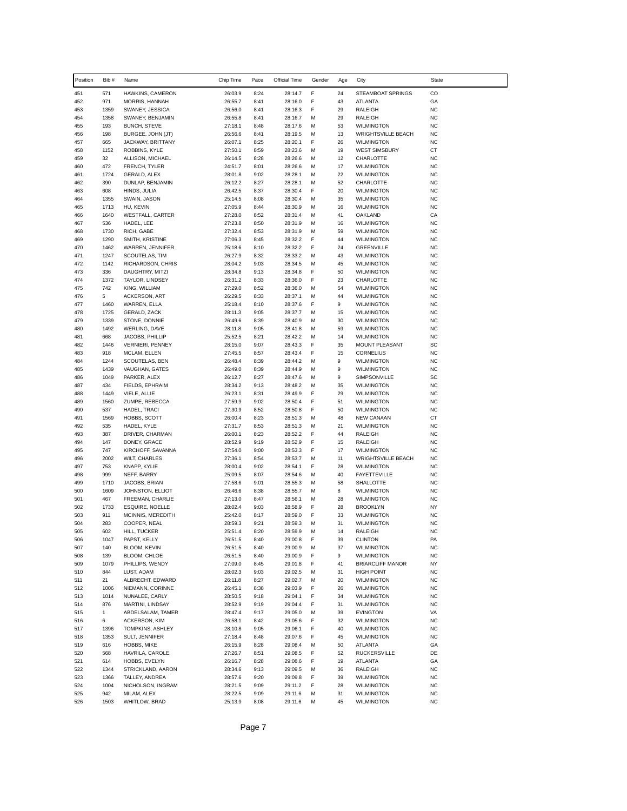| Position   | Bib #             | Name                                      | Chip Time          | Pace         | Official Time      | Gender | Age      | City                                           | State                  |
|------------|-------------------|-------------------------------------------|--------------------|--------------|--------------------|--------|----------|------------------------------------------------|------------------------|
| 451        | 571               | HAWKINS, CAMERON                          | 26:03.9            | 8:24         | 28:14.7            | F      | 24       | STEAMBOAT SPRINGS                              | CO                     |
| 452        | 971               | MORRIS, HANNAH                            | 26:55.7            | 8:41         | 28:16.0            | F      | 43       | ATLANTA                                        | GA                     |
| 453        | 1359              | SWANEY, JESSICA                           | 26:56.0            | 8:41         | 28:16.3            | F      | 29       | <b>RALEIGH</b>                                 | <b>NC</b>              |
| 454        | 1358              | SWANEY, BENJAMIN                          | 26:55.8            | 8:41         | 28:16.7            | М      | 29       | <b>RALEIGH</b>                                 | <b>NC</b>              |
| 455<br>456 | 193<br>198        | <b>BUNCH, STEVE</b><br>BURGEE, JOHN (JT)  | 27:18.1<br>26:56.6 | 8:48<br>8:41 | 28:17.6<br>28:19.5 | М<br>М | 53<br>13 | <b>WILMINGTON</b><br><b>WRIGHTSVILLE BEACH</b> | <b>NC</b><br><b>NC</b> |
| 457        | 665               | JACKWAY, BRITTANY                         | 26:07.1            | 8:25         | 28:20.1            | F      | 26       | <b>WILMINGTON</b>                              | <b>NC</b>              |
| 458        | 1152              | ROBBINS, KYLE                             | 27:50.1            | 8:59         | 28:23.6            | М      | 19       | <b>WEST SIMSBURY</b>                           | СT                     |
| 459        | 32                | ALLISON, MICHAEL                          | 26:14.5            | 8:28         | 28:26.6            | М      | 12       | CHARLOTTE                                      | <b>NC</b>              |
| 460        | 472               | FRENCH, TYLER                             | 24:51.7            | 8:01         | 28:26.6            | М      | 17       | <b>WILMINGTON</b>                              | <b>NC</b>              |
| 461        | 1724              | GERALD, ALEX                              | 28:01.8            | 9:02         | 28:28.1            | М      | 22       | <b>WILMINGTON</b>                              | <b>NC</b>              |
| 462<br>463 | 390               | DUNLAP, BENJAMIN                          | 26:12.2            | 8:27         | 28:28.1            | М<br>F | 52<br>20 | CHARLOTTE                                      | <b>NC</b><br><b>NC</b> |
| 464        | 608<br>1355       | HINDS, JULIA<br>SWAIN, JASON              | 26:42.5<br>25:14.5 | 8:37<br>8:08 | 28:30.4<br>28:30.4 | М      | 35       | <b>WILMINGTON</b><br><b>WILMINGTON</b>         | <b>NC</b>              |
| 465        | 1713              | HU, KEVIN                                 | 27:05.9            | 8:44         | 28:30.9            | M      | 16       | <b>WILMINGTON</b>                              | <b>NC</b>              |
| 466        | 1640              | WESTFALL, CARTER                          | 27:28.0            | 8:52         | 28:31.4            | М      | 41       | OAKLAND                                        | CA                     |
| 467        | 536               | HADEL, LEE                                | 27:23.8            | 8:50         | 28:31.9            | M      | 16       | <b>WILMINGTON</b>                              | <b>NC</b>              |
| 468        | 1730              | RICH, GABE                                | 27:32.4            | 8:53         | 28:31.9            | М      | 59       | <b>WILMINGTON</b>                              | <b>NC</b>              |
| 469        | 1290              | SMITH, KRISTINE                           | 27:06.3            | 8:45         | 28:32.2            | F<br>F | 44       | <b>WILMINGTON</b>                              | <b>NC</b><br><b>NC</b> |
| 470<br>471 | 1462<br>1247      | WARREN, JENNIFER<br>SCOUTELAS, TIM        | 25:18.6<br>26:27.9 | 8:10<br>8:32 | 28:32.2<br>28:33.2 | М      | 24<br>43 | GREENVILLE<br><b>WILMINGTON</b>                | <b>NC</b>              |
| 472        | 1142              | RICHARDSON, CHRIS                         | 28:04.2            | 9:03         | 28:34.5            | M      | 45       | <b>WILMINGTON</b>                              | <b>NC</b>              |
| 473        | 336               | DAUGHTRY, MITZI                           | 28:34.8            | 9:13         | 28:34.8            | F      | 50       | <b>WILMINGTON</b>                              | <b>NC</b>              |
| 474        | 1372              | TAYLOR, LINDSEY                           | 26:31.2            | 8:33         | 28:36.0            | F      | 23       | CHARLOTTE                                      | <b>NC</b>              |
| 475        | 742               | KING, WILLIAM                             | 27:29.0            | 8:52         | 28:36.0            | М      | 54       | <b>WILMINGTON</b>                              | <b>NC</b>              |
| 476        | 5                 | <b>ACKERSON, ART</b>                      | 26:29.5            | 8:33         | 28:37.1            | М      | 44       | <b>WILMINGTON</b>                              | <b>NC</b>              |
| 477<br>478 | 1460<br>1725      | WARREN, ELLA<br><b>GERALD, ZACK</b>       | 25:18.4<br>28:11.3 | 8:10<br>9:05 | 28:37.6<br>28:37.7 | F<br>М | 9<br>15  | <b>WILMINGTON</b><br><b>WILMINGTON</b>         | <b>NC</b><br><b>NC</b> |
| 479        | 1339              | STONE, DONNIE                             | 26:49.6            | 8:39         | 28:40.9            | М      | 30       | <b>WILMINGTON</b>                              | <b>NC</b>              |
| 480        | 1492              | WERLING, DAVE                             | 28:11.8            | 9:05         | 28:41.8            | М      | 59       | <b>WILMINGTON</b>                              | <b>NC</b>              |
| 481        | 668               | JACOBS, PHILLIP                           | 25:52.5            | 8:21         | 28:42.2            | М      | 14       | <b>WILMINGTON</b>                              | <b>NC</b>              |
| 482        | 1446              | <b>VERNIERI, PENNEY</b>                   | 28:15.0            | 9:07         | 28:43.3            | F      | 35       | MOUNT PLEASANT                                 | SC                     |
| 483        | 918               | MCLAM, ELLEN                              | 27:45.5            | 8:57         | 28:43.4            | F      | 15       | CORNELIUS                                      | <b>NC</b>              |
| 484        | 1244              | SCOUTELAS, BEN                            | 26:48.4            | 8:39         | 28:44.2            | М      | 9        | <b>WILMINGTON</b>                              | <b>NC</b>              |
| 485<br>486 | 1439<br>1049      | VAUGHAN, GATES<br>PARKER, ALEX            | 26:49.0<br>26:12.7 | 8:39<br>8:27 | 28:44.9<br>28:47.6 | М<br>М | 9<br>9   | <b>WILMINGTON</b><br>SIMPSONVILLE              | <b>NC</b><br>SC        |
| 487        | 434               | FIELDS, EPHRAIM                           | 28:34.2            | 9:13         | 28:48.2            | М      | 35       | <b>WILMINGTON</b>                              | <b>NC</b>              |
| 488        | 1449              | VIELE, ALLIE                              | 26:23.1            | 8:31         | 28:49.9            | F      | 29       | <b>WILMINGTON</b>                              | <b>NC</b>              |
| 489        | 1560              | ZUMPE, REBECCA                            | 27:59.9            | 9:02         | 28:50.4            | F      | 51       | <b>WILMINGTON</b>                              | <b>NC</b>              |
| 490        | 537               | HADEL, TRACI                              | 27:30.9            | 8:52         | 28:50.8            | F      | 50       | <b>WILMINGTON</b>                              | <b>NC</b>              |
| 491        | 1569              | HOBBS, SCOTT                              | 26:00.4            | 8:23         | 28:51.3            | М      | 48       | <b>NEW CANAAN</b>                              | СT                     |
| 492<br>493 | 535<br>387        | HADEL, KYLE                               | 27:31.7<br>26:00.1 | 8:53<br>8:23 | 28:51.3            | М<br>F | 21<br>44 | <b>WILMINGTON</b><br><b>RALEIGH</b>            | <b>NC</b><br><b>NC</b> |
| 494        | 147               | DRIVER, CHARMAN<br>BONEY, GRACE           | 28:52.9            | 9:19         | 28:52.2<br>28:52.9 | F      | 15       | RALEIGH                                        | <b>NC</b>              |
| 495        | 747               | KIRCHOFF, SAVANNA                         | 27:54.0            | 9:00         | 28:53.3            | F      | 17       | <b>WILMINGTON</b>                              | <b>NC</b>              |
| 496        | 2002              | <b>WILT, CHARLES</b>                      | 27:36.1            | 8:54         | 28:53.7            | М      | 11       | <b>WRIGHTSVILLE BEACH</b>                      | <b>NC</b>              |
| 497        | 753               | <b>KNAPP, KYLIE</b>                       | 28:00.4            | 9:02         | 28:54.1            | F      | 28       | <b>WILMINGTON</b>                              | <b>NC</b>              |
| 498        | 999               | NEFF, BARRY                               | 25:09.5            | 8:07         | 28:54.6            | М      | 40       | <b>FAYETTEVILLE</b>                            | <b>NC</b>              |
| 499        | 1710              | JACOBS, BRIAN                             | 27:58.6            | 9:01         | 28:55.3            | М      | 58       | SHALLOTTE                                      | <b>NC</b>              |
| 500<br>501 | 1609<br>467       | JOHNSTON, ELLIOT<br>FREEMAN, CHARLIE      | 26:46.6<br>27:13.0 | 8:38<br>8:47 | 28:55.7<br>28:56.1 | М<br>М | 8<br>28  | <b>WILMINGTON</b><br><b>WILMINGTON</b>         | <b>NC</b><br><b>NC</b> |
| 502        | 1733              | ESQUIRE, NOELLE                           | 28:02.4            | 9:03         | 28:58.9            | F      | 28       | BROOKLYN                                       | NY                     |
| 503        | 911               | MCINNIS, MEREDITH                         | 25:42.0            | 8:17         | 28:59.0            | F      | 33       | <b>WILMINGTON</b>                              | <b>NC</b>              |
| 504        | 283               | COOPER, NEAL                              | 28:59.3            | 9:21         | 28:59.3            | M      | 31       | <b>WILMINGTON</b>                              | <b>NC</b>              |
| 505        | 602               | HILL, TUCKER                              | 25:51.4            | 8:20         | 28:59.9            | м      | 14       | RALEIGH                                        | <b>NC</b>              |
| 506        | 1047              | PAPST, KELLY                              | 26:51.5            | 8:40         | 29:00.8            | F      | 39       | <b>CLINTON</b>                                 | PA                     |
| 507        | 140               | BLOOM, KEVIN                              | 26:51.5            | 8:40         | 29:00.9            | М      | 37       | <b>WILMINGTON</b>                              | <b>NC</b>              |
| 508<br>509 | 139<br>1079       | BLOOM, CHLOE<br>PHILLIPS, WENDY           | 26:51.5<br>27:09.0 | 8:40<br>8:45 | 29:00.9<br>29:01.8 | F<br>F | 9<br>41  | <b>WILMINGTON</b><br><b>BRIARCLIFF MANOR</b>   | NC<br>NY               |
| 510        | 844               | LUST, ADAM                                | 28:02.3            | 9:03         | 29:02.5            | м      | 31       | <b>HIGH POINT</b>                              | <b>NC</b>              |
| 511        | 21                | ALBRECHT, EDWARD                          | 26:11.8            | 8:27         | 29:02.7            | М      | 20       | <b>WILMINGTON</b>                              | <b>NC</b>              |
| 512        | 1006              | NIEMANN, CORINNE                          | 26:45.1            | 8:38         | 29:03.9            | F      | 26       | <b>WILMINGTON</b>                              | <b>NC</b>              |
| 513        | 1014              | NUNALEE, CARLY                            | 28:50.5            | 9:18         | 29:04.1            | F      | 34       | <b>WILMINGTON</b>                              | <b>NC</b>              |
| 514        | 876               | MARTINI, LINDSAY                          | 28:52.9            | 9:19         | 29:04.4            | F      | 31       | <b>WILMINGTON</b>                              | <b>NC</b>              |
| 515<br>516 | $\mathbf{1}$<br>6 | ABDELSALAM, TAMER<br><b>ACKERSON, KIM</b> | 28:47.4<br>26:58.1 | 9:17<br>8:42 | 29:05.0<br>29:05.6 | М<br>F | 39<br>32 | <b>EVINGTON</b>                                | VA<br><b>NC</b>        |
| 517        | 1396              | TOMPKINS, ASHLEY                          | 28:10.8            | 9:05         | 29:06.1            | F      | 40       | WILMINGTON<br><b>WILMINGTON</b>                | NC                     |
| 518        | 1353              | SULT, JENNIFER                            | 27:18.4            | 8:48         | 29:07.6            | F      | 45       | <b>WILMINGTON</b>                              | NC                     |
| 519        | 616               | HOBBS, MIKE                               | 26:15.9            | 8:28         | 29:08.4            | М      | 50       | ATLANTA                                        | GA                     |
| 520        | 568               | HAVRILA, CAROLE                           | 27:26.7            | 8:51         | 29:08.5            | F      | 52       | <b>RUCKERSVILLE</b>                            | DE                     |
| 521        | 614               | HOBBS, EVELYN                             | 26:16.7            | 8:28         | 29:08.6            | F      | 19       | ATLANTA                                        | GA                     |
| 522        | 1344              | STRICKLAND, AARON                         | 28:34.6            | 9:13         | 29:09.5            | М      | 36       | RALEIGH                                        | <b>NC</b>              |
| 523        | 1366              | TALLEY, ANDREA                            | 28:57.6            | 9:20         | 29:09.8            | F      | 39       | <b>WILMINGTON</b>                              | <b>NC</b>              |
| 524<br>525 | 1004<br>942       | NICHOLSON, INGRAM<br>MILAM, ALEX          | 28:21.5<br>28:22.5 | 9:09<br>9:09 | 29:11.2<br>29:11.6 | F<br>М | 28<br>31 | <b>WILMINGTON</b><br>WILMINGTON                | NC<br><b>NC</b>        |
| 526        | 1503              | WHITLOW, BRAD                             | 25:13.9            | 8:08         | 29:11.6            | м      | 45       | WILMINGTON                                     | NC                     |
|            |                   |                                           |                    |              |                    |        |          |                                                |                        |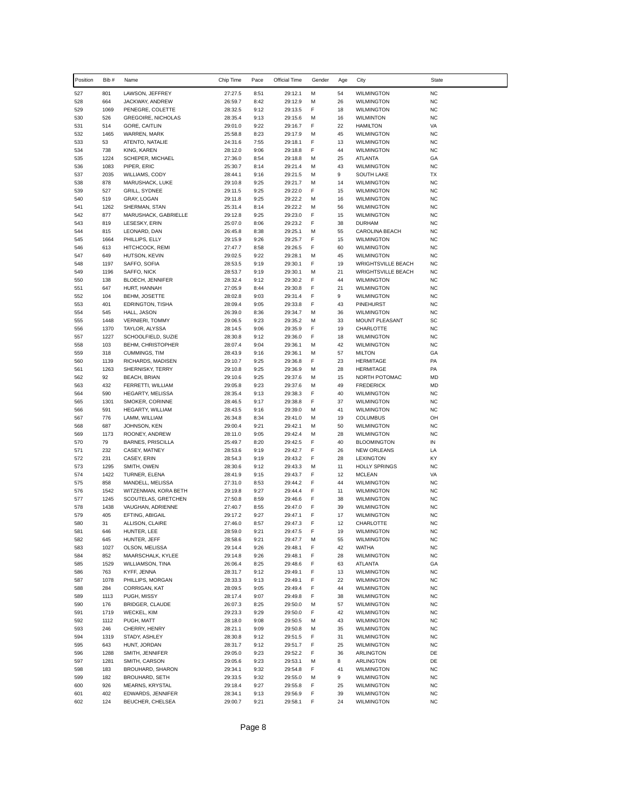| Position   | Bib #        | Name                                  | Chip Time          | Pace         | Official Time      | Gender | Age      | City                                                   | <b>State</b>           |
|------------|--------------|---------------------------------------|--------------------|--------------|--------------------|--------|----------|--------------------------------------------------------|------------------------|
| 527        | 801          | LAWSON, JEFFREY                       | 27:27.5            | 8:51         | 29:12.1            | M      | 54       | <b>WILMINGTON</b>                                      | <b>NC</b>              |
| 528        | 664          | JACKWAY, ANDREW                       | 26:59.7            | 8:42         | 29:12.9            | M      | 26       | <b>WILMINGTON</b>                                      | <b>NC</b>              |
| 529        | 1069         | PENEGRE, COLETTE                      | 28:32.5            | 9:12         | 29:13.5            | F      | 18       | <b>WILMINGTON</b>                                      | <b>NC</b>              |
| 530        | 526          | <b>GREGOIRE, NICHOLAS</b>             | 28:35.4            | 9:13         | 29:15.6            | М      | 16       | <b>WILMINTON</b>                                       | <b>NC</b>              |
| 531        | 514          | GORE, CAITLIN                         | 29:01.0            | 9:22         | 29:16.7            | F      | 22       | <b>HAMILTON</b>                                        | VA                     |
| 532        | 1465         | WARREN, MARK                          | 25:58.8            | 8:23         | 29:17.9            | M      | 45       | <b>WILMINGTON</b>                                      | <b>NC</b>              |
| 533        | 53           | ATENTO, NATALIE                       | 24:31.6            | 7:55         | 29:18.1            | F      | 13       | <b>WILMINGTON</b>                                      | <b>NC</b>              |
| 534        | 738          | KING, KAREN                           | 28:12.0            | 9:06         | 29:18.8            | F      | 44       | <b>WILMINGTON</b>                                      | <b>NC</b>              |
| 535<br>536 | 1224<br>1083 | SCHEPER, MICHAEL<br>PIPER, ERIC       | 27:36.0<br>25:30.7 | 8:54<br>8:14 | 29:18.8<br>29:21.4 | M<br>M | 25<br>43 | ATLANTA<br><b>WILMINGTON</b>                           | GA<br><b>NC</b>        |
| 537        | 2035         | WILLIAMS, CODY                        | 28:44.1            | 9:16         | 29:21.5            | М      | 9        | <b>SOUTH LAKE</b>                                      | <b>TX</b>              |
| 538        | 878          | MARUSHACK, LUKE                       | 29:10.8            | 9:25         | 29:21.7            | M      | 14       | <b>WILMINGTON</b>                                      | <b>NC</b>              |
| 539        | 527          | <b>GRILL, SYDNEE</b>                  | 29:11.5            | 9:25         | 29:22.0            | F      | 15       | <b>WILMINGTON</b>                                      | <b>NC</b>              |
| 540        | 519          | GRAY, LOGAN                           | 29:11.8            | 9:25         | 29:22.2            | М      | 16       | <b>WILMINGTON</b>                                      | <b>NC</b>              |
| 541        | 1262         | SHERMAN, STAN                         | 25:31.4            | 8:14         | 29:22.2            | М      | 56       | <b>WILMINGTON</b>                                      | <b>NC</b>              |
| 542        | 877          | MARUSHACK, GABRIELLE                  | 29:12.8            | 9:25         | 29:23.0            | F      | 15       | <b>WILMINGTON</b>                                      | <b>NC</b>              |
| 543        | 819          | LESESKY, ERIN                         | 25:07.0            | 8:06         | 29:23.2            | F      | 38       | <b>DURHAM</b>                                          | <b>NC</b>              |
| 544        | 815          | LEONARD, DAN                          | 26:45.8            | 8:38         | 29:25.1            | М      | 55       | CAROLINA BEACH                                         | <b>NC</b>              |
| 545        | 1664         | PHILLIPS, ELLY                        | 29:15.9            | 9:26         | 29:25.7            | F      | 15       | <b>WILMINGTON</b>                                      | <b>NC</b>              |
| 546        | 613          | HITCHCOCK, REMI                       | 27:47.7            | 8:58         | 29:26.5            | F      | 60       | <b>WILMINGTON</b>                                      | <b>NC</b>              |
| 547        | 649          | HUTSON, KEVIN                         | 29:02.5            | 9:22         | 29:28.1            | М<br>F | 45       | <b>WILMINGTON</b>                                      | <b>NC</b><br><b>NC</b> |
| 548<br>549 | 1197<br>1196 | SAFFO, SOFIA<br>SAFFO, NICK           | 28:53.5<br>28:53.7 | 9:19<br>9:19 | 29:30.1<br>29:30.1 | м      | 19<br>21 | <b>WRIGHTSVILLE BEACH</b><br><b>WRIGHTSVILLE BEACH</b> | <b>NC</b>              |
| 550        | 138          | BLOECH, JENNIFER                      | 28:32.4            | 9:12         | 29:30.2            | F      | 44       | <b>WILMINGTON</b>                                      | <b>NC</b>              |
| 551        | 647          | HURT, HANNAH                          | 27:05.9            | 8:44         | 29:30.8            | F      | 21       | <b>WILMINGTON</b>                                      | <b>NC</b>              |
| 552        | 104          | BEHM, JOSETTE                         | 28:02.8            | 9:03         | 29:31.4            | F      | 9        | <b>WILMINGTON</b>                                      | <b>NC</b>              |
| 553        | 401          | EDRINGTON, TISHA                      | 28:09.4            | 9:05         | 29:33.8            | F      | 43       | PINEHURST                                              | <b>NC</b>              |
| 554        | 545          | HALL, JASON                           | 26:39.0            | 8:36         | 29:34.7            | м      | 36       | <b>WILMINGTON</b>                                      | <b>NC</b>              |
| 555        | 1448         | <b>VERNIERI, TOMMY</b>                | 29:06.5            | 9:23         | 29:35.2            | М      | 33       | MOUNT PLEASANT                                         | SC                     |
| 556        | 1370         | TAYLOR, ALYSSA                        | 28:14.5            | 9:06         | 29:35.9            | F      | 19       | <b>CHARLOTTE</b>                                       | <b>NC</b>              |
| 557        | 1227         | SCHOOLFIELD, SUZIE                    | 28:30.8            | 9:12         | 29:36.0            | F      | 18       | <b>WILMINGTON</b>                                      | <b>NC</b>              |
| 558        | 103          | BEHM, CHRISTOPHER                     | 28:07.4            | 9:04         | 29:36.1            | М      | 42       | <b>WILMINGTON</b>                                      | <b>NC</b>              |
| 559        | 318          | CUMMINGS, TIM                         | 28:43.9            | 9:16         | 29:36.1            | М      | 57       | <b>MILTON</b>                                          | GA                     |
| 560        | 1139         | RICHARDS, MADISEN                     | 29:10.7            | 9:25         | 29:36.8            | F      | 23       | <b>HERMITAGE</b>                                       | PA                     |
| 561        | 1263         | SHERNISKY, TERRY                      | 29:10.8            | 9:25         | 29:36.9            | М      | 28       | <b>HERMITAGE</b>                                       | PA                     |
| 562<br>563 | 92<br>432    | <b>BEACH, BRIAN</b>                   | 29:10.6<br>29:05.8 | 9:25<br>9:23 | 29:37.6            | М<br>м | 15<br>49 | NORTH POTOMAC<br><b>FREDERICK</b>                      | MD<br><b>MD</b>        |
| 564        | 590          | FERRETTI, WILLIAM<br>HEGARTY, MELISSA | 28:35.4            | 9:13         | 29:37.6<br>29:38.3 | F      | 40       | <b>WILMINGTON</b>                                      | <b>NC</b>              |
| 565        | 1301         | SMOKER, CORINNE                       | 28:46.5            | 9:17         | 29:38.8            | F      | 37       | <b>WILMINGTON</b>                                      | <b>NC</b>              |
| 566        | 591          | <b>HEGARTY, WILLIAM</b>               | 28:43.5            | 9:16         | 29:39.0            | М      | 41       | <b>WILMINGTON</b>                                      | <b>NC</b>              |
| 567        | 776          | LAMM, WILLIAM                         | 26:34.8            | 8:34         | 29:41.0            | M      | 19       | <b>COLUMBUS</b>                                        | OH                     |
| 568        | 687          | JOHNSON, KEN                          | 29:00.4            | 9:21         | 29:42.1            | м      | 50       | <b>WILMINGTON</b>                                      | <b>NC</b>              |
| 569        | 1173         | ROONEY, ANDREW                        | 28:11.0            | 9:05         | 29:42.4            | M      | 28       | <b>WILMINGTON</b>                                      | <b>NC</b>              |
| 570        | 79           | <b>BARNES, PRISCILLA</b>              | 25:49.7            | 8:20         | 29:42.5            | F      | 40       | <b>BLOOMINGTON</b>                                     | IN                     |
| 571        | 232          | CASEY, MATNEY                         | 28:53.6            | 9:19         | 29:42.7            | F      | 26       | <b>NEW ORLEANS</b>                                     | LA                     |
| 572        | 231          | CASEY, ERIN                           | 28:54.3            | 9:19         | 29:43.2            | F      | 28       | <b>LEXINGTON</b>                                       | KY                     |
| 573        | 1295         | SMITH, OWEN                           | 28:30.6            | 9:12         | 29:43.3            | М      | 11       | <b>HOLLY SPRINGS</b>                                   | <b>NC</b>              |
| 574<br>575 | 1422<br>858  | TURNER, ELENA<br>MANDELL, MELISSA     | 28:41.9<br>27:31.0 | 9:15<br>8:53 | 29:43.7<br>29:44.2 | F<br>F | 12<br>44 | <b>MCLEAN</b><br><b>WILMINGTON</b>                     | VA<br><b>NC</b>        |
| 576        | 1542         | WITZENMAN, KORA BETH                  | 29:19.8            | 9:27         | 29:44.4            | F      | 11       | <b>WILMINGTON</b>                                      | <b>NC</b>              |
| 577        | 1245         | SCOUTELAS, GRETCHEN                   | 27:50.8            | 8:59         | 29:46.6            | F      | 38       | <b>WILMINGTON</b>                                      | <b>NC</b>              |
| 578        | 1438         | VAUGHAN, ADRIENNE                     | 27:40.7            | 8:55         | 29:47.0            | F      | 39       | <b>WILMINGTON</b>                                      | <b>NC</b>              |
| 579        | 405          | EFTING, ABIGAIL                       | 29:17.2            | 9:27         | 29:47.1            | F      | 17       | <b>WILMINGTON</b>                                      | <b>NC</b>              |
| 580        | 31           | ALLISON, CLAIRE                       | 27:46.0            | 8:57         | 29:47.3            | F      | 12       | CHARLOTTE                                              | <b>NC</b>              |
| 581        | 646          | HUNTER, LEE                           | 28:59.0            | 9:21         | 29:47.5            | F      | 19       | <b>WILMINGTON</b>                                      | <b>NC</b>              |
| 582        | 645          | HUNTER, JEFF                          | 28:58.6            | 9:21         | 29:47.7            | М      | 55       | <b>WILMINGTON</b>                                      | <b>NC</b>              |
| 583        | 1027         | OLSON, MELISSA                        | 29:14.4            | 9:26         | 29:48.1            | F      | 42       | <b>WATHA</b>                                           | <b>NC</b>              |
| 584        | 852          | MAARSCHALK, KYLEE                     | 29:14.8            | 9:26         | 29:48.1            | F      | 28       | <b>WILMINGTON</b>                                      | <b>NC</b>              |
| 585        | 1529         | WILLIAMSON, TINA                      | 26:06.4            | 8:25         | 29:48.6            | F      | 63       | <b>ATLANTA</b>                                         | GA                     |
| 586        | 763          | KYFF, JENNA                           | 28:31.7            | 9:12         | 29:49.1            | F      | 13       | <b>WILMINGTON</b>                                      | <b>NC</b>              |
| 587<br>588 | 1078<br>284  | PHILLIPS, MORGAN<br>CORRIGAN, KAT     | 28:33.3<br>28:09.5 | 9:13<br>9:05 | 29:49.1<br>29:49.4 | F<br>F | 22<br>44 | <b>WILMINGTON</b>                                      | <b>NC</b><br><b>NC</b> |
| 589        | 1113         | PUGH, MISSY                           | 28:17.4            | 9:07         | 29:49.8            | F      | 38       | <b>WILMINGTON</b><br><b>WILMINGTON</b>                 | <b>NC</b>              |
| 590        | 176          | BRIDGER, CLAUDE                       | 26:07.3            | 8:25         | 29:50.0            | М      | 57       | <b>WILMINGTON</b>                                      | <b>NC</b>              |
| 591        | 1719         | WECKEL, KIM                           | 29:23.3            | 9:29         | 29:50.0            | F      | 42       | <b>WILMINGTON</b>                                      | <b>NC</b>              |
| 592        | 1112         | PUGH, MATT                            | 28:18.0            | 9:08         | 29:50.5            | М      | 43       | <b>WILMINGTON</b>                                      | <b>NC</b>              |
| 593        | 246          | CHERRY, HENRY                         | 28:21.1            | 9:09         | 29:50.8            | М      | 35       | <b>WILMINGTON</b>                                      | <b>NC</b>              |
| 594        | 1319         | STADY, ASHLEY                         | 28:30.8            | 9:12         | 29:51.5            | F      | 31       | <b>WILMINGTON</b>                                      | <b>NC</b>              |
| 595        | 643          | HUNT, JORDAN                          | 28:31.7            | 9:12         | 29:51.7            | F      | 25       | <b>WILMINGTON</b>                                      | <b>NC</b>              |
| 596        | 1288         | SMITH, JENNIFER                       | 29:05.0            | 9:23         | 29:52.2            | F      | 36       | ARLINGTON                                              | DE                     |
| 597        | 1281         | SMITH, CARSON                         | 29:05.6            | 9:23         | 29:53.1            | М      | 8        | ARLINGTON                                              | DE                     |
| 598        | 183          | BROUHARD, SHARON                      | 29:34.1            | 9:32         | 29:54.8            | F      | 41       | <b>WILMINGTON</b>                                      | <b>NC</b>              |
| 599        | 182          | BROUHARD, SETH                        | 29:33.5            | 9:32         | 29:55.0            | М      | 9        | <b>WILMINGTON</b>                                      | <b>NC</b>              |
| 600        | 926          | MEARNS, KRYSTAL                       | 29:18.4            | 9:27         | 29:55.8            | F      | 25       | <b>WILMINGTON</b>                                      | <b>NC</b>              |
| 601<br>602 | 402<br>124   | EDWARDS, JENNIFER<br>BEUCHER, CHELSEA | 28:34.1<br>29:00.7 | 9:13<br>9:21 | 29:56.9<br>29:58.1 | F<br>F | 39<br>24 | <b>WILMINGTON</b><br><b>WILMINGTON</b>                 | <b>NC</b><br><b>NC</b> |
|            |              |                                       |                    |              |                    |        |          |                                                        |                        |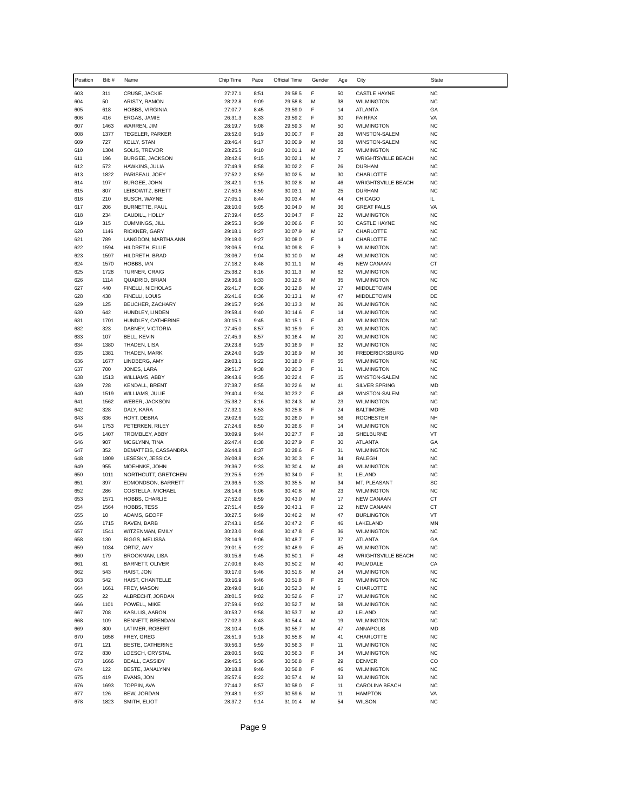| Position   | Bib #        | Name                                    | Chip Time          | Pace         | Official Time      | Gender | Age            | City                                       | State                  |
|------------|--------------|-----------------------------------------|--------------------|--------------|--------------------|--------|----------------|--------------------------------------------|------------------------|
| 603        | 311          | CRUSE, JACKIE                           | 27:27.1            | 8:51         | 29:58.5            | F      | 50             | <b>CASTLE HAYNE</b>                        | <b>NC</b>              |
| 604        | 50           | ARISTY, RAMON                           | 28:22.8            | 9:09         | 29:58.8            | М      | 38             | <b>WILMINGTON</b>                          | <b>NC</b>              |
| 605        | 618          | HOBBS, VIRGINIA                         | 27:07.7            | 8:45         | 29:59.0            | F      | 14             | ATLANTA                                    | GA                     |
| 606<br>607 | 416<br>1463  | ERGAS, JAMIE<br>WARREN, JIM             | 26:31.3            | 8:33<br>9:08 | 29:59.2            | F      | 30<br>50       | <b>FAIRFAX</b><br><b>WILMINGTON</b>        | VA<br><b>NC</b>        |
| 608        | 1377         | TEGELER, PARKER                         | 28:19.7<br>28:52.0 | 9:19         | 29:59.3<br>30:00.7 | М<br>F | 28             | WINSTON-SALEM                              | <b>NC</b>              |
| 609        | 727          | <b>KELLY, STAN</b>                      | 28:46.4            | 9:17         | 30:00.9            | М      | 58             | WINSTON-SALEM                              | <b>NC</b>              |
| 610        | 1304         | SOLIS, TREVOR                           | 28:25.5            | 9:10         | 30:01.1            | М      | 25             | <b>WILMINGTON</b>                          | <b>NC</b>              |
| 611        | 196          | BURGEE, JACKSON                         | 28:42.6            | 9:15         | 30:02.1            | M      | $\overline{7}$ | <b>WRIGHTSVILLE BEACH</b>                  | <b>NC</b>              |
| 612        | 572          | HAWKINS, JULIA                          | 27:49.9            | 8:58         | 30:02.2            | F      | 26             | <b>DURHAM</b>                              | <b>NC</b>              |
| 613        | 1822         | PARISEAU, JOEY                          | 27:52.2            | 8:59         | 30:02.5            | М      | 30             | CHARLOTTE                                  | <b>NC</b>              |
| 614<br>615 | 197<br>807   | BURGEE, JOHN<br>LEIBOWITZ, BRETT        | 28:42.1<br>27:50.5 | 9:15<br>8:59 | 30:02.8<br>30:03.1 | M<br>M | 46<br>25       | <b>WRIGHTSVILLE BEACH</b><br><b>DURHAM</b> | <b>NC</b><br><b>NC</b> |
| 616        | 210          | <b>BUSCH, WAYNE</b>                     | 27:05.1            | 8:44         | 30:03.4            | М      | 44             | <b>CHICAGO</b>                             | IL.                    |
| 617        | 206          | BURNETTE, PAUL                          | 28:10.0            | 9:05         | 30:04.0            | M      | 36             | <b>GREAT FALLS</b>                         | VA                     |
| 618        | 234          | CAUDILL, HOLLY                          | 27:39.4            | 8:55         | 30:04.7            | F      | 22             | <b>WILMINGTON</b>                          | <b>NC</b>              |
| 619        | 315          | CUMMINGS, JILL                          | 29:55.3            | 9:39         | 30:06.6            | F      | 50             | <b>CASTLE HAYNE</b>                        | <b>NC</b>              |
| 620        | 1146         | RICKNER, GARY                           | 29:18.1            | 9:27         | 30:07.9            | М      | 67             | CHARLOTTE                                  | <b>NC</b>              |
| 621        | 789          | LANGDON, MARTHA ANN                     | 29:18.0            | 9:27         | 30:08.0            | F      | 14             | CHARLOTTE                                  | <b>NC</b>              |
| 622<br>623 | 1594<br>1597 | HILDRETH, ELLIE<br>HILDRETH, BRAD       | 28:06.5<br>28:06.7 | 9:04<br>9:04 | 30:09.8<br>30:10.0 | F<br>М | 9<br>48        | <b>WILMINGTON</b><br><b>WILMINGTON</b>     | <b>NC</b><br><b>NC</b> |
| 624        | 1570         | HOBBS, IAN                              | 27:18.2            | 8:48         | 30:11.1            | М      | 45             | <b>NEW CANAAN</b>                          | СT                     |
| 625        | 1728         | TURNER, CRAIG                           | 25:38.2            | 8:16         | 30:11.3            | М      | 62             | <b>WILMINGTON</b>                          | <b>NC</b>              |
| 626        | 1114         | QUADRIO, BRIAN                          | 29:36.8            | 9:33         | 30:12.6            | M      | 35             | <b>WILMINGTON</b>                          | <b>NC</b>              |
| 627        | 440          | FINELLI, NICHOLAS                       | 26:41.7            | 8:36         | 30:12.8            | М      | 17             | MIDDLETOWN                                 | DE                     |
| 628        | 438          | FINELLI, LOUIS                          | 26:41.6            | 8:36         | 30:13.1            | М      | 47             | <b>MIDDLETOWN</b>                          | DE                     |
| 629        | 125          | BEUCHER, ZACHARY                        | 29:15.7            | 9:26         | 30:13.3            | M<br>F | 26             | <b>WILMINGTON</b>                          | <b>NC</b>              |
| 630<br>631 | 642<br>1701  | HUNDLEY, LINDEN<br>HUNDLEY, CATHERINE   | 29:58.4<br>30:15.1 | 9:40<br>9:45 | 30:14.6<br>30:15.1 | F      | 14<br>43       | <b>WILMINGTON</b><br><b>WILMINGTON</b>     | <b>NC</b><br><b>NC</b> |
| 632        | 323          | DABNEY, VICTORIA                        | 27:45.0            | 8:57         | 30:15.9            | F      | 20             | <b>WILMINGTON</b>                          | <b>NC</b>              |
| 633        | 107          | BELL, KEVIN                             | 27:45.9            | 8:57         | 30:16.4            | M      | 20             | <b>WILMINGTON</b>                          | <b>NC</b>              |
| 634        | 1380         | THADEN, LISA                            | 29:23.8            | 9:29         | 30:16.9            | F      | 32             | <b>WILMINGTON</b>                          | <b>NC</b>              |
| 635        | 1381         | THADEN, MARK                            | 29:24.0            | 9:29         | 30:16.9            | М      | 36             | <b>FREDERICKSBURG</b>                      | MD                     |
| 636        | 1677         | LINDBERG, AMY                           | 29:03.1            | 9:22         | 30:18.0            | F      | 55             | <b>WILMINGTON</b>                          | <b>NC</b>              |
| 637<br>638 | 700<br>1513  | JONES, LARA<br>WILLIAMS, ABBY           | 29:51.7<br>29:43.6 | 9:38<br>9:35 | 30:20.3<br>30:22.4 | F<br>F | 31<br>15       | <b>WILMINGTON</b><br>WINSTON-SALEM         | <b>NC</b><br><b>NC</b> |
| 639        | 728          | <b>KENDALL, BRENT</b>                   | 27:38.7            | 8:55         | 30:22.6            | M      | 41             | <b>SILVER SPRING</b>                       | <b>MD</b>              |
| 640        | 1519         | WILLIAMS, JULIE                         | 29:40.4            | 9:34         | 30:23.2            | F      | 48             | WINSTON-SALEM                              | <b>NC</b>              |
| 641        | 1562         | WEBER, JACKSON                          | 25:38.2            | 8:16         | 30:24.3            | М      | 23             | <b>WILMINGTON</b>                          | <b>NC</b>              |
| 642        | 328          | DALY, KARA                              | 27:32.1            | 8:53         | 30:25.8            | F      | 24             | <b>BALTIMORE</b>                           | MD                     |
| 643        | 636          | HOYT, DEBRA                             | 29:02.6            | 9:22         | 30:26.0            | F      | 56             | <b>ROCHESTER</b>                           | NH                     |
| 644<br>645 | 1753<br>1407 | PETERKEN, RILEY<br>TROMBLEY, ABBY       | 27:24.6<br>30:09.9 | 8:50<br>9:44 | 30:26.6<br>30:27.7 | F<br>F | 14<br>18       | <b>WILMINGTON</b><br>SHELBURNE             | <b>NC</b><br>VT        |
| 646        | 907          | MCGLYNN, TINA                           | 26:47.4            | 8:38         | 30:27.9            | F      | 30             | <b>ATLANTA</b>                             | GA                     |
| 647        | 352          | DEMATTEIS, CASSANDRA                    | 26:44.8            | 8:37         | 30:28.6            | F      | 31             | <b>WILMINGTON</b>                          | <b>NC</b>              |
| 648        | 1809         | LESESKY, JESSICA                        | 26:08.8            | 8:26         | 30:30.3            | F      | 34             | RALEGH                                     | <b>NC</b>              |
| 649        | 955          | MOEHNKE, JOHN                           | 29:36.7            | 9:33         | 30:30.4            | M      | 49             | <b>WILMINGTON</b>                          | <b>NC</b>              |
| 650        | 1011         | NORTHCUTT, GRETCHEN                     | 29:25.5            | 9:29         | 30:34.0            | F      | 31             | LELAND                                     | <b>NC</b>              |
| 651<br>652 | 397<br>286   | EDMONDSON, BARRETT<br>COSTELLA, MICHAEL | 29:36.5<br>28:14.8 | 9:33<br>9:06 | 30:35.5<br>30:40.8 | М<br>М | 34<br>23       | MT. PLEASANT<br><b>WILMINGTON</b>          | SC<br><b>NC</b>        |
| 653        | 1571         | HOBBS, CHARLIE                          | 27:52.0            | 8:59         | 30:43.0            | М      | 17             | <b>NEW CANAAN</b>                          | CT                     |
| 654        | 1564         | HOBBS, TESS                             | 27:51.4            | 8:59         | 30:43.1            | F      | 12             | <b>NEW CANAAN</b>                          | CT                     |
| 655        | 10           | ADAMS, GEOFF                            | 30:27.5            | 9:49         | 30:46.2            | М      | 47             | <b>BURLINGTON</b>                          | VT                     |
| 656        | 1715         | RAVEN, BARB                             | 27:43.1            | 8:56         | 30:47.2            | F      | 46             | LAKELAND                                   | MN                     |
| 657        | 1541         | WITZENMAN, EMILY                        | 30:23.0            | 9:48         | 30:47.8            | F      | 36             | <b>WILMINGTON</b>                          | NC                     |
| 658<br>659 | 130<br>1034  | <b>BIGGS, MELISSA</b><br>ORTIZ, AMY     | 28:14.9<br>29:01.5 | 9:06<br>9:22 | 30:48.7            | F<br>F | 37             | ATLANTA<br><b>WILMINGTON</b>               | GA<br>NC               |
| 660        | 179          | BROOKMAN, LISA                          | 30:15.8            | 9:45         | 30:48.9<br>30:50.1 | F      | 45<br>48       | <b>WRIGHTSVILLE BEACH</b>                  | NC                     |
| 661        | 81           | <b>BARNETT, OLIVER</b>                  | 27:00.6            | 8:43         | 30:50.2            | M      | 40             | PALMDALE                                   | CA                     |
| 662        | 543          | HAIST, JON                              | 30:17.0            | 9:46         | 30:51.6            | М      | 24             | <b>WILMINGTON</b>                          | <b>NC</b>              |
| 663        | 542          | HAIST, CHANTELLE                        | 30:16.9            | 9:46         | 30:51.8            | F      | 25             | <b>WILMINGTON</b>                          | <b>NC</b>              |
| 664        | 1661         | FREY, MASON                             | 28:49.0            | 9:18         | 30:52.3            | M      | 6              | CHARLOTTE                                  | <b>NC</b>              |
| 665        | 22           | ALBRECHT, JORDAN                        | 28:01.5            | 9:02         | 30:52.6            | F      | 17             | <b>WILMINGTON</b>                          | <b>NC</b>              |
| 666        | 1101<br>708  | POWELL, MIKE<br>KASULIS, AARON          | 27:59.6            | 9:02<br>9:58 | 30:52.7            | М<br>М | 58<br>42       | <b>WILMINGTON</b>                          | <b>NC</b><br><b>NC</b> |
| 667<br>668 | 109          | BENNETT, BRENDAN                        | 30:53.7<br>27:02.3 | 8:43         | 30:53.7<br>30:54.4 | М      | 19             | LELAND<br><b>WILMINGTON</b>                | <b>NC</b>              |
| 669        | 800          | LATIMER, ROBERT                         | 28:10.4            | 9:05         | 30:55.7            | М      | 47             | ANNAPOLIS                                  | MD                     |
| 670        | 1658         | FREY, GREG                              | 28:51.9            | 9:18         | 30:55.8            | М      | 41             | CHARLOTTE                                  | <b>NC</b>              |
| 671        | 121          | BESTE, CATHERINE                        | 30:56.3            | 9:59         | 30:56.3            | F      | 11             | <b>WILMINGTON</b>                          | <b>NC</b>              |
| 672        | 830          | LOESCH, CRYSTAL                         | 28:00.5            | 9:02         | 30:56.3            | F      | 34             | <b>WILMINGTON</b>                          | <b>NC</b>              |
| 673        | 1666         | <b>BEALL, CASSIDY</b>                   | 29:45.5            | 9:36         | 30:56.8            | F      | 29             | DENVER                                     | CO                     |
| 674        | 122          | BESTE, JANALYNN                         | 30:18.8            | 9:46         | 30:56.8            | F      | 46             | <b>WILMINGTON</b>                          | <b>NC</b>              |
| 675<br>676 | 419<br>1693  | EVANS, JON<br>TOPPIN, AVA               | 25:57.6<br>27:44.2 | 8:22<br>8:57 | 30:57.4<br>30:58.0 | М<br>F | 53<br>11       | <b>WILMINGTON</b><br>CAROLINA BEACH        | <b>NC</b><br><b>NC</b> |
| 677        | 126          | BEW, JORDAN                             | 29:48.1            | 9:37         | 30:59.6            | М      | 11             | <b>HAMPTON</b>                             | VA                     |
| 678        | 1823         | SMITH, ELIOT                            | 28:37.2            | 9:14         | 31:01.4            | М      | 54             | <b>WILSON</b>                              | <b>NC</b>              |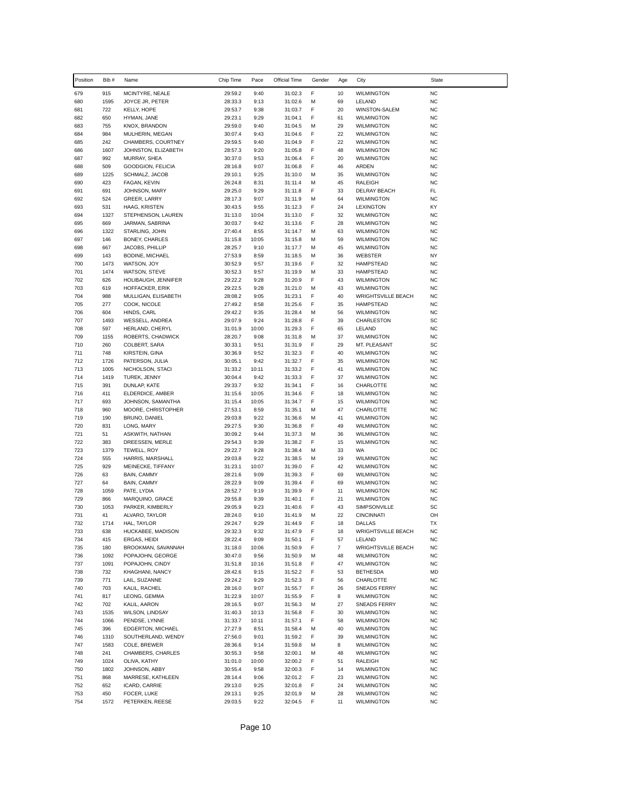| Position   | Bib#         | Name                                    | Chip Time          | Pace          | Official Time      | Gender | Age            | City                                   | State                  |
|------------|--------------|-----------------------------------------|--------------------|---------------|--------------------|--------|----------------|----------------------------------------|------------------------|
| 679        | 915          | MCINTYRE, NEALE                         | 29:59.2            | 9:40          | 31:02.3            | F      | 10             | <b>WILMINGTON</b>                      | <b>NC</b>              |
| 680        | 1595         | JOYCE JR, PETER                         | 28:33.3            | 9:13          | 31:02.6            | м      | 69             | LELAND                                 | <b>NC</b>              |
| 681        | 722          | KELLY, HOPE                             | 29:53.7            | 9:38          | 31:03.7            | F      | 20             | WINSTON-SALEM                          | <b>NC</b>              |
| 682        | 650          | HYMAN, JANE                             | 29:23.1            | 9:29          | 31:04.1            | F      | 61             | <b>WILMINGTON</b>                      | <b>NC</b>              |
| 683        | 755          | KNOX, BRANDON                           | 29:59.0            | 9:40          | 31:04.5            | М      | 29             | <b>WILMINGTON</b>                      | <b>NC</b>              |
| 684        | 984          | MULHERIN, MEGAN                         | 30:07.4            | 9:43          | 31:04.6            | F      | 22             | <b>WILMINGTON</b>                      | <b>NC</b>              |
| 685        | 242          | CHAMBERS, COURTNEY                      | 29:59.5            | 9:40          | 31:04.9            | F      | 22             | <b>WILMINGTON</b>                      | <b>NC</b>              |
| 686<br>687 | 1607<br>992  | JOHNSTON, ELIZABETH<br>MURRAY, SHEA     | 28:57.3<br>30:37.0 | 9:20<br>9:53  | 31:05.8<br>31:06.4 | F<br>F | 48<br>20       | <b>WILMINGTON</b><br><b>WILMINGTON</b> | <b>NC</b><br><b>NC</b> |
| 688        | 509          | GOODGION, FELICIA                       | 28:16.8            | 9:07          | 31:06.8            | F      | 46             | ARDEN                                  | <b>NC</b>              |
| 689        | 1225         | SCHMALZ, JACOB                          | 29:10.1            | 9:25          | 31:10.0            | М      | 35             | <b>WILMINGTON</b>                      | <b>NC</b>              |
| 690        | 423          | FAGAN, KEVIN                            | 26:24.8            | 8:31          | 31:11.4            | М      | 45             | <b>RALEIGH</b>                         | <b>NC</b>              |
| 691        | 691          | JOHNSON, MARY                           | 29:25.0            | 9:29          | 31:11.8            | F      | 33             | DELRAY BEACH                           | FL                     |
| 692        | 524          | GREER, LARRY                            | 28:17.3            | 9:07          | 31:11.9            | М      | 64             | <b>WILMINGTON</b>                      | <b>NC</b>              |
| 693        | 531          | HAAG, KRISTEN                           | 30:43.5            | 9:55          | 31:12.3            | F      | 24             | LEXINGTON                              | KY                     |
| 694        | 1327         | STEPHENSON, LAUREN                      | 31:13.0            | 10:04         | 31:13.0            | F      | 32             | <b>WILMINGTON</b>                      | <b>NC</b>              |
| 695        | 669          | JARMAN, SABRINA                         | 30:03.7            | 9:42          | 31:13.6            | F      | 28             | <b>WILMINGTON</b>                      | <b>NC</b>              |
| 696        | 1322         | STARLING, JOHN                          | 27:40.4            | 8:55          | 31:14.7            | М      | 63             | <b>WILMINGTON</b>                      | <b>NC</b>              |
| 697        | 146          | BONEY, CHARLES                          | 31:15.8            | 10:05         | 31:15.8            | M      | 59             | <b>WILMINGTON</b>                      | <b>NC</b>              |
| 698        | 667          | JACOBS, PHILLIP                         | 28:25.7            | 9:10          | 31:17.7            | М      | 45             | <b>WILMINGTON</b>                      | <b>NC</b>              |
| 699        | 143          | BODINE, MICHAEL                         | 27:53.9            | 8:59          | 31:18.5            | м      | 36             | WEBSTER                                | <b>NY</b>              |
| 700        | 1473         | WATSON, JOY                             | 30:52.9            | 9:57          | 31:19.6            | F      | 32             | <b>HAMPSTEAD</b><br><b>HAMPSTEAD</b>   | <b>NC</b>              |
| 701<br>702 | 1474<br>626  | WATSON, STEVE<br>HOLIBAUGH, JENNIFER    | 30:52.3<br>29:22.2 | 9:57<br>9:28  | 31:19.9            | М<br>F | 33<br>43       | <b>WILMINGTON</b>                      | <b>NC</b><br><b>NC</b> |
| 703        | 619          | HOFFACKER, ERIK                         | 29:22.5            | 9:28          | 31:20.9<br>31:21.0 | M      | 43             | <b>WILMINGTON</b>                      | <b>NC</b>              |
| 704        | 988          | MULLIGAN, ELISABETH                     | 28:08.2            | 9:05          | 31:23.1            | F      | 40             | <b>WRIGHTSVILLE BEACH</b>              | <b>NC</b>              |
| 705        | 277          | COOK, NICOLE                            | 27:49.2            | 8:58          | 31:25.6            | F      | 35             | <b>HAMPSTEAD</b>                       | <b>NC</b>              |
| 706        | 604          | HINDS, CARL                             | 29:42.2            | 9:35          | 31:28.4            | M      | 56             | <b>WILMINGTON</b>                      | <b>NC</b>              |
| 707        | 1493         | WESSELL, ANDREA                         | 29:07.9            | 9:24          | 31:28.8            | F      | 39             | CHARLESTON                             | SC                     |
| 708        | 597          | HERLAND, CHERYL                         | 31:01.9            | 10:00         | 31:29.3            | F      | 65             | LELAND                                 | <b>NC</b>              |
| 709        | 1155         | ROBERTS, CHADWICK                       | 28:20.7            | 9:08          | 31:31.8            | M      | 37             | <b>WILMINGTON</b>                      | <b>NC</b>              |
| 710        | 260          | COLBERT, SARA                           | 30:33.1            | 9:51          | 31:31.9            | F      | 29             | MT. PLEASANT                           | SC                     |
| 711        | 748          | KIRSTEIN, GINA                          | 30:36.9            | 9:52          | 31:32.3            | F      | 40             | <b>WILMINGTON</b>                      | <b>NC</b>              |
| 712        | 1726         | PATERSON, JULIA                         | 30:05.1            | 9:42          | 31:32.7            | F      | 35             | <b>WILMINGTON</b>                      | <b>NC</b>              |
| 713        | 1005         | NICHOLSON, STACI                        | 31:33.2            | 10:11         | 31:33.2            | F      | 41             | <b>WILMINGTON</b>                      | <b>NC</b>              |
| 714        | 1419         | TUREK, JENNY                            | 30:04.4            | 9:42          | 31:33.3            | F      | 37             | <b>WILMINGTON</b>                      | <b>NC</b>              |
| 715<br>716 | 391<br>411   | DUNLAP, KATE                            | 29:33.7            | 9:32<br>10:05 | 31:34.1            | F<br>F | 16<br>18       | CHARLOTTE                              | <b>NC</b><br><b>NC</b> |
| 717        | 693          | ELDERDICE, AMBER<br>JOHNSON, SAMANTHA   | 31:15.6<br>31:15.4 | 10:05         | 31:34.6<br>31:34.7 | F      | 15             | <b>WILMINGTON</b><br><b>WILMINGTON</b> | <b>NC</b>              |
| 718        | 960          | MOORE, CHRISTOPHER                      | 27:53.1            | 8:59          | 31:35.1            | М      | 47             | CHARLOTTE                              | <b>NC</b>              |
| 719        | 190          | BRUNO, DANIEL                           | 29:03.8            | 9:22          | 31:36.6            | М      | 41             | <b>WILMINGTON</b>                      | <b>NC</b>              |
| 720        | 831          | LONG, MARY                              | 29:27.5            | 9:30          | 31:36.8            | F      | 49             | <b>WILMINGTON</b>                      | <b>NC</b>              |
| 721        | 51           | ASKWITH, NATHAN                         | 30:09.2            | 9:44          | 31:37.3            | М      | 36             | <b>WILMINGTON</b>                      | <b>NC</b>              |
| 722        | 383          | DREESSEN, MERLE                         | 29:54.3            | 9:39          | 31:38.2            | F      | 15             | <b>WILMINGTON</b>                      | <b>NC</b>              |
| 723        | 1379         | TEWELL, ROY                             | 29:22.7            | 9:28          | 31:38.4            | М      | 33             | <b>WA</b>                              | DC                     |
| 724        | 555          | HARRIS, MARSHALL                        | 29:03.8            | 9:22          | 31:38.5            | М      | 19             | <b>WILMINGTON</b>                      | <b>NC</b>              |
| 725        | 929          | MEINECKE, TIFFANY                       | 31:23.1            | 10:07         | 31:39.0            | F      | 42             | <b>WILMINGTON</b>                      | <b>NC</b>              |
| 726        | 63           | BAIN, CAMMY                             | 28:21.6            | 9:09          | 31:39.3            | F      | 69             | <b>WILMINGTON</b>                      | <b>NC</b>              |
| 727        | 64           | BAIN, CAMMY                             | 28:22.9            | 9:09          | 31:39.4            | F      | 69             | <b>WILMINGTON</b>                      | <b>NC</b>              |
| 728        | 1059         | PATE, LYDIA                             | 28:52.7            | 9:19          | 31:39.9            | F      | 11             | <b>WILMINGTON</b>                      | <b>NC</b>              |
| 729        | 866          | MARQUINO, GRACE                         | 29:55.8            | 9:39          | 31:40.1            | F      | 21             | <b>WILMINGTON</b>                      | <b>NC</b>              |
| 730<br>731 | 1053<br>41   | PARKER, KIMBERLY<br>ALVARO, TAYLOR      | 29:05.9<br>28:24.0 | 9:23<br>9:10  | 31:40.6            | F<br>М | 43<br>22       | SIMPSONVILLE<br><b>CINCINNATI</b>      | SC<br>OH               |
| 732        | 1714         | HAL, TAYLOR                             | 29:24.7            | 9:29          | 31:41.9<br>31:44.9 | F      | 18             | DALLAS                                 | ТX                     |
| 733        | 638          | HUCKABEE, MADISON                       | 29:32.3            | 9:32          | 31:47.9            | F      | 18             | WRIGHTSVILLE BEACH                     | <b>NC</b>              |
| 734        | 415          | ERGAS, HEIDI                            | 28:22.4            | 9:09          | 31:50.1            | F      | 57             | LELAND                                 | <b>NC</b>              |
| 735        | 180          | BROOKMAN, SAVANNAH                      | 31:18.0            | 10:06         | 31:50.9            | F      | $\overline{7}$ | <b>WRIGHTSVILLE BEACH</b>              | <b>NC</b>              |
| 736        | 1092         | POPAJOHN, GEORGE                        | 30:47.0            | 9:56          | 31:50.9            | м      | 48             | WILMINGTON                             | NC                     |
| 737        | 1091         | POPAJOHN, CINDY                         | 31:51.8            | 10:16         | 31:51.8            | F      | 47             | <b>WILMINGTON</b>                      | <b>NC</b>              |
| 738        | 732          | KHAGHANI, NANCY                         | 28:42.6            | 9:15          | 31:52.2            | F      | 53             | <b>BETHESDA</b>                        | MD                     |
| 739        | 771          | LAIL, SUZANNE                           | 29:24.2            | 9:29          | 31:52.3            | F      | 56             | CHARLOTTE                              | NC                     |
| 740        | 703          | KALIL, RACHEL                           | 28:16.0            | 9:07          | 31:55.7            | F      | 26             | SNEADS FERRY                           | <b>NC</b>              |
| 741        | 817          | LEONG, GEMMA                            | 31:22.9            | 10:07         | 31:55.9            | F      | 8              | <b>WILMINGTON</b>                      | <b>NC</b>              |
| 742        | 702          | KALIL, AARON                            | 28:16.5            | 9:07          | 31:56.3            | м      | 27             | <b>SNEADS FERRY</b>                    | <b>NC</b>              |
| 743        | 1535         | WILSON, LINDSAY                         | 31:40.3            | 10:13         | 31:56.8            | F      | 30             | <b>WILMINGTON</b>                      | NC                     |
| 744        | 1066         | PENDSE, LYNNE                           | 31:33.7            | 10:11         | 31:57.1            | F      | 58             | WILMINGTON                             | <b>NC</b>              |
| 745        | 396          | EDGERTON, MICHAEL<br>SOUTHERLAND, WENDY | 27:27.9            | 8:51          | 31:58.4<br>31:59.2 | м<br>F | 40             | <b>WILMINGTON</b>                      | <b>NC</b>              |
| 746<br>747 | 1310<br>1583 | COLE, BREWER                            | 27:56.0<br>28:36.6 | 9:01<br>9:14  | 31:59.8            | М      | 39<br>8        | <b>WILMINGTON</b><br><b>WILMINGTON</b> | NC<br><b>NC</b>        |
| 748        | 241          | CHAMBERS, CHARLES                       | 30:55.3            | 9:58          | 32:00.1            | М      | 48             | <b>WILMINGTON</b>                      | <b>NC</b>              |
| 749        | 1024         | OLIVA, KATHY                            | 31:01.0            | 10:00         | 32:00.2            | F      | 51             | RALEIGH                                | <b>NC</b>              |
| 750        | 1802         | JOHNSON, ABBY                           | 30:55.4            | 9:58          | 32:00.3            | F      | 14             | <b>WILMINGTON</b>                      | <b>NC</b>              |
| 751        | 868          | MARRESE, KATHLEEN                       | 28:14.4            | 9:06          | 32:01.2            | F      | 23             | <b>WILMINGTON</b>                      | <b>NC</b>              |
| 752        | 652          | ICARD, CARRIE                           | 29:13.0            | 9:25          | 32:01.8            | F      | 24             | <b>WILMINGTON</b>                      | <b>NC</b>              |
| 753        | 450          | FOCER, LUKE                             | 29:13.1            | 9:25          | 32:01.9            | М      | 28             | WILMINGTON                             | <b>NC</b>              |
| 754        | 1572         | PETERKEN, REESE                         | 29:03.5            | 9:22          | 32:04.5            | F      | 11             | <b>WILMINGTON</b>                      | <b>NC</b>              |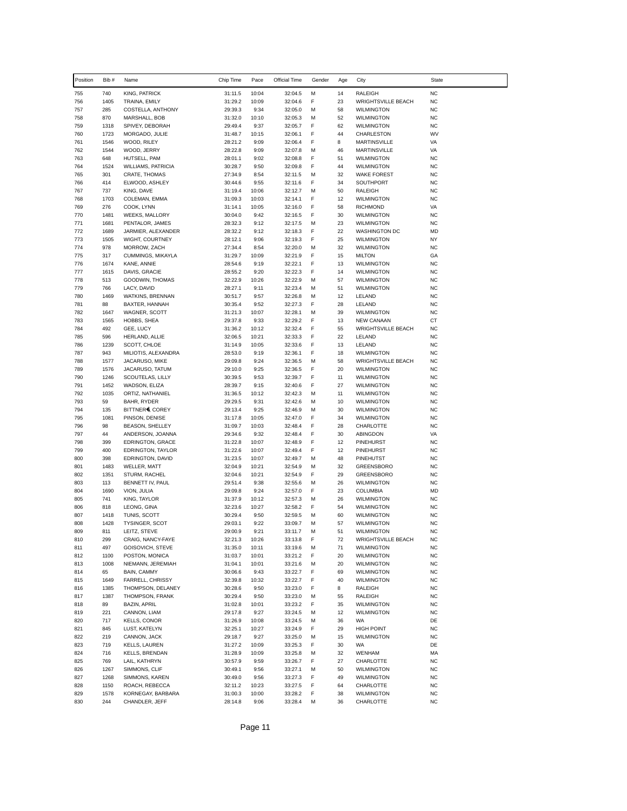| Position   | Bib#         | Name                                   | Chip Time          | Pace           | Official Time      | Gender | Age      | City                                   | State                  |
|------------|--------------|----------------------------------------|--------------------|----------------|--------------------|--------|----------|----------------------------------------|------------------------|
| 755        | 740          | KING, PATRICK                          | 31:11.5            | 10:04          | 32:04.5            | M      | 14       | RALEIGH                                | <b>NC</b>              |
| 756        | 1405         | TRAINA, EMILY                          | 31:29.2            | 10:09          | 32:04.6            | F      | 23       | <b>WRIGHTSVILLE BEACH</b>              | <b>NC</b>              |
| 757        | 285          | COSTELLA, ANTHONY                      | 29:39.3            | 9:34           | 32:05.0            | M      | 58       | <b>WILMINGTON</b>                      | <b>NC</b>              |
| 758        | 870          | MARSHALL, BOB                          | 31:32.0            | 10:10          | 32:05.3            | M      | 52       | <b>WILMINGTON</b>                      | <b>NC</b>              |
| 759        | 1318         | SPIVEY, DEBORAH                        | 29:49.4            | 9:37           | 32:05.7            | F      | 62       | <b>WILMINGTON</b>                      | <b>NC</b>              |
| 760        | 1723         | MORGADO, JULIE                         | 31:48.7            | 10:15          | 32:06.1            | F      | 44       | CHARLESTON                             | WV                     |
| 761        | 1546         | WOOD, RILEY                            | 28:21.2            | 9:09           | 32:06.4            | F      | 8        | MARTINSVILLE                           | VA                     |
| 762        | 1544         | WOOD, JERRY                            | 28:22.8            | 9:09           | 32:07.8            | M      | 46       | MARTINSVILLE                           | VA                     |
| 763        | 648          | HUTSELL, PAM                           | 28:01.1            | 9:02           | 32:08.8            | F      | 51       | <b>WILMINGTON</b>                      | <b>NC</b>              |
| 764        | 1524<br>301  | WILLIAMS, PATRICIA                     | 30:28.7            | 9:50           | 32:09.8<br>32:11.5 | F<br>M | 44<br>32 | <b>WILMINGTON</b>                      | <b>NC</b><br><b>NC</b> |
| 765<br>766 | 414          | <b>CRATE, THOMAS</b><br>ELWOOD, ASHLEY | 27:34.9<br>30:44.6 | 8:54<br>9:55   | 32:11.6            | F      | 34       | <b>WAKE FOREST</b><br>SOUTHPORT        | <b>NC</b>              |
| 767        | 737          | KING, DAVE                             | 31:19.4            | 10:06          | 32:12.7            | M      | 50       | RALEIGH                                | <b>NC</b>              |
| 768        | 1703         | COLEMAN, EMMA                          | 31:09.3            | 10:03          | 32:14.1            | F      | 12       | <b>WILMINGTON</b>                      | <b>NC</b>              |
| 769        | 276          | COOK, LYNN                             | 31:14.1            | 10:05          | 32:16.0            | F      | 58       | RICHMOND                               | VA                     |
| 770        | 1481         | WEEKS, MALLORY                         | 30:04.0            | 9:42           | 32:16.5            | F      | 30       | <b>WILMINGTON</b>                      | <b>NC</b>              |
| 771        | 1681         | PENTALOR, JAMES                        | 28:32.3            | 9:12           | 32:17.5            | M      | 23       | <b>WILMINGTON</b>                      | <b>NC</b>              |
| 772        | 1689         | JARMIER, ALEXANDER                     | 28:32.2            | 9:12           | 32:18.3            | F      | 22       | <b>WASHINGTON DC</b>                   | MD                     |
| 773        | 1505         | WIGHT, COURTNEY                        | 28:12.1            | 9:06           | 32:19.3            | F      | 25       | <b>WILMINGTON</b>                      | <b>NY</b>              |
| 774        | 978          | MORROW, ZACH                           | 27:34.4            | 8:54           | 32:20.0            | M      | 32       | <b>WILMINGTON</b>                      | <b>NC</b>              |
| 775        | 317          | CUMMINGS, MIKAYLA                      | 31:29.7            | 10:09          | 32:21.9            | F      | 15       | milton                                 | GA                     |
| 776        | 1674         | KANE, ANNIE                            | 28:54.6            | 9:19           | 32:22.1            | F      | 13       | <b>WILMINGTON</b>                      | <b>NC</b>              |
| 777        | 1615         | DAVIS, GRACIE                          | 28:55.2            | 9:20           | 32:22.3            | F      | 14       | <b>WILMINGTON</b>                      | <b>NC</b>              |
| 778        | 513          | GOODWIN, THOMAS                        | 32:22.9            | 10:26          | 32:22.9            | M      | 57       | <b>WILMINGTON</b>                      | <b>NC</b>              |
| 779        | 766          | LACY, DAVID                            | 28:27.1            | 9:11           | 32:23.4            | M      | 51       | <b>WILMINGTON</b>                      | <b>NC</b>              |
| 780        | 1469<br>88   | WATKINS, BRENNAN                       | 30:51.7            | 9:57           | 32:26.8            | M<br>F | 12       | LELAND                                 | <b>NC</b>              |
| 781<br>782 | 1647         | BAXTER, HANNAH<br>WAGNER, SCOTT        | 30:35.4<br>31:21.3 | 9:52<br>10:07  | 32:27.3<br>32:28.1 | M      | 28<br>39 | LELAND<br><b>WILMINGTON</b>            | <b>NC</b><br><b>NC</b> |
| 783        | 1565         | HOBBS, SHEA                            | 29:37.8            | 9:33           | 32:29.2            | F      | 13       | NEW CANAAN                             | СT                     |
| 784        | 492          | GEE, LUCY                              | 31:36.2            | 10:12          | 32:32.4            | F      | 55       | <b>WRIGHTSVILLE BEACH</b>              | <b>NC</b>              |
| 785        | 596          | HERLAND, ALLIE                         | 32:06.5            | 10:21          | 32:33.3            | F      | 22       | LELAND                                 | <b>NC</b>              |
| 786        | 1239         | SCOTT, CHLOE                           | 31:14.9            | 10:05          | 32:33.6            | F      | 13       | LELAND                                 | <b>NC</b>              |
| 787        | 943          | MILIOTIS, ALEXANDRA                    | 28:53.0            | 9:19           | 32:36.1            | F      | 18       | <b>WILMINGTON</b>                      | <b>NC</b>              |
| 788        | 1577         | JACARUSO, MIKE                         | 29:09.8            | 9:24           | 32:36.5            | M      | 58       | <b>WRIGHTSVILLE BEACH</b>              | <b>NC</b>              |
| 789        | 1576         | JACARUSO, TATUM                        | 29:10.0            | 9:25           | 32:36.5            | F      | 20       | <b>WILMINGTON</b>                      | <b>NC</b>              |
| 790        | 1246         | SCOUTELAS, LILLY                       | 30:39.5            | 9:53           | 32:39.7            | F      | 11       | <b>WILMINGTON</b>                      | <b>NC</b>              |
| 791        | 1452         | WADSON, ELIZA                          | 28:39.7            | 9:15           | 32:40.6            | F      | 27       | <b>WILMINGTON</b>                      | <b>NC</b>              |
| 792        | 1035         | ORTIZ, NATHANIEL                       | 31:36.5            | 10:12          | 32:42.3            | M      | 11       | <b>WILMINGTON</b>                      | <b>NC</b>              |
| 793        | 59           | BAHR, RYDER                            | 29:29.5            | 9:31           | 32:42.6            | M      | 10       | <b>WILMINGTON</b>                      | <b>NC</b>              |
| 794        | 135          | BITTNER, COREY                         | 29:13.4            | 9:25           | 32:46.9            | M      | 30       | <b>WILMINGTON</b>                      | <b>NC</b>              |
| 795<br>796 | 1081<br>98   | PINSON, DENISE                         | 31:17.8<br>31:09.7 | 10:05<br>10:03 | 32:47.0<br>32:48.4 | F<br>F | 34<br>28 | <b>WILMINGTON</b>                      | <b>NC</b><br><b>NC</b> |
| 797        | 44           | BEASON, SHELLEY<br>ANDERSON, JOANNA    | 29:34.6            | 9:32           | 32:48.4            | F      | 30       | CHARLOTTE<br>ABINGDON                  | VA                     |
| 798        | 399          | <b>EDRINGTON, GRACE</b>                | 31:22.8            | 10:07          | 32:48.9            | F      | 12       | PINEHURST                              | <b>NC</b>              |
| 799        | 400          | <b>EDRINGTON, TAYLOR</b>               | 31:22.6            | 10:07          | 32:49.4            | F      | 12       | PINEHURST                              | <b>NC</b>              |
| 800        | 398          | EDRINGTON, DAVID                       | 31:23.5            | 10:07          | 32:49.7            | M      | 48       | PINEHUTST                              | <b>NC</b>              |
| 801        | 1483         | WELLER, MATT                           | 32:04.9            | 10:21          | 32:54.9            | M      | 32       | <b>GREENSBORO</b>                      | <b>NC</b>              |
| 802        | 1351         | STURM, RACHEL                          | 32:04.6            | 10:21          | 32:54.9            | F      | 29       | <b>GREENSBORO</b>                      | <b>NC</b>              |
| 803        | 113          | BENNETT IV, PAUL                       | 29:51.4            | 9:38           | 32:55.6            | M      | 26       | <b>WILMINGTON</b>                      | <b>NC</b>              |
| 804        | 1690         | VION, JULIA                            | 29:09.8            | 9:24           | 32:57.0            | F      | 23       | COLUMBIA                               | MD                     |
| 805        | 741          | KING, TAYLOR                           | 31:37.9            | 10:12          | 32:57.3            | M      | 26       | <b>WILMINGTON</b>                      | <b>NC</b>              |
| 806        | 818          | LEONG, GINA                            | 32:23.6            | 10:27          | 32:58.2            | F      | 54       | <b>WILMINGTON</b>                      | <b>NC</b>              |
| 807        | 1418         | TUNIS, SCOTT                           | 30:29.4            | 9:50           | 32:59.5            | M      | 60       | <b>WILMINGTON</b>                      | <b>NC</b>              |
| 808        | 1428         | <b>TYSINGER, SCOT</b>                  | 29:03.1            | 9:22           | 33:09.7            | M      | 57       | <b>WILMINGTON</b>                      | <b>NC</b>              |
| 809        | 811          | LEITZ, STEVE                           | 29:00.9            | 9:21           | 33:11.7            |        | 51       | <b>WILMINGTON</b>                      | N <sub>C</sub>         |
| 810        | 299<br>497   | CRAIG, NANCY-FAYE                      | 32:21.3            | 10:26          | 33:13.8            | F      | 72<br>71 | WRIGHTSVILLE BEACH                     | <b>NC</b><br>NC        |
| 811<br>812 | 1100         | GOISOVICH, STEVE<br>POSTON, MONICA     | 31:35.0<br>31:03.7 | 10:11<br>10:01 | 33:19.6<br>33:21.2 | M<br>F | 20       | <b>WILMINGTON</b><br><b>WILMINGTON</b> | <b>NC</b>              |
| 813        | 1008         | NIEMANN, JEREMIAH                      | 31:04.1            | 10:01          | 33:21.6            | M      | 20       | <b>WILMINGTON</b>                      | <b>NC</b>              |
| 814        | 65           | BAIN, CAMMY                            | 30:06.6            | 9:43           | 33:22.7            | F      | 69       | <b>WILMINGTON</b>                      | NC                     |
| 815        | 1649         | FARRELL, CHRISSY                       | 32:39.8            | 10:32          | 33:22.7            | F      | 40       | <b>WILMINGTON</b>                      | <b>NC</b>              |
| 816        | 1385         | THOMPSON, DELANEY                      | 30:28.6            | 9:50           | 33:23.0            | F      | 8        | RALEIGH                                | <b>NC</b>              |
| 817        | 1387         | THOMPSON, FRANK                        | 30:29.4            | 9:50           | 33:23.0            | M      | 55       | RALEIGH                                | <b>NC</b>              |
| 818        | 89           | <b>BAZIN, APRIL</b>                    | 31:02.8            | 10:01          | 33:23.2            | F      | 35       | <b>WILMINGTON</b>                      | <b>NC</b>              |
| 819        | 221          | CANNON, LIAM                           | 29:17.8            | 9:27           | 33:24.5            | М      | 12       | <b>WILMINGTON</b>                      | <b>NC</b>              |
| 820        | 717          | <b>KELLS, CONOR</b>                    | 31:26.9            | 10:08          | 33:24.5            | М      | 36       | WA                                     | DE                     |
| 821        | 845          | LUST, KATELYN                          | 32:25.1            | 10:27          | 33:24.9            | F      | 29       | <b>HIGH POINT</b>                      | <b>NC</b>              |
| 822        | 219          | CANNON, JACK                           | 29:18.7            | 9:27           | 33:25.0            | М      | 15       | <b>WILMINGTON</b>                      | <b>NC</b>              |
| 823        | 719          | <b>KELLS, LAUREN</b>                   | 31:27.2            | 10:09          | 33:25.3            | F      | 30       | WA                                     | DE                     |
| 824        | 716          | KELLS, BRENDAN                         | 31:28.9            | 10:09          | 33:25.8            | M      | 32       | WENHAM                                 | MA                     |
| 825        | 769          | LAIL, KATHRYN                          | 30:57.9            | 9:59           | 33:26.7            | F      | 27       | CHARLOTTE                              | <b>NC</b>              |
| 826        | 1267         | SIMMONS, CLIF                          | 30:49.1            | 9:56           | 33:27.1            | M      | 50       | <b>WILMINGTON</b>                      | <b>NC</b>              |
| 827        | 1268         | SIMMONS, KAREN                         | 30:49.0            | 9:56           | 33:27.3            | F      | 49       | <b>WILMINGTON</b>                      | <b>NC</b>              |
| 828<br>829 | 1150<br>1578 | ROACH, REBECCA                         | 32:11.2<br>31:00.3 | 10:23<br>10:00 | 33:27.5<br>33:28.2 | F<br>F | 64<br>38 | CHARLOTTE                              | <b>NC</b><br><b>NC</b> |
| 830        | 244          | KORNEGAY, BARBARA<br>CHANDLER, JEFF    | 28:14.8            | 9:06           | 33:28.4            | М      | 36       | <b>WILMINGTON</b><br>CHARLOTTE         | <b>NC</b>              |
|            |              |                                        |                    |                |                    |        |          |                                        |                        |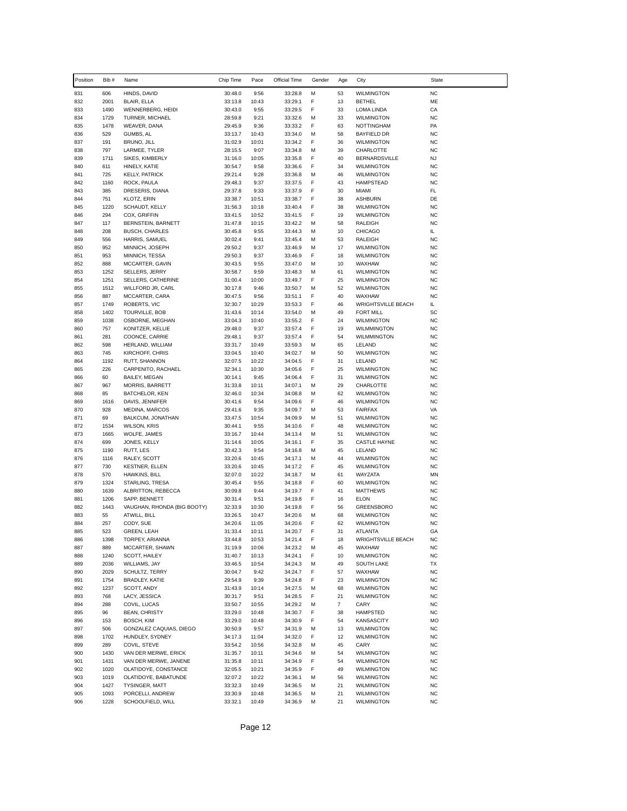| Position   | Bib #        | Name                                    | Chip Time          | Pace           | Official Time      | Gender | Age            | City                                     | <b>State</b>           |
|------------|--------------|-----------------------------------------|--------------------|----------------|--------------------|--------|----------------|------------------------------------------|------------------------|
| 831        | 606          | HINDS, DAVID                            | 30:48.0            | 9:56           | 33:28.8            | М      | 53             | <b>WILMINGTON</b>                        | <b>NC</b>              |
| 832        | 2001         | BLAIR, ELLA                             | 33:13.8            | 10:43          | 33:29.1            | F      | 13             | <b>BETHEL</b>                            | ME                     |
| 833        | 1490         | WENNERBERG, HEIDI                       | 30:43.0            | 9:55           | 33:29.5            | F      | 33             | LOMA LINDA                               | CA                     |
| 834        | 1729         | TURNER, MICHAEL                         | 28:59.8            | 9:21           | 33:32.6            | М      | 33             | <b>WILMINGTON</b>                        | <b>NC</b>              |
| 835<br>836 | 1478<br>529  | WEAVER, DANA<br>GUMBS, AL               | 29:45.9<br>33:13.7 | 9:36<br>10:43  | 33:33.2<br>33:34.0 | F<br>M | 63<br>58       | <b>NOTTINGHAM</b><br><b>BAYFIELD DR</b>  | PA<br><b>NC</b>        |
| 837        | 191          | BRUNO, JILL                             | 31:02.9            | 10:01          | 33:34.2            | F      | 36             | <b>WILMINGTON</b>                        | <b>NC</b>              |
| 838        | 797          | LARMEE, TYLER                           | 28:15.5            | 9:07           | 33:34.8            | М      | 39             | CHARLOTTE                                | <b>NC</b>              |
| 839        | 1711         | SIKES, KIMBERLY                         | 31:16.0            | 10:05          | 33:35.8            | F      | 40             | <b>BERNARDSVILLE</b>                     | <b>NJ</b>              |
| 840        | 611          | HINELY, KATIE                           | 30:54.7            | 9:58           | 33:36.6            | F      | 34             | <b>WILMINGTON</b>                        | <b>NC</b>              |
| 841        | 725          | <b>KELLY, PATRICK</b>                   | 29:21.4            | 9:28           | 33:36.8            | М      | 46             | <b>WILMINGTON</b>                        | <b>NC</b>              |
| 842<br>843 | 1160<br>385  | ROCK, PAULA                             | 29:48.3            | 9:37           | 33:37.5            | F<br>F | 43<br>30       | <b>HAMPSTEAD</b>                         | <b>NC</b>              |
| 844        | 751          | DRESERIS, DIANA<br><b>KLOTZ, ERIN</b>   | 29:37.8<br>33:38.7 | 9:33<br>10:51  | 33:37.9<br>33:38.7 | F      | 38             | MIAMI<br><b>ASHBURN</b>                  | FL<br>DE               |
| 845        | 1220         | SCHAUDT, KELLY                          | 31:56.3            | 10:18          | 33:40.4            | F      | 38             | <b>WILMINGTON</b>                        | <b>NC</b>              |
| 846        | 294          | COX, GRIFFIN                            | 33:41.5            | 10:52          | 33:41.5            | F      | 19             | <b>WILMINGTON</b>                        | <b>NC</b>              |
| 847        | 117          | BERNSTEIN, BARNETT                      | 31:47.8            | 10:15          | 33:42.2            | м      | 58             | <b>RALEIGH</b>                           | <b>NC</b>              |
| 848        | 208          | <b>BUSCH, CHARLES</b>                   | 30:45.8            | 9:55           | 33:44.3            | М      | 10             | <b>CHICAGO</b>                           | IL.                    |
| 849        | 556          | HARRIS, SAMUEL                          | 30:02.4            | 9:41           | 33:45.4            | M      | 53             | <b>RALEIGH</b>                           | <b>NC</b>              |
| 850        | 952<br>953   | MINNICH, JOSEPH                         | 29:50.2            | 9:37           | 33:46.9            | M<br>F | 17             | <b>WILMINGTON</b>                        | <b>NC</b><br><b>NC</b> |
| 851<br>852 | 888          | MINNICH, TESSA<br>MCCARTER, GAVIN       | 29:50.3<br>30:43.5 | 9:37<br>9:55   | 33:46.9<br>33:47.0 | М      | 18<br>10       | <b>WILMINGTON</b><br>WAXHAW              | <b>NC</b>              |
| 853        | 1252         | SELLERS, JERRY                          | 30:58.7            | 9:59           | 33:48.3            | м      | 61             | <b>WILMINGTON</b>                        | <b>NC</b>              |
| 854        | 1251         | SELLERS, CATHERINE                      | 31:00.4            | 10:00          | 33:49.7            | F      | 25             | <b>WILMINGTON</b>                        | <b>NC</b>              |
| 855        | 1512         | WILLFORD JR, CARL                       | 30:17.8            | 9:46           | 33:50.7            | М      | 52             | <b>WILMINGTON</b>                        | <b>NC</b>              |
| 856        | 887          | MCCARTER, CARA                          | 30:47.5            | 9:56           | 33:51.1            | F      | 40             | WAXHAW                                   | <b>NC</b>              |
| 857        | 1749         | ROBERTS, VIC                            | 32:30.7            | 10:29          | 33:53.3            | F      | 46             | <b>WRIGHTSVILLE BEACH</b>                | IL.                    |
| 858<br>859 | 1402<br>1038 | TOURVILLE, BOB<br>OSBORNE, MEGHAN       | 31:43.6<br>33:04.3 | 10:14<br>10:40 | 33:54.0<br>33:55.2 | м<br>F | 49<br>24       | <b>FORT MILL</b><br><b>WILMINGTON</b>    | SC<br><b>NC</b>        |
| 860        | 757          | KONITZER, KELLIE                        | 29:48.0            | 9:37           | 33:57.4            | F      | 19             | <b>WILMMINGTON</b>                       | <b>NC</b>              |
| 861        | 281          | COONCE, CARRIE                          | 29:48.1            | 9:37           | 33:57.4            | F      | 54             | WILMMINGTON                              | <b>NC</b>              |
| 862        | 598          | HERLAND, WILLIAM                        | 33:31.7            | 10:49          | 33:59.3            | М      | 65             | LELAND                                   | <b>NC</b>              |
| 863        | 745          | KIRCHOFF, CHRIS                         | 33:04.5            | 10:40          | 34:02.7            | М      | 50             | <b>WILMINGTON</b>                        | <b>NC</b>              |
| 864        | 1192         | RUTT, SHANNON                           | 32:07.5            | 10:22          | 34:04.5            | F      | 31             | LELAND                                   | <b>NC</b>              |
| 865        | 226          | CARPENITO, RACHAEL                      | 32:34.1            | 10:30          | 34:05.6            | F      | 25             | <b>WILMINGTON</b>                        | <b>NC</b>              |
| 866<br>867 | 60<br>967    | BAILEY, MEGAN<br><b>MORRIS, BARRETT</b> | 30:14.1<br>31:33.8 | 9:45<br>10:11  | 34:06.4<br>34:07.1 | F<br>M | 31<br>29       | <b>WILMINGTON</b><br>CHARLOTTE           | <b>NC</b><br><b>NC</b> |
| 868        | 85           | BATCHELOR, KEN                          | 32:46.0            | 10:34          | 34:08.8            | M      | 62             | <b>WILMINGTON</b>                        | <b>NC</b>              |
| 869        | 1616         | DAVIS, JENNIFER                         | 30:41.6            | 9:54           | 34:09.6            | F      | 46             | <b>WILMINGTON</b>                        | <b>NC</b>              |
| 870        | 928          | MEDINA, MARCOS                          | 29:41.6            | 9:35           | 34:09.7            | М      | 53             | <b>FAIRFAX</b>                           | VA                     |
| 871        | 69           | BALKCUM, JONATHAN                       | 33:47.5            | 10:54          | 34:09.9            | M      | 51             | <b>WILMINGTON</b>                        | <b>NC</b>              |
| 872        | 1534         | <b>WILSON, KRIS</b>                     | 30:44.1            | 9:55           | 34:10.6            | F      | 48             | <b>WILMINGTON</b>                        | <b>NC</b>              |
| 873<br>874 | 1665<br>699  | WOLFE, JAMES<br>JONES, KELLY            | 33:16.7<br>31:14.6 | 10:44<br>10:05 | 34:13.4<br>34:16.1 | М<br>F | 51<br>35       | <b>WILMINGTON</b><br><b>CASTLE HAYNE</b> | <b>NC</b><br><b>NC</b> |
| 875        | 1190         | RUTT, LES                               | 30:42.3            | 9:54           | 34:16.8            | м      | 45             | LELAND                                   | <b>NC</b>              |
| 876        | 1116         | RALEY, SCOTT                            | 33:20.6            | 10:45          | 34:17.1            | М      | 44             | <b>WILMINGTON</b>                        | <b>NC</b>              |
| 877        | 730          | <b>KESTNER, ELLEN</b>                   | 33:20.6            | 10:45          | 34:17.2            | F      | 45             | <b>WILMINGTON</b>                        | <b>NC</b>              |
| 878        | 570          | HAWKINS, BILL                           | 32:07.0            | 10:22          | 34:18.7            | м      | 61             | WAYZATA                                  | MN                     |
| 879        | 1324         | STARLING, TRESA                         | 30:45.4            | 9:55           | 34:18.8            | F      | 60             | <b>WILMINGTON</b>                        | <b>NC</b>              |
| 880<br>881 | 1639<br>1206 | ALBRITTON, REBECCA<br>SAPP, BENNETT     | 30:09.8<br>30:31.4 | 9:44           | 34:19.7            | F<br>F | 41<br>16       | <b>MATTHEWS</b><br><b>ELON</b>           | <b>NC</b><br><b>NC</b> |
| 882        | 1443         | VAUGHAN, RHONDA (BIG BOOTY)             | 32:33.9            | 9:51<br>10:30  | 34:19.8<br>34:19.8 | F      | 56             | <b>GREENSBORO</b>                        | <b>NC</b>              |
| 883        | 55           | ATWILL, BILL                            | 33:26.5            | 10:47          | 34:20.6            | М      | 68             | <b>WILMINGTON</b>                        | <b>NC</b>              |
| 884        | 257          | CODY, SUE                               | 34:20.6            | 11:05          | 34:20.6            | F      | 62             | <b>WILMINGTON</b>                        | <b>NC</b>              |
| 885        | 523          | GREEN, LEAH                             | 31:33.4            | 10:11          | 34:20.7            | F      | 31             | ATLANTA                                  | GA                     |
| 886        | 1398         | TORPEY, ARIANNA                         | 33:44.8            | 10:53          | 34:21.4            | F      | 18             | <b>WRIGHTSVILLE BEACH</b>                | <b>NC</b>              |
| 887        | 889          | MCCARTER, SHAWN                         | 31:19.9            | 10:06          | 34:23.2            | M      | 45             | WAXHAW                                   | <b>NC</b>              |
| 888<br>889 | 1240<br>2036 | SCOTT, HAILEY<br>WILLIAMS, JAY          | 31:40.7<br>33:46.5 | 10:13<br>10:54 | 34:24.1<br>34:24.3 | F<br>M | 10<br>49       | <b>WILMINGTON</b><br>SOUTH LAKE          | NC<br>TX               |
| 890        | 2029         | SCHULTZ, TERRY                          | 30:04.7            | 9:42           | 34:24.7            | F      | 57             | WAXHAW                                   | <b>NC</b>              |
| 891        | 1754         | BRADLEY, KATIE                          | 29:54.9            | 9:39           | 34:24.8            | F      | 23             | <b>WILMINGTON</b>                        | <b>NC</b>              |
| 892        | 1237         | SCOTT, ANDY                             | 31:43.9            | 10:14          | 34:27.5            | M      | 68             | <b>WILMINGTON</b>                        | <b>NC</b>              |
| 893        | 768          | LACY, JESSICA                           | 30:31.7            | 9:51           | 34:28.5            | F      | 21             | <b>WILMINGTON</b>                        | <b>NC</b>              |
| 894        | 288          | COVIL, LUCAS                            | 33:50.7            | 10:55          | 34:29.2            | М      | $\overline{7}$ | CARY                                     | <b>NC</b>              |
| 895        | 96           | <b>BEAN, CHRISTY</b>                    | 33:29.0            | 10:48          | 34:30.7            | F      | 38             | HAMPSTED                                 | <b>NC</b>              |
| 896<br>897 | 153<br>506   | BOSCH, KIM<br>GONZALEZ CAQUIAS, DIEGO   | 33:29.0<br>30:50.9 | 10:48<br>9:57  | 34:30.9<br>34:31.9 | F<br>М | 54<br>13       | <b>KANSASCITY</b><br>WILMINGTON          | MO<br><b>NC</b>        |
| 898        | 1702         | HUNDLEY, SYDNEY                         | 34:17.3            | 11:04          | 34:32.0            | F      | 12             | <b>WILMINGTON</b>                        | <b>NC</b>              |
| 899        | 289          | COVIL, STEVE                            | 33:54.2            | 10:56          | 34:32.8            | M      | 45             | CARY                                     | <b>NC</b>              |
| 900        | 1430         | VAN DER MERWE, ERICK                    | 31:35.7            | 10:11          | 34:34.6            | М      | 54             | <b>WILMINGTON</b>                        | <b>NC</b>              |
| 901        | 1431         | VAN DER MERWE, JANENE                   | 31:35.8            | 10:11          | 34:34.9            | F      | 54             | <b>WILMINGTON</b>                        | <b>NC</b>              |
| 902        | 1020         | OLATIDOYE, CONSTANCE                    | 32:05.5            | 10:21          | 34:35.9            | F      | 49             | <b>WILMINGTON</b>                        | <b>NC</b>              |
| 903        | 1019         | OLATIDOYE, BABATUNDE                    | 32:07.2            | 10:22          | 34:36.1            | м      | 56             | WILMINGTON                               | <b>NC</b>              |
| 904<br>905 | 1427<br>1093 | TYSINGER, MATT                          | 33:32.3            | 10:49          | 34:36.5            | М<br>М | 21<br>21       | <b>WILMINGTON</b>                        | <b>NC</b><br><b>NC</b> |
| 906        | 1228         | PORCELLI, ANDREW<br>SCHOOLFIELD, WILL   | 33:30.9<br>33:32.1 | 10:48<br>10:49 | 34:36.5<br>34:36.9 | М      | 21             | <b>WILMINGTON</b><br><b>WILMINGTON</b>   | <b>NC</b>              |
|            |              |                                         |                    |                |                    |        |                |                                          |                        |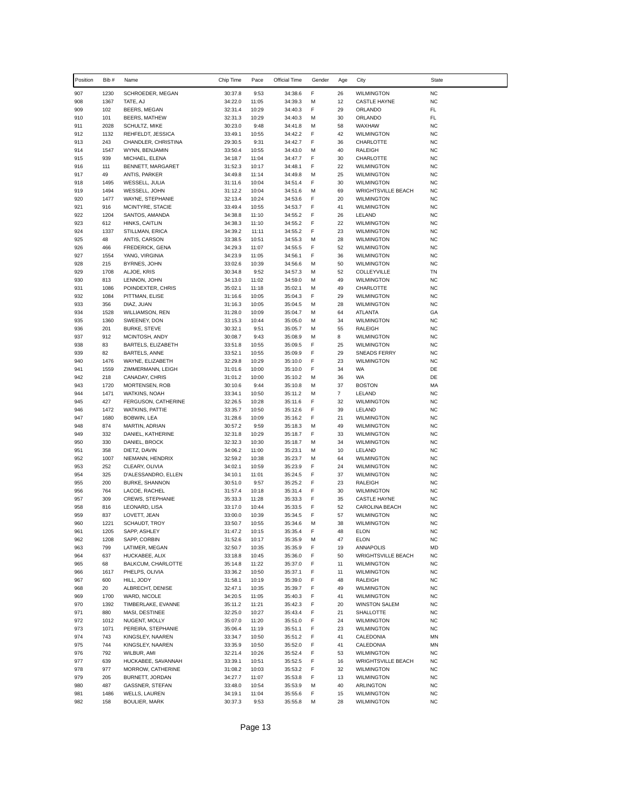| Position   | Bib #        | Name                                   | Chip Time          | Pace           | Official Time      | Gender | Age            | City                                           | <b>State</b>           |
|------------|--------------|----------------------------------------|--------------------|----------------|--------------------|--------|----------------|------------------------------------------------|------------------------|
| 907        | 1230         | SCHROEDER, MEGAN                       | 30:37.8            | 9:53           | 34:38.6            | F      | 26             | <b>WILMINGTON</b>                              | <b>NC</b>              |
| 908        | 1367         | TATE, AJ                               | 34:22.0            | 11:05          | 34:39.3            | М      | 12             | <b>CASTLE HAYNE</b>                            | <b>NC</b>              |
| 909        | 102          | BEERS, MEGAN                           | 32:31.4            | 10:29          | 34:40.3            | F      | 29             | ORLANDO                                        | FL                     |
| 910        | 101          | <b>BEERS, MATHEW</b>                   | 32:31.3            | 10:29          | 34:40.3            | М      | 30             | ORLANDO                                        | FL.                    |
| 911<br>912 | 2028<br>1132 | SCHULTZ, MIKE<br>REHFELDT, JESSICA     | 30:23.0<br>33:49.1 | 9:48<br>10:55  | 34:41.8<br>34:42.2 | М<br>F | 58<br>42       | WAXHAW<br><b>WILMINGTON</b>                    | <b>NC</b><br><b>NC</b> |
| 913        | 243          | CHANDLER, CHRISTINA                    | 29:30.5            | 9:31           | 34:42.7            | F      | 36             | CHARLOTTE                                      | <b>NC</b>              |
| 914        | 1547         | WYNN, BENJAMIN                         | 33:50.4            | 10:55          | 34:43.0            | М      | 40             | RALEIGH                                        | <b>NC</b>              |
| 915        | 939          | MICHAEL, ELENA                         | 34:18.7            | 11:04          | 34:47.7            | F      | 30             | CHARLOTTE                                      | <b>NC</b>              |
| 916        | 111          | BENNETT, MARGARET                      | 31:52.3            | 10:17          | 34:48.1            | F      | 22             | <b>WILMINGTON</b>                              | <b>NC</b>              |
| 917        | 49           | ANTIS, PARKER                          | 34:49.8            | 11:14          | 34:49.8            | М      | 25             | <b>WILMINGTON</b>                              | <b>NC</b>              |
| 918<br>919 | 1495<br>1494 | WESSELL, JULIA<br>WESSELL, JOHN        | 31:11.6            | 10:04          | 34:51.4            | F<br>M | 30<br>69       | <b>WILMINGTON</b>                              | <b>NC</b>              |
| 920        | 1477         | WAYNE, STEPHANIE                       | 31:12.2<br>32:13.4 | 10:04<br>10:24 | 34:51.6<br>34:53.6 | F      | 20             | <b>WRIGHTSVILLE BEACH</b><br><b>WILMINGTON</b> | <b>NC</b><br><b>NC</b> |
| 921        | 916          | MCINTYRE, STACIE                       | 33:49.4            | 10:55          | 34:53.7            | F      | 41             | <b>WILMINGTON</b>                              | <b>NC</b>              |
| 922        | 1204         | SANTOS, AMANDA                         | 34:38.8            | 11:10          | 34:55.2            | F      | 26             | LELAND                                         | <b>NC</b>              |
| 923        | 612          | HINKS, CAITLIN                         | 34:38.3            | 11:10          | 34:55.2            | F      | 22             | <b>WILMINGTON</b>                              | <b>NC</b>              |
| 924        | 1337         | STILLMAN, ERICA                        | 34:39.2            | 11:11          | 34:55.2            | F      | 23             | <b>WILMINGTON</b>                              | <b>NC</b>              |
| 925        | 48           | ANTIS, CARSON                          | 33:38.5            | 10:51          | 34:55.3            | M      | 28             | <b>WILMINGTON</b>                              | <b>NC</b>              |
| 926<br>927 | 466<br>1554  | FREDERICK, GENA<br>YANG, VIRGINIA      | 34:29.3<br>34:23.9 | 11:07<br>11:05 | 34:55.5<br>34:56.1 | F<br>F | 52<br>36       | <b>WILMINGTON</b><br><b>WILMINGTON</b>         | <b>NC</b><br><b>NC</b> |
| 928        | 215          | BYRNES, JOHN                           | 33:02.6            | 10:39          | 34:56.6            | М      | 50             | <b>WILMINGTON</b>                              | <b>NC</b>              |
| 929        | 1708         | ALJOE, KRIS                            | 30:34.8            | 9:52           | 34:57.3            | М      | 52             | COLLEYVILLE                                    | TN                     |
| 930        | 813          | LENNON, JOHN                           | 34:13.0            | 11:02          | 34:59.0            | М      | 49             | <b>WILMINGTON</b>                              | <b>NC</b>              |
| 931        | 1086         | POINDEXTER, CHRIS                      | 35:02.1            | 11:18          | 35:02.1            | М      | 49             | CHARLOTTE                                      | <b>NC</b>              |
| 932        | 1084         | PITTMAN, ELISE                         | 31:16.6            | 10:05          | 35:04.3            | F      | 29             | <b>WILMINGTON</b>                              | <b>NC</b>              |
| 933        | 356          | DIAZ, JUAN                             | 31:16.3            | 10:05          | 35:04.5            | М      | 28             | <b>WILMINGTON</b>                              | <b>NC</b>              |
| 934<br>935 | 1528<br>1360 | <b>WILLIAMSON, REN</b><br>SWEENEY, DON | 31:28.0<br>33:15.3 | 10:09<br>10:44 | 35:04.7<br>35:05.0 | М<br>М | 64<br>34       | <b>ATLANTA</b><br><b>WILMINGTON</b>            | GA<br><b>NC</b>        |
| 936        | 201          | <b>BURKE, STEVE</b>                    | 30:32.1            | 9:51           | 35:05.7            | М      | 55             | <b>RALEIGH</b>                                 | <b>NC</b>              |
| 937        | 912          | MCINTOSH, ANDY                         | 30:08.7            | 9:43           | 35:08.9            | M      | 8              | <b>WILMINGTON</b>                              | <b>NC</b>              |
| 938        | 83           | BARTELS, ELIZABETH                     | 33:51.8            | 10:55          | 35:09.5            | F      | 25             | <b>WILMINGTON</b>                              | <b>NC</b>              |
| 939        | 82           | <b>BARTELS, ANNE</b>                   | 33:52.1            | 10:55          | 35:09.9            | F      | 29             | <b>SNEADS FERRY</b>                            | <b>NC</b>              |
| 940        | 1476         | WAYNE, ELIZABETH                       | 32:29.8            | 10:29          | 35:10.0            | F      | 23             | <b>WILMINGTON</b>                              | <b>NC</b>              |
| 941        | 1559         | ZIMMERMANN, LEIGH                      | 31:01.6            | 10:00          | 35:10.0            | F      | 34             | WA                                             | DE<br>DE               |
| 942<br>943 | 218<br>1720  | CANADAY, CHRIS<br>MORTENSEN, ROB       | 31:01.2<br>30:10.6 | 10:00<br>9:44  | 35:10.2<br>35:10.8 | М<br>М | 36<br>37       | WA<br><b>BOSTON</b>                            | MA                     |
| 944        | 1471         | WATKINS, NOAH                          | 33:34.1            | 10:50          | 35:11.2            | M      | $\overline{7}$ | LELAND                                         | <b>NC</b>              |
| 945        | 427          | FERGUSON, CATHERINE                    | 32:26.5            | 10:28          | 35:11.6            | F      | 32             | <b>WILMINGTON</b>                              | <b>NC</b>              |
| 946        | 1472         | WATKINS, PATTIE                        | 33:35.7            | 10:50          | 35:12.6            | F      | 39             | LELAND                                         | <b>NC</b>              |
| 947        | 1680         | <b>BOBWIN, LEA</b>                     | 31:28.6            | 10:09          | 35:16.2            | F      | 21             | <b>WILMINGTON</b>                              | <b>NC</b>              |
| 948        | 874<br>332   | MARTIN, ADRIAN                         | 30:57.2            | 9:59           | 35:18.3            | М<br>F | 49             | <b>WILMINGTON</b>                              | <b>NC</b>              |
| 949<br>950 | 330          | DANIEL, KATHERINE<br>DANIEL, BROCK     | 32:31.8<br>32:32.3 | 10:29<br>10:30 | 35:18.7<br>35:18.7 | M      | 33<br>34       | <b>WILMINGTON</b><br><b>WILMINGTON</b>         | <b>NC</b><br><b>NC</b> |
| 951        | 358          | DIETZ, DAVIN                           | 34:06.2            | 11:00          | 35:23.1            | М      | 10             | LELAND                                         | <b>NC</b>              |
| 952        | 1007         | NIEMANN, HENDRIX                       | 32:59.2            | 10:38          | 35:23.7            | М      | 64             | <b>WILMINGTON</b>                              | <b>NC</b>              |
| 953        | 252          | CLEARY, OLIVIA                         | 34:02.1            | 10:59          | 35:23.9            | F      | 24             | <b>WILMINGTON</b>                              | <b>NC</b>              |
| 954        | 325          | D'ALESSANDRO, ELLEN                    | 34:10.1            | 11:01          | 35:24.5            | F      | 37             | <b>WILMINGTON</b>                              | <b>NC</b>              |
| 955        | 200          | <b>BURKE, SHANNON</b>                  | 30:51.0            | 9:57           | 35:25.2            | F      | 23             | RALEIGH                                        | <b>NC</b>              |
| 956<br>957 | 764<br>309   | LACOE, RACHEL<br>CREWS, STEPHANIE      | 31:57.4<br>35:33.3 | 10:18<br>11:28 | 35:31.4<br>35:33.3 | F<br>F | 30<br>35       | <b>WILMINGTON</b><br><b>CASTLE HAYNE</b>       | <b>NC</b><br><b>NC</b> |
| 958        | 816          | LEONARD, LISA                          | 33:17.0            | 10:44          | 35:33.5            | F      | 52             | CAROLINA BEACH                                 | <b>NC</b>              |
| 959        | 837          | LOVETT, JEAN                           | 33:00.0            | 10:39          | 35:34.5            | F      | 57             | <b>WILMINGTON</b>                              | <b>NC</b>              |
| 960        | 1221         | <b>SCHAUDT, TROY</b>                   | 33:50.7            | 10:55          | 35:34.6            | М      | 38             | <b>WILMINGTON</b>                              | <b>NC</b>              |
| 961        | 1205         | SAPP, ASHLEY                           | 31:47.2            | 10:15          | 35:35.4            | F      | 48             | ELON                                           | NC                     |
| 962        | 1208         | SAPP, CORBIN                           | 31:52.6            | 10:17          | 35:35.9            | М      | 47             | <b>ELON</b>                                    | <b>NC</b>              |
| 963        | 799          | LATIMER, MEGAN                         | 32:50.7            | 10:35          | 35:35.9            | F<br>F | 19             | <b>ANNAPOLIS</b>                               | MD<br>NC               |
| 964<br>965 | 637<br>68    | HUCKABEE, ALIX<br>BALKCUM, CHARLOTTE   | 33:18.8<br>35:14.8 | 10:45<br>11:22 | 35:36.0<br>35:37.0 | F      | 50<br>11       | <b>WRIGHTSVILLE BEACH</b><br><b>WILMINGTON</b> | <b>NC</b>              |
| 966        | 1617         | PHELPS, OLIVIA                         | 33:36.2            | 10:50          | 35:37.1            | F      | 11             | <b>WILMINGTON</b>                              | <b>NC</b>              |
| 967        | 600          | HILL, JODY                             | 31:58.1            | 10:19          | 35:39.0            | F      | 48             | RALEIGH                                        | <b>NC</b>              |
| 968        | 20           | ALBRECHT, DENISE                       | 32:47.1            | 10:35          | 35:39.7            | F      | 49             | <b>WILMINGTON</b>                              | <b>NC</b>              |
| 969        | 1700         | WARD, NICOLE                           | 34:20.5            | 11:05          | 35:40.3            | F      | 41             | <b>WILMINGTON</b>                              | <b>NC</b>              |
| 970        | 1392         | TIMBERLAKE, EVANNE                     | 35:11.2            | 11:21          | 35:42.3            | F      | 20             | <b>WINSTON SALEM</b>                           | <b>NC</b>              |
| 971<br>972 | 880<br>1012  | MASI, DESTINEE<br>NUGENT, MOLLY        | 32:25.0<br>35:07.0 | 10:27          | 35:43.4            | F<br>F | 21<br>24       | SHALLOTTE                                      | <b>NC</b><br><b>NC</b> |
| 973        | 1071         | PEREIRA, STEPHANIE                     | 35:06.4            | 11:20<br>11:19 | 35:51.0<br>35:51.1 | F      | 23             | <b>WILMINGTON</b><br><b>WILMINGTON</b>         | <b>NC</b>              |
| 974        | 743          | KINGSLEY, NAAREN                       | 33:34.7            | 10:50          | 35:51.2            | F      | 41             | CALEDONIA                                      | MN                     |
| 975        | 744          | KINGSLEY, NAAREN                       | 33:35.9            | 10:50          | 35:52.0            | F      | 41             | CALEDONIA                                      | MN                     |
| 976        | 792          | WILBUR, AMI                            | 32:21.4            | 10:26          | 35:52.4            | F      | 53             | <b>WILMINGTON</b>                              | <b>NC</b>              |
| 977        | 639          | HUCKABEE, SAVANNAH                     | 33:39.1            | 10:51          | 35:52.5            | F      | 16             | <b>WRIGHTSVILLE BEACH</b>                      | <b>NC</b>              |
| 978        | 977          | MORROW, CATHERINE                      | 31:08.2            | 10:03          | 35:53.2            | F      | 32             | <b>WILMINGTON</b>                              | <b>NC</b>              |
| 979<br>980 | 205<br>487   | BURNETT, JORDAN<br>GASSNER, STEFAN     | 34:27.7<br>33:48.0 | 11:07<br>10:54 | 35:53.8<br>35:53.9 | F<br>М | 13<br>40       | <b>WILMINGTON</b><br>ARLINGTON                 | <b>NC</b><br><b>NC</b> |
| 981        | 1486         | WELLS, LAUREN                          | 34:19.1            | 11:04          | 35:55.6            | F      | 15             | <b>WILMINGTON</b>                              | <b>NC</b>              |
| 982        | 158          | <b>BOULIER, MARK</b>                   | 30:37.3            | 9:53           | 35:55.8            | М      | 28             | <b>WILMINGTON</b>                              | <b>NC</b>              |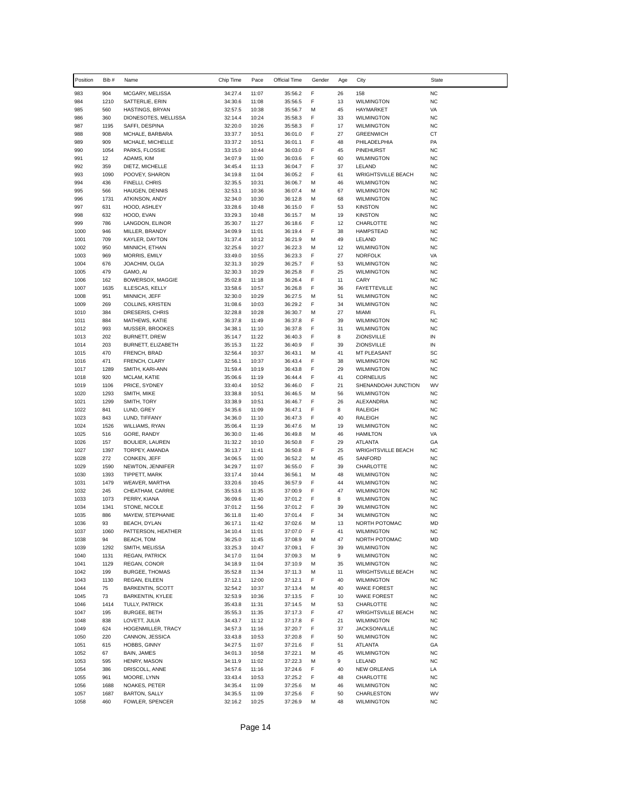| Position     | Bib #        | Name                              | Chip Time          | Pace           | Official Time      | Gender | Age      | City                                     | State                  |
|--------------|--------------|-----------------------------------|--------------------|----------------|--------------------|--------|----------|------------------------------------------|------------------------|
| 983          | 904          | MCGARY, MELISSA                   | 34:27.4            | 11:07          | 35:56.2            | F      | 26       | 158                                      | <b>NC</b>              |
| 984          | 1210         | SATTERLIE, ERIN                   | 34:30.6            | 11:08          | 35:56.5            | F      | 13       | <b>WILMINGTON</b>                        | <b>NC</b>              |
| 985          | 560          | HASTINGS, BRYAN                   | 32:57.5            | 10:38          | 35:56.7            | M      | 45       | HAYMARKET                                | VA                     |
| 986          | 360          | DIONESOTES, MELLISSA              | 32:14.4            | 10:24          | 35:58.3            | F      | 33       | <b>WILMINGTON</b>                        | <b>NC</b>              |
| 987          | 1195         | SAFFI, DESPINA                    | 32:20.0            | 10:26          | 35:58.3            | F      | 17       | <b>WILMINGTON</b>                        | <b>NC</b>              |
| 988          | 908          | MCHALE, BARBARA                   | 33:37.7            | 10:51          | 36:01.0            | F      | 27       | <b>GREENWICH</b>                         | СT                     |
| 989          | 909          | MCHALE, MICHELLE                  | 33:37.2            | 10:51          | 36:01.1            | F      | 48       | PHILADELPHIA                             | PA                     |
| 990          | 1054         | PARKS, FLOSSIE                    | 33:15.0            | 10:44          | 36:03.0            | F      | 45       | PINEHURST                                | <b>NC</b>              |
| 991<br>992   | 12<br>359    | ADAMS, KIM                        | 34:07.9<br>34:45.4 | 11:00<br>11:13 | 36:03.6<br>36:04.7 | F<br>F | 60<br>37 | <b>WILMINGTON</b><br>LELAND              | <b>NC</b><br><b>NC</b> |
| 993          | 1090         | DIETZ, MICHELLE<br>POOVEY, SHARON | 34:19.8            | 11:04          | 36:05.2            | F      | 61       | <b>WRIGHTSVILLE BEACH</b>                | <b>NC</b>              |
| 994          | 436          | FINELLI, CHRIS                    | 32:35.5            | 10:31          | 36:06.7            | М      | 46       | <b>WILMINGTON</b>                        | <b>NC</b>              |
| 995          | 566          | HAUGEN, DENNIS                    | 32:53.1            | 10:36          | 36:07.4            | M      | 67       | <b>WILMINGTON</b>                        | <b>NC</b>              |
| 996          | 1731         | ATKINSON, ANDY                    | 32:34.0            | 10:30          | 36:12.8            | М      | 68       | <b>WILMINGTON</b>                        | <b>NC</b>              |
| 997          | 631          | HOOD, ASHLEY                      | 33:28.6            | 10:48          | 36:15.0            | F      | 53       | KINSTON                                  | <b>NC</b>              |
| 998          | 632          | HOOD, EVAN                        | 33:29.3            | 10:48          | 36:15.7            | М      | 19       | <b>KINSTON</b>                           | <b>NC</b>              |
| 999          | 786          | LANGDON, ELINOR                   | 35:30.7            | 11:27          | 36:18.6            | F      | 12       | CHARLOTTE                                | <b>NC</b>              |
| 1000         | 946          | MILLER, BRANDY                    | 34:09.9            | 11:01          | 36:19.4            | F      | 38       | <b>HAMPSTEAD</b>                         | <b>NC</b>              |
| 1001         | 709          | KAYLER, DAYTON                    | 31:37.4            | 10:12          | 36:21.9            | M      | 49       | LELAND                                   | <b>NC</b>              |
| 1002         | 950          | MINNICH, ETHAN                    | 32:25.6            | 10:27          | 36:22.3            | М      | 12       | <b>WILMINGTON</b>                        | <b>NC</b>              |
| 1003         | 969          | MORRIS, EMILY                     | 33:49.0            | 10:55          | 36:23.3            | F      | 27       | <b>NORFOLK</b>                           | VA                     |
| 1004         | 676<br>479   | JOACHIM, OLGA                     | 32:31.3            | 10:29          | 36:25.7            | F<br>F | 53       | <b>WILMINGTON</b>                        | <b>NC</b><br><b>NC</b> |
| 1005<br>1006 | 162          | GAMO, AI<br>BOWERSOX, MAGGIE      | 32:30.3<br>35:02.8 | 10:29<br>11:18 | 36:25.8<br>36:26.4 | F      | 25<br>11 | <b>WILMINGTON</b><br>CARY                | <b>NC</b>              |
| 1007         | 1635         | ILLESCAS, KELLY                   | 33:58.6            | 10:57          | 36:26.8            | F      | 36       | <b>FAYETTEVILLE</b>                      | <b>NC</b>              |
| 1008         | 951          | MINNICH, JEFF                     | 32:30.0            | 10:29          | 36:27.5            | М      | 51       | <b>WILMINGTON</b>                        | <b>NC</b>              |
| 1009         | 269          | COLLINS, KRISTEN                  | 31:08.6            | 10:03          | 36:29.2            | F      | 34       | <b>WILMINGTON</b>                        | <b>NC</b>              |
| 1010         | 384          | DRESERIS, CHRIS                   | 32:28.8            | 10:28          | 36:30.7            | М      | 27       | MIAMI                                    | FL                     |
| 1011         | 884          | MATHEWS, KATIE                    | 36:37.8            | 11:49          | 36:37.8            | F      | 39       | <b>WILMINGTON</b>                        | <b>NC</b>              |
| 1012         | 993          | MUSSER, BROOKES                   | 34:38.1            | 11:10          | 36:37.8            | F      | 31       | <b>WILMINGTON</b>                        | <b>NC</b>              |
| 1013         | 202          | <b>BURNETT, DREW</b>              | 35:14.7            | 11:22          | 36:40.3            | F      | 8        | <b>ZIONSVILLE</b>                        | IN                     |
| 1014         | 203          | BURNETT, ELIZABETH                | 35:15.3            | 11:22          | 36:40.9            | F      | 39       | ZIONSVILLE                               | IN                     |
| 1015         | 470          | FRENCH, BRAD                      | 32:56.4            | 10:37          | 36:43.1            | M      | 41       | MT PLEASANT                              | SC                     |
| 1016         | 471          | FRENCH, CLARY                     | 32:56.1            | 10:37          | 36:43.4            | F      | 38       | <b>WILMINGTON</b>                        | <b>NC</b>              |
| 1017         | 1289         | SMITH, KARI-ANN                   | 31:59.4            | 10:19          | 36:43.8            | F      | 29       | <b>WILMINGTON</b>                        | <b>NC</b>              |
| 1018         | 920          | MCLAM, KATIE                      | 35:06.6            | 11:19          | 36:44.4            | F      | 41       | CORNELIUS                                | <b>NC</b>              |
| 1019<br>1020 | 1106<br>1293 | PRICE, SYDNEY<br>SMITH, MIKE      | 33:40.4<br>33:38.8 | 10:52<br>10:51 | 36:46.0            | F<br>M | 21<br>56 | SHENANDOAH JUNCTION<br><b>WILMINGTON</b> | WV<br><b>NC</b>        |
| 1021         | 1299         | SMITH, TORY                       | 33:38.9            | 10:51          | 36:46.5<br>36:46.7 | F      | 26       | ALEXANDRIA                               | <b>NC</b>              |
| 1022         | 841          | LUND, GREY                        | 34:35.6            | 11:09          | 36:47.1            | F      | 8        | RALEIGH                                  | <b>NC</b>              |
| 1023         | 843          | LUND, TIFFANY                     | 34:36.0            | 11:10          | 36:47.3            | F      | 40       | <b>RALEIGH</b>                           | <b>NC</b>              |
| 1024         | 1526         | WILLIAMS, RYAN                    | 35:06.4            | 11:19          | 36:47.6            | М      | 19       | <b>WILMINGTON</b>                        | <b>NC</b>              |
| 1025         | 516          | GORE, RANDY                       | 36:30.0            | 11:46          | 36:49.8            | М      | 46       | <b>HAMILTON</b>                          | VA                     |
| 1026         | 157          | <b>BOULIER, LAUREN</b>            | 31:32.2            | 10:10          | 36:50.8            | F      | 29       | <b>ATLANTA</b>                           | GA                     |
| 1027         | 1397         | TORPEY, AMANDA                    | 36:13.7            | 11:41          | 36:50.8            | F      | 25       | <b>WRIGHTSVILLE BEACH</b>                | <b>NC</b>              |
| 1028         | 272          | CONKEN, JEFF                      | 34:06.5            | 11:00          | 36:52.2            | М      | 45       | SANFORD                                  | <b>NC</b>              |
| 1029         | 1590         | NEWTON, JENNIFER                  | 34:29.7            | 11:07          | 36:55.0            | F      | 39       | CHARLOTTE                                | <b>NC</b>              |
| 1030         | 1393         | TIPPETT, MARK                     | 33:17.4            | 10:44          | 36:56.1            | М      | 48       | <b>WILMINGTON</b>                        | <b>NC</b>              |
| 1031         | 1479         | WEAVER, MARTHA                    | 33:20.6            | 10:45          | 36:57.9            | F      | 44       | <b>WILMINGTON</b>                        | <b>NC</b>              |
| 1032         | 245          | CHEATHAM, CARRIE                  | 35:53.6            | 11:35          | 37:00.9            | F      | 47       | <b>WILMINGTON</b>                        | <b>NC</b>              |
| 1033         | 1073         | PERRY, KIANA                      | 36:09.6            | 11:40          | 37:01.2            | F      | 8        | <b>WILMINGTON</b>                        | <b>NC</b>              |
| 1034<br>1035 | 1341<br>886  | STONE, NICOLE<br>MAYEW, STEPHANIE | 37:01.2<br>36:11.8 | 11:56<br>11:40 | 37:01.2<br>37:01.4 | F<br>F | 39<br>34 | <b>WILMINGTON</b><br><b>WILMINGTON</b>   | <b>NC</b><br><b>NC</b> |
| 1036         | 93           | <b>BEACH, DYLAN</b>               | 36:17.1            | 11:42          | 37:02.6            | M      | 13       | NORTH POTOMAC                            | MD                     |
| 1037         | 1060         | PATTERSON, HEATHER                | 34:10.4            | 11:01          | 37:07.0            | F      | 41       | WILMINGTON                               | <b>NC</b>              |
| 1038         | 94           | <b>BEACH, TOM</b>                 | 36:25.0            | 11:45          | 37:08.9            | м      | 47       | NORTH POTOMAC                            | MD                     |
| 1039         | 1292         | SMITH, MELISSA                    | 33:25.3            | 10:47          | 37:09.1            | F      | 39       | <b>WILMINGTON</b>                        | <b>NC</b>              |
| 1040         | 1131         | REGAN, PATRICK                    | 34:17.0            | 11:04          | 37:09.3            | м      | 9        | <b>WILMINGTON</b>                        | NC                     |
| 1041         | 1129         | REGAN, CONOR                      | 34:18.9            | 11:04          | 37:10.9            | М      | 35       | <b>WILMINGTON</b>                        | <b>NC</b>              |
| 1042         | 199          | <b>BURGEE, THOMAS</b>             | 35:52.8            | 11:34          | 37:11.3            | М      | 11       | <b>WRIGHTSVILLE BEACH</b>                | <b>NC</b>              |
| 1043         | 1130         | REGAN, EILEEN                     | 37:12.1            | 12:00          | 37:12.1            | F      | 40       | <b>WILMINGTON</b>                        | <b>NC</b>              |
| 1044         | 75           | <b>BARKENTIN, SCOTT</b>           | 32:54.2            | 10:37          | 37:13.4            | М      | 40       | <b>WAKE FOREST</b>                       | <b>NC</b>              |
| 1045         | 73           | BARKENTIN, KYLEE                  | 32:53.9            | 10:36          | 37:13.5            | F      | 10       | <b>WAKE FOREST</b>                       | <b>NC</b>              |
| 1046         | 1414         | TULLY, PATRICK                    | 35:43.8            | 11:31          | 37:14.5            | м      | 53       | CHARLOTTE                                | <b>NC</b>              |
| 1047         | 195          | BURGEE, BETH                      | 35:55.3            | 11:35          | 37:17.3            | F      | 47       | <b>WRIGHTSVILLE BEACH</b>                | NC                     |
| 1048         | 838          | LOVETT, JULIA                     | 34:43.7            | 11:12          | 37:17.8            | F      | 21       | <b>WILMINGTON</b>                        | <b>NC</b>              |
| 1049         | 624          | HOGENMILLER, TRACY                | 34:57.3            | 11:16          | 37:20.7            | F<br>F | 37       | <b>JACKSONVILLE</b>                      | NC                     |
| 1050<br>1051 | 220<br>615   | CANNON, JESSICA<br>HOBBS, GINNY   | 33:43.8<br>34:27.5 | 10:53<br>11:07 | 37:20.8<br>37:21.6 | F      | 50<br>51 | <b>WILMINGTON</b><br>ATLANTA             | NC<br>GA               |
| 1052         | 67           | BAIN, JAMES                       | 34:01.3            | 10:58          | 37:22.1            | М      | 45       | <b>WILMINGTON</b>                        | NC                     |
| 1053         | 595          | HENRY, MASON                      | 34:11.9            | 11:02          | 37:22.3            | м      | 9        | LELAND                                   | <b>NC</b>              |
| 1054         | 386          | DRISCOLL, ANNE                    | 34:57.6            | 11:16          | 37:24.6            | F      | 40       | <b>NEW ORLEANS</b>                       | LA                     |
| 1055         | 961          | MOORE, LYNN                       | 33:43.4            | 10:53          | 37:25.2            | F      | 48       | CHARLOTTE                                | <b>NC</b>              |
| 1056         | 1688         | NOAKES, PETER                     | 34:35.4            | 11:09          | 37:25.6            | м      | 46       | WILMINGTON                               | <b>NC</b>              |
| 1057         | 1687         | <b>BARTON, SALLY</b>              | 34:35.5            | 11:09          | 37:25.6            | F      | 50       | CHARLESTON                               | WV                     |
| 1058         | 460          | FOWLER, SPENCER                   | 32:16.2            | 10:25          | 37:26.9            | М      | 48       | <b>WILMINGTON</b>                        | <b>NC</b>              |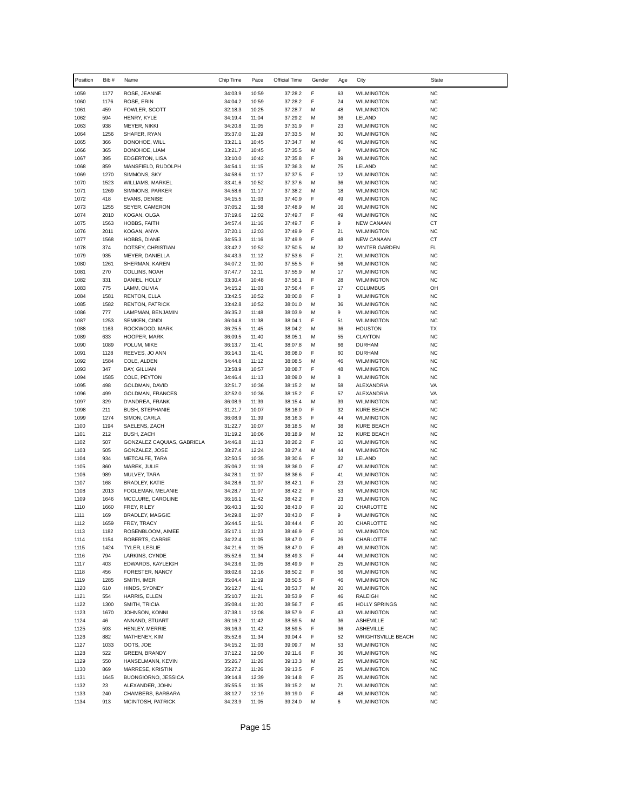| Position     | Bib #        | Name                                        | Chip Time          | Pace           | Official Time      | Gender | Age      | City                                   | <b>State</b>           |
|--------------|--------------|---------------------------------------------|--------------------|----------------|--------------------|--------|----------|----------------------------------------|------------------------|
| 1059         | 1177         | ROSE, JEANNE                                | 34:03.9            | 10:59          | 37:28.2            | F      | 63       | <b>WILMINGTON</b>                      | <b>NC</b>              |
| 1060         | 1176         | ROSE, ERIN                                  | 34:04.2            | 10:59          | 37:28.2            | F      | 24       | <b>WILMINGTON</b>                      | <b>NC</b>              |
| 1061         | 459          | FOWLER, SCOTT                               | 32:18.3            | 10:25          | 37:28.7            | М      | 48       | <b>WILMINGTON</b>                      | <b>NC</b>              |
| 1062         | 594          | HENRY, KYLE                                 | 34:19.4            | 11:04          | 37:29.2            | М      | 36       | LELAND                                 | <b>NC</b>              |
| 1063<br>1064 | 938<br>1256  | MEYER, NIKKI<br>SHAFER, RYAN                | 34:20.8<br>35:37.0 | 11:05<br>11:29 | 37:31.9<br>37:33.5 | F<br>M | 23<br>30 | <b>WILMINGTON</b><br><b>WILMINGTON</b> | <b>NC</b><br><b>NC</b> |
| 1065         | 366          | DONOHOE, WILL                               | 33:21.1            | 10:45          | 37:34.7            | М      | 46       | <b>WILMINGTON</b>                      | <b>NC</b>              |
| 1066         | 365          | DONOHOE, LIAM                               | 33:21.7            | 10:45          | 37:35.5            | М      | 9        | <b>WILMINGTON</b>                      | <b>NC</b>              |
| 1067         | 395          | EDGERTON, LISA                              | 33:10.0            | 10:42          | 37:35.8            | F      | 39       | <b>WILMINGTON</b>                      | <b>NC</b>              |
| 1068         | 859          | MANSFIELD, RUDOLPH                          | 34:54.1            | 11:15          | 37:36.3            | M      | 75       | LELAND                                 | <b>NC</b>              |
| 1069         | 1270         | SIMMONS, SKY                                | 34:58.6            | 11:17          | 37:37.5            | F      | 12       | <b>WILMINGTON</b>                      | <b>NC</b>              |
| 1070<br>1071 | 1523<br>1269 | <b>WILLIAMS, MARKEL</b><br>SIMMONS, PARKER  | 33:41.6<br>34:58.6 | 10:52<br>11:17 | 37:37.6<br>37:38.2 | м<br>M | 36<br>18 | <b>WILMINGTON</b><br><b>WILMINGTON</b> | <b>NC</b><br><b>NC</b> |
| 1072         | 418          | EVANS, DENISE                               | 34:15.5            | 11:03          | 37:40.9            | F      | 49       | <b>WILMINGTON</b>                      | <b>NC</b>              |
| 1073         | 1255         | SEYER, CAMERON                              | 37:05.2            | 11:58          | 37:48.9            | М      | 16       | <b>WILMINGTON</b>                      | <b>NC</b>              |
| 1074         | 2010         | KOGAN, OLGA                                 | 37:19.6            | 12:02          | 37:49.7            | F      | 49       | <b>WILMINGTON</b>                      | <b>NC</b>              |
| 1075         | 1563         | HOBBS, FAITH                                | 34:57.4            | 11:16          | 37:49.7            | F      | 9        | <b>NEW CANAAN</b>                      | CT                     |
| 1076         | 2011         | KOGAN, ANYA                                 | 37:20.1            | 12:03          | 37:49.9            | F      | 21       | <b>WILMINGTON</b>                      | <b>NC</b>              |
| 1077<br>1078 | 1568<br>374  | HOBBS, DIANE                                | 34:55.3            | 11:16<br>10:52 | 37:49.9            | F      | 48<br>32 | <b>NEW CANAAN</b>                      | CT                     |
| 1079         | 935          | DOTSEY, CHRISTIAN<br>MEYER, DANIELLA        | 33:42.2<br>34:43.3 | 11:12          | 37:50.5<br>37:53.6 | м<br>F | 21       | WINTER GARDEN<br><b>WILMINGTON</b>     | FL<br><b>NC</b>        |
| 1080         | 1261         | SHERMAN, KAREN                              | 34:07.2            | 11:00          | 37:55.5            | F      | 56       | <b>WILMINGTON</b>                      | <b>NC</b>              |
| 1081         | 270          | COLLINS, NOAH                               | 37:47.7            | 12:11          | 37:55.9            | м      | 17       | <b>WILMINGTON</b>                      | <b>NC</b>              |
| 1082         | 331          | DANIEL, HOLLY                               | 33:30.4            | 10:48          | 37:56.1            | F      | 28       | <b>WILMINGTON</b>                      | <b>NC</b>              |
| 1083         | 775          | LAMM, OLIVIA                                | 34:15.2            | 11:03          | 37:56.4            | F      | 17       | <b>COLUMBUS</b>                        | OH                     |
| 1084         | 1581         | <b>RENTON, ELLA</b>                         | 33:42.5            | 10:52          | 38:00.8            | F      | 8        | <b>WILMINGTON</b>                      | <b>NC</b>              |
| 1085<br>1086 | 1582<br>777  | <b>RENTON, PATRICK</b><br>LAMPMAN, BENJAMIN | 33:42.8<br>36:35.2 | 10:52<br>11:48 | 38:01.0<br>38:03.9 | М<br>М | 36<br>9  | <b>WILMINGTON</b><br><b>WILMINGTON</b> | <b>NC</b><br><b>NC</b> |
| 1087         | 1253         | SEMKEN, CINDI                               | 36:04.8            | 11:38          | 38:04.1            | F      | 51       | <b>WILMINGTON</b>                      | <b>NC</b>              |
| 1088         | 1163         | ROCKWOOD, MARK                              | 36:25.5            | 11:45          | 38:04.2            | М      | 36       | <b>HOUSTON</b>                         | <b>TX</b>              |
| 1089         | 633          | HOOPER, MARK                                | 36:09.5            | 11:40          | 38:05.1            | M      | 55       | <b>CLAYTON</b>                         | <b>NC</b>              |
| 1090         | 1089         | POLUM, MIKE                                 | 36:13.7            | 11:41          | 38:07.8            | М      | 66       | <b>DURHAM</b>                          | <b>NC</b>              |
| 1091         | 1128         | REEVES, JO ANN                              | 36:14.3            | 11:41          | 38:08.0            | F      | 60       | <b>DURHAM</b>                          | <b>NC</b>              |
| 1092         | 1584         | COLE, ALDEN                                 | 34:44.8            | 11:12          | 38:08.5            | м      | 46       | <b>WILMINGTON</b>                      | <b>NC</b>              |
| 1093<br>1094 | 347<br>1585  | DAY, GILLIAN<br>COLE, PEYTON                | 33:58.9<br>34:46.4 | 10:57<br>11:13 | 38:08.7<br>38:09.0 | F<br>М | 48<br>8  | <b>WILMINGTON</b><br><b>WILMINGTON</b> | <b>NC</b><br><b>NC</b> |
| 1095         | 498          | GOLDMAN, DAVID                              | 32:51.7            | 10:36          | 38:15.2            | м      | 58       | ALEXANDRIA                             | VA                     |
| 1096         | 499          | GOLDMAN, FRANCES                            | 32:52.0            | 10:36          | 38:15.2            | F      | 57       | ALEXANDRIA                             | VA                     |
| 1097         | 329          | D'ANDREA, FRANK                             | 36:08.9            | 11:39          | 38:15.4            | М      | 39       | <b>WILMINGTON</b>                      | <b>NC</b>              |
| 1098         | 211          | <b>BUSH, STEPHANIE</b>                      | 31:21.7            | 10:07          | 38:16.0            | F      | 32       | <b>KURE BEACH</b>                      | <b>NC</b>              |
| 1099         | 1274         | SIMON, CARLA                                | 36:08.9            | 11:39          | 38:16.3            | F      | 44       | <b>WILMINGTON</b>                      | <b>NC</b>              |
| 1100<br>1101 | 1194<br>212  | SAELENS, ZACH<br>BUSH, ZACH                 | 31:22.7<br>31:19.2 | 10:07<br>10:06 | 38:18.5<br>38:18.9 | м<br>М | 38<br>32 | <b>KURE BEACH</b><br><b>KURE BEACH</b> | <b>NC</b><br><b>NC</b> |
| 1102         | 507          | GONZALEZ CAQUIAS, GABRIELA                  | 34:46.8            | 11:13          | 38:26.2            | F      | 10       | <b>WILMINGTON</b>                      | <b>NC</b>              |
| 1103         | 505          | GONZALEZ, JOSE                              | 38:27.4            | 12:24          | 38:27.4            | м      | 44       | <b>WILMINGTON</b>                      | <b>NC</b>              |
| 1104         | 934          | METCALFE, TARA                              | 32:50.5            | 10:35          | 38:30.6            | F      | 32       | LELAND                                 | <b>NC</b>              |
| 1105         | 860          | MAREK, JULIE                                | 35:06.2            | 11:19          | 38:36.0            | F      | 47       | <b>WILMINGTON</b>                      | <b>NC</b>              |
| 1106         | 989          | MULVEY, TARA                                | 34:28.1            | 11:07          | 38:36.6            | F      | 41       | <b>WILMINGTON</b>                      | <b>NC</b>              |
| 1107         | 168          | <b>BRADLEY, KATIE</b><br>FOGLEMAN, MELANIE  | 34:28.6<br>34:28.7 | 11:07          | 38:42.1            | F<br>F | 23       | <b>WILMINGTON</b>                      | <b>NC</b>              |
| 1108<br>1109 | 2013<br>1646 | MCCLURE, CAROLINE                           | 36:16.1            | 11:07<br>11:42 | 38:42.2<br>38:42.2 | F      | 53<br>23 | <b>WILMINGTON</b><br><b>WILMINGTON</b> | <b>NC</b><br><b>NC</b> |
| 1110         | 1660         | FREY, RILEY                                 | 36:40.3            | 11:50          | 38:43.0            | F      | 10       | CHARLOTTE                              | <b>NC</b>              |
| 1111         | 169          | <b>BRADLEY, MAGGIE</b>                      | 34:29.8            | 11:07          | 38:43.0            | F      | 9        | <b>WILMINGTON</b>                      | <b>NC</b>              |
| 1112         | 1659         | FREY, TRACY                                 | 36:44.5            | 11:51          | 38:44.4            | F      | 20       | CHARLOTTE                              | <b>NC</b>              |
| 1113         | 1182         | ROSENBLOOM, AIMEE                           | 35:17.1            | 11:23          | 38:46.9            | F      | 10       | <b>WILMINGTON</b>                      | <b>NC</b>              |
| 1114         | 1154         | ROBERTS, CARRIE                             | 34:22.4            | 11:05          | 38:47.0            | F      | 26       | CHARLOTTE                              | <b>NC</b>              |
| 1115<br>1116 | 1424<br>794  | TYLER, LESLIE<br>LARKINS, CYNDE             | 34:21.6<br>35:52.6 | 11:05<br>11:34 | 38:47.0<br>38:49.3 | F<br>F | 49<br>44 | WILMINGTON<br><b>WILMINGTON</b>        | <b>NC</b><br><b>NC</b> |
| 1117         | 403          | EDWARDS, KAYLEIGH                           | 34:23.6            | 11:05          | 38:49.9            | F      | 25       | WILMINGTON                             | <b>NC</b>              |
| 1118         | 456          | FORESTER, NANCY                             | 38:02.6            | 12:16          | 38:50.2            | F      | 56       | <b>WILMINGTON</b>                      | <b>NC</b>              |
| 1119         | 1285         | SMITH, IMER                                 | 35:04.4            | 11:19          | 38:50.5            | F      | 46       | <b>WILMINGTON</b>                      | <b>NC</b>              |
| 1120         | 610          | HINDS, SYDNEY                               | 36:12.7            | 11:41          | 38:53.7            | M      | 20       | WILMINGTON                             | <b>NC</b>              |
| 1121         | 554          | HARRIS, ELLEN                               | 35:10.7            | 11:21          | 38:53.9            | F      | 46       | RALEIGH                                | <b>NC</b>              |
| 1122         | 1300         | SMITH, TRICIA                               | 35:08.4            | 11:20          | 38:56.7            | F      | 45       | <b>HOLLY SPRINGS</b>                   | <b>NC</b>              |
| 1123<br>1124 | 1670<br>46   | JOHNSON, KONNI<br>ANNAND, STUART            | 37:38.1<br>36:16.2 | 12:08<br>11:42 | 38:57.9<br>38:59.5 | F<br>M | 43<br>36 | <b>WILMINGTON</b><br><b>ASHEVILLE</b>  | <b>NC</b><br><b>NC</b> |
| 1125         | 593          | HENLEY, MERRIE                              | 36:16.3            | 11:42          | 38:59.5            | F      | 36       | <b>ASHEVILLE</b>                       | <b>NC</b>              |
| 1126         | 882          | MATHENEY, KIM                               | 35:52.6            | 11:34          | 39:04.4            | F      | 52       | <b>WRIGHTSVILLE BEACH</b>              | <b>NC</b>              |
| 1127         | 1033         | OOTS, JOE                                   | 34:15.2            | 11:03          | 39:09.7            | M      | 53       | <b>WILMINGTON</b>                      | <b>NC</b>              |
| 1128         | 522          | <b>GREEN, BRANDY</b>                        | 37:12.2            | 12:00          | 39:11.6            | F      | 36       | <b>WILMINGTON</b>                      | <b>NC</b>              |
| 1129         | 550          | HANSELMANN, KEVIN                           | 35:26.7            | 11:26          | 39:13.3            | М      | 25       | <b>WILMINGTON</b>                      | <b>NC</b>              |
| 1130         | 869          | MARRESE, KRISTIN                            | 35:27.2            | 11:26          | 39:13.5            | F      | 25       | <b>WILMINGTON</b>                      | <b>NC</b>              |
| 1131<br>1132 | 1645<br>23   | BUONGIORNO, JESSICA<br>ALEXANDER, JOHN      | 39:14.8<br>35:55.5 | 12:39<br>11:35 | 39:14.8<br>39:15.2 | F<br>М | 25<br>71 | <b>WILMINGTON</b><br><b>WILMINGTON</b> | <b>NC</b><br><b>NC</b> |
| 1133         | 240          | CHAMBERS, BARBARA                           | 38:12.7            | 12:19          | 39:19.0            | F      | 48       | <b>WILMINGTON</b>                      | <b>NC</b>              |
| 1134         | 913          | MCINTOSH, PATRICK                           | 34:23.9            | 11:05          | 39:24.0            | М      | 6        | <b>WILMINGTON</b>                      | <b>NC</b>              |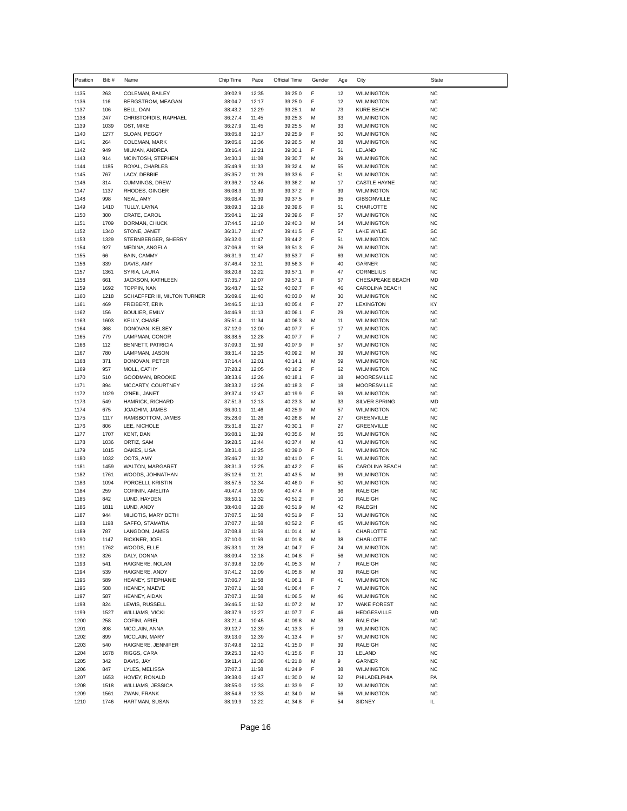| Position     | Bib #        | Name                                    | Chip Time          | Pace           | Official Time      | Gender | Age            | City                                    | State                  |
|--------------|--------------|-----------------------------------------|--------------------|----------------|--------------------|--------|----------------|-----------------------------------------|------------------------|
| 1135         | 263          | COLEMAN, BAILEY                         | 39:02.9            | 12:35          | 39:25.0            | F      | 12             | <b>WILMINGTON</b>                       | <b>NC</b>              |
| 1136         | 116          | BERGSTROM, MEAGAN                       | 38:04.7            | 12:17          | 39:25.0            | F      | 12             | <b>WILMINGTON</b>                       | <b>NC</b>              |
| 1137         | 106          | BELL, DAN                               | 38:43.2            | 12:29          | 39:25.1            | м      | 73             | KURE BEACH                              | <b>NC</b>              |
| 1138         | 247          | CHRISTOFIDIS, RAPHAEL                   | 36:27.4            | 11:45          | 39:25.3            | М      | 33             | <b>WILMINGTON</b>                       | <b>NC</b>              |
| 1139<br>1140 | 1039<br>1277 | OST, MIKE<br>SLOAN, PEGGY               | 36:27.9<br>38:05.8 | 11:45<br>12:17 | 39:25.5<br>39:25.9 | М<br>F | 33<br>50       | <b>WILMINGTON</b><br><b>WILMINGTON</b>  | <b>NC</b><br><b>NC</b> |
| 1141         | 264          | COLEMAN, MARK                           | 39:05.6            | 12:36          | 39:26.5            | М      | 38             | <b>WILMINGTON</b>                       | <b>NC</b>              |
| 1142         | 949          | MILMAN, ANDREA                          | 38:16.4            | 12:21          | 39:30.1            | F      | 51             | LELAND                                  | <b>NC</b>              |
| 1143         | 914          | MCINTOSH, STEPHEN                       | 34:30.3            | 11:08          | 39:30.7            | м      | 39             | <b>WILMINGTON</b>                       | <b>NC</b>              |
| 1144         | 1185         | ROYAL, CHARLES                          | 35:49.9            | 11:33          | 39:32.4            | M      | 55             | <b>WILMINGTON</b>                       | <b>NC</b>              |
| 1145         | 767          | LACY, DEBBIE                            | 35:35.7            | 11:29          | 39:33.6            | F      | 51             | <b>WILMINGTON</b>                       | <b>NC</b>              |
| 1146         | 314          | <b>CUMMINGS, DREW</b>                   | 39:36.2            | 12:46          | 39:36.2            | M      | 17             | <b>CASTLE HAYNE</b>                     | <b>NC</b>              |
| 1147<br>1148 | 1137<br>998  | RHODES, GINGER<br>NEAL, AMY             | 36:08.3<br>36:08.4 | 11:39<br>11:39 | 39:37.2<br>39:37.5 | F<br>F | 39<br>35       | <b>WILMINGTON</b><br><b>GIBSONVILLE</b> | <b>NC</b><br><b>NC</b> |
| 1149         | 1410         | TULLY, LAYNA                            | 38:09.3            | 12:18          | 39:39.6            | F      | 51             | CHARLOTTE                               | <b>NC</b>              |
| 1150         | 300          | CRATE, CAROL                            | 35:04.1            | 11:19          | 39:39.6            | F      | 57             | <b>WILMINGTON</b>                       | <b>NC</b>              |
| 1151         | 1709         | DORMAN, CHUCK                           | 37:44.5            | 12:10          | 39:40.3            | М      | 54             | <b>WILMINGTON</b>                       | <b>NC</b>              |
| 1152         | 1340         | STONE, JANET                            | 36:31.7            | 11:47          | 39:41.5            | F      | 57             | LAKE WYLIE                              | SC                     |
| 1153         | 1329         | STERNBERGER, SHERRY                     | 36:32.0            | 11:47          | 39:44.2            | F      | 51             | <b>WILMINGTON</b>                       | <b>NC</b>              |
| 1154<br>1155 | 927<br>66    | MEDINA, ANGELA<br>BAIN, CAMMY           | 37:06.8<br>36:31.9 | 11:58<br>11:47 | 39:51.3<br>39:53.7 | F<br>F | 26<br>69       | <b>WILMINGTON</b><br><b>WILMINGTON</b>  | <b>NC</b><br><b>NC</b> |
| 1156         | 339          | DAVIS, AMY                              | 37:46.4            | 12:11          | 39:56.3            | F      | 40             | GARNER                                  | <b>NC</b>              |
| 1157         | 1361         | SYRIA, LAURA                            | 38:20.8            | 12:22          | 39:57.1            | F      | 47             | <b>CORNELIUS</b>                        | <b>NC</b>              |
| 1158         | 661          | JACKSON, KATHLEEN                       | 37:35.7            | 12:07          | 39:57.1            | F      | 57             | CHESAPEAKE BEACH                        | MD                     |
| 1159         | 1692         | TOPPIN, NAN                             | 36:48.7            | 11:52          | 40:02.7            | F      | 46             | CAROLINA BEACH                          | <b>NC</b>              |
| 1160         | 1218         | SCHAEFFER III, MILTON TURNER            | 36:09.6            | 11:40          | 40:03.0            | М      | 30             | <b>WILMINGTON</b>                       | <b>NC</b>              |
| 1161         | 469          | FREIBERT, ERIN                          | 34:46.5            | 11:13          | 40:05.4            | F<br>F | 27             | <b>LEXINGTON</b>                        | KY                     |
| 1162<br>1163 | 156<br>1603  | <b>BOULIER, EMILY</b><br>KELLY, CHASE   | 34:46.9<br>35:51.4 | 11:13<br>11:34 | 40:06.1<br>40:06.3 | М      | 29<br>11       | <b>WILMINGTON</b><br><b>WILMINGTON</b>  | <b>NC</b><br><b>NC</b> |
| 1164         | 368          | DONOVAN, KELSEY                         | 37:12.0            | 12:00          | 40:07.7            | F      | 17             | <b>WILMINGTON</b>                       | <b>NC</b>              |
| 1165         | 779          | LAMPMAN, CONOR                          | 38:38.5            | 12:28          | 40:07.7            | F      | $\overline{7}$ | <b>WILMINGTON</b>                       | <b>NC</b>              |
| 1166         | 112          | BENNETT, PATRICIA                       | 37:09.3            | 11:59          | 40:07.9            | F      | 57             | <b>WILMINGTON</b>                       | <b>NC</b>              |
| 1167         | 780          | LAMPMAN, JASON                          | 38:31.4            | 12:25          | 40:09.2            | М      | 39             | <b>WILMINGTON</b>                       | <b>NC</b>              |
| 1168         | 371          | DONOVAN, PETER                          | 37:14.4            | 12:01          | 40:14.1            | М      | 59             | <b>WILMINGTON</b>                       | <b>NC</b>              |
| 1169<br>1170 | 957<br>510   | MOLL, CATHY                             | 37:28.2            | 12:05<br>12:26 | 40:16.2            | F<br>F | 62<br>18       | <b>WILMINGTON</b>                       | <b>NC</b><br><b>NC</b> |
| 1171         | 894          | GOODMAN, BROOKE<br>MCCARTY, COURTNEY    | 38:33.6<br>38:33.2 | 12:26          | 40:18.1<br>40:18.3 | F      | 18             | MOORESVILLE<br>MOORESVILLE              | <b>NC</b>              |
| 1172         | 1029         | O'NEIL, JANET                           | 39:37.4            | 12:47          | 40:19.9            | F      | 59             | <b>WILMINGTON</b>                       | <b>NC</b>              |
| 1173         | 549          | HAMRICK, RICHARD                        | 37:51.3            | 12:13          | 40:23.3            | М      | 33             | SILVER SPRING                           | MD                     |
| 1174         | 675          | JOACHIM, JAMES                          | 36:30.1            | 11:46          | 40:25.9            | М      | 57             | <b>WILMINGTON</b>                       | <b>NC</b>              |
| 1175         | 1117         | RAMSBOTTOM, JAMES                       | 35:28.0            | 11:26          | 40:26.8            | М      | 27             | <b>GREENVILLE</b>                       | <b>NC</b>              |
| 1176<br>1177 | 806<br>1707  | LEE, NICHOLE<br>KENT, DAN               | 35:31.8<br>36:08.1 | 11:27<br>11:39 | 40:30.1<br>40:35.6 | F<br>М | 27<br>55       | <b>GREENVILLE</b><br><b>WILMINGTON</b>  | <b>NC</b><br><b>NC</b> |
| 1178         | 1036         | ORTIZ, SAM                              | 39:28.5            | 12:44          | 40:37.4            | М      | 43             | <b>WILMINGTON</b>                       | <b>NC</b>              |
| 1179         | 1015         | OAKES, LISA                             | 38:31.0            | 12:25          | 40:39.0            | F      | 51             | <b>WILMINGTON</b>                       | <b>NC</b>              |
| 1180         | 1032         | OOTS, AMY                               | 35:46.7            | 11:32          | 40:41.0            | F      | 51             | <b>WILMINGTON</b>                       | <b>NC</b>              |
| 1181         | 1459         | WALTON, MARGARET                        | 38:31.3            | 12:25          | 40:42.2            | F      | 65             | CAROLINA BEACH                          | <b>NC</b>              |
| 1182         | 1761         | WOODS, JOHNATHAN                        | 35:12.6            | 11:21          | 40:43.5            | М      | 99             | <b>WILMINGTON</b>                       | <b>NC</b>              |
| 1183         | 1094         | PORCELLI, KRISTIN<br>COFININ, AMELITA   | 38:57.5            | 12:34          | 40:46.0            | F<br>F | 50             | <b>WILMINGTON</b><br><b>RALEIGH</b>     | <b>NC</b>              |
| 1184<br>1185 | 259<br>842   | LUND, HAYDEN                            | 40:47.4<br>38:50.1 | 13:09<br>12:32 | 40:47.4<br>40:51.2 | F      | 36<br>10       | <b>RALEIGH</b>                          | <b>NC</b><br><b>NC</b> |
| 1186         | 1811         | LUND, ANDY                              | 38:40.0            | 12:28          | 40:51.9            | М      | 42             | RALEGH                                  | <b>NC</b>              |
| 1187         | 944          | MILIOTIS, MARY BETH                     | 37:07.5            | 11:58          | 40:51.9            | F      | 53             | <b>WILMINGTON</b>                       | <b>NC</b>              |
| 1188         | 1198         | SAFFO, STAMATIA                         | 37:07.7            | 11:58          | 40:52.2            | F      | 45             | <b>WILMINGTON</b>                       | <b>NC</b>              |
| 1189         | 787          | LANGDON, JAMES                          | 37:08.8            | 11:59          | 41:01.4            | М      | 6              | CHARLOTTE                               | <b>NC</b>              |
| 1190         | 1147         | RICKNER, JOEL                           | 37:10.0            | 11:59          | 41:01.8            | м      | 38             | CHARLOTTE                               | <b>NC</b>              |
| 1191         | 1762<br>326  | WOODS, ELLE                             | 35:33.1<br>38:09.4 | 11:28          | 41:04.7            | F<br>F | 24<br>56       | <b>WILMINGTON</b>                       | <b>NC</b><br><b>NC</b> |
| 1192<br>1193 | 541          | DALY, DONNA<br>HAIGNERE, NOLAN          | 37:39.8            | 12:18<br>12:09 | 41:04.8<br>41:05.3 | М      | $\overline{7}$ | <b>WILMINGTON</b><br>RALEIGH            | <b>NC</b>              |
| 1194         | 539          | HAIGNERE, ANDY                          | 37:41.2            | 12:09          | 41:05.8            | М      | 39             | RALEIGH                                 | <b>NC</b>              |
| 1195         | 589          | HEANEY, STEPHANIE                       | 37:06.7            | 11:58          | 41:06.1            | F      | 41             | <b>WILMINGTON</b>                       | <b>NC</b>              |
| 1196         | 588          | HEANEY, MAEVE                           | 37:07.1            | 11:58          | 41:06.4            | F      | $\overline{7}$ | <b>WILMINGTON</b>                       | <b>NC</b>              |
| 1197         | 587          | HEANEY, AIDAN                           | 37:07.3            | 11:58          | 41:06.5            | М      | 46             | <b>WILMINGTON</b>                       | <b>NC</b>              |
| 1198         | 824          | LEWIS, RUSSELL                          | 36:46.5            | 11:52          | 41:07.2            | м      | 37             | <b>WAKE FOREST</b>                      | <b>NC</b>              |
| 1199<br>1200 | 1527<br>258  | <b>WILLIAMS, VICKI</b><br>COFINI, ARIEL | 38:37.9<br>33:21.4 | 12:27<br>10:45 | 41:07.7<br>41:09.8 | F<br>М | 46<br>38       | <b>HEDGESVILLE</b><br>RALEIGH           | MD<br><b>NC</b>        |
| 1201         | 898          | MCCLAIN, ANNA                           | 39:12.7            | 12:39          | 41:13.3            | F      | 19             | <b>WILMINGTON</b>                       | <b>NC</b>              |
| 1202         | 899          | MCCLAIN, MARY                           | 39:13.0            | 12:39          | 41:13.4            | F      | 57             | <b>WILMINGTON</b>                       | NC                     |
| 1203         | 540          | HAIGNERE, JENNIFER                      | 37:49.8            | 12:12          | 41:15.0            | F      | 39             | RALEIGH                                 | <b>NC</b>              |
| 1204         | 1678         | RIGGS, CARA                             | 39:25.3            | 12:43          | 41:15.6            | F      | 33             | LELAND                                  | <b>NC</b>              |
| 1205         | 342          | DAVIS, JAY                              | 39:11.4            | 12:38          | 41:21.8            | м      | 9              | GARNER                                  | <b>NC</b>              |
| 1206         | 847          | LYLES, MELISSA                          | 37:07.3            | 11:58          | 41:24.9            | F      | 38             | <b>WILMINGTON</b>                       | <b>NC</b>              |
| 1207<br>1208 | 1653<br>1518 | HOVEY, RONALD<br>WILLIAMS, JESSICA      | 39:38.0<br>38:55.0 | 12:47<br>12:33 | 41:30.0<br>41:33.9 | м<br>F | 52<br>32       | PHILADELPHIA                            | PA<br><b>NC</b>        |
| 1209         | 1561         | ZWAN, FRANK                             | 38:54.8            | 12:33          | 41:34.0            | М      | 56             | WILMINGTON<br><b>WILMINGTON</b>         | <b>NC</b>              |
| 1210         | 1746         | HARTMAN, SUSAN                          | 38:19.9            | 12:22          | 41:34.8            | F      | 54             | SIDNEY                                  | IL.                    |
|              |              |                                         |                    |                |                    |        |                |                                         |                        |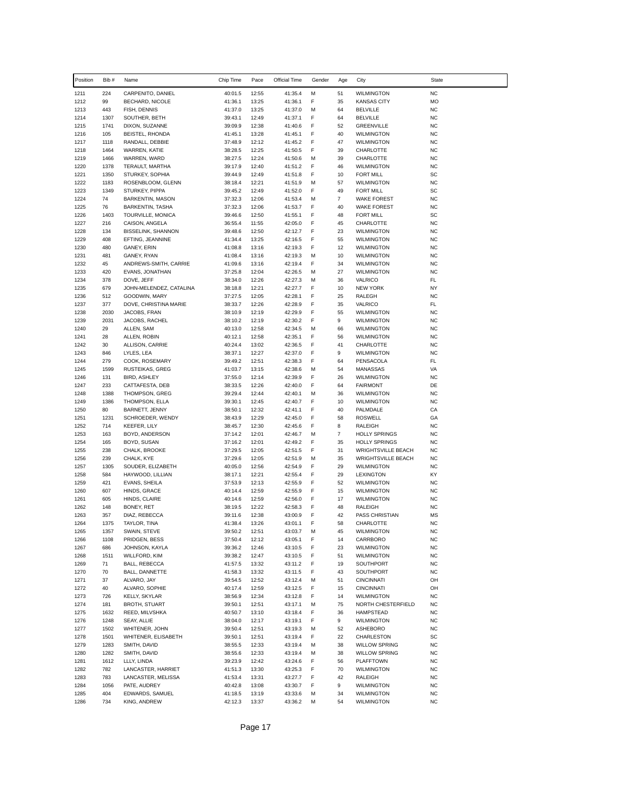| Position     | Bib #        | Name                                      | Chip Time          | Pace           | Official Time      | Gender | Age                  | City                                           | <b>State</b>           |
|--------------|--------------|-------------------------------------------|--------------------|----------------|--------------------|--------|----------------------|------------------------------------------------|------------------------|
| 1211         | 224          | CARPENITO, DANIEL                         | 40:01.5            | 12:55          | 41:35.4            | М      | 51                   | <b>WILMINGTON</b>                              | <b>NC</b>              |
| 1212         | 99           | BECHARD, NICOLE                           | 41:36.1            | 13:25          | 41:36.1            | F      | 35                   | <b>KANSAS CITY</b>                             | <b>MO</b>              |
| 1213         | 443          | FISH, DENNIS                              | 41:37.0            | 13:25          | 41:37.0            | м      | 64                   | <b>BELVILLE</b>                                | <b>NC</b>              |
| 1214         | 1307         | SOUTHER, BETH                             | 39:43.1            | 12:49          | 41:37.1            | F      | 64                   | <b>BELVILLE</b>                                | <b>NC</b>              |
| 1215<br>1216 | 1741<br>105  | DIXON, SUZANNE<br>BEISTEL, RHONDA         | 39:09.9<br>41:45.1 | 12:38<br>13:28 | 41:40.6<br>41:45.1 | F<br>F | 52<br>40             | <b>GREENVILLE</b><br><b>WILMINGTON</b>         | <b>NC</b><br><b>NC</b> |
| 1217         | 1118         | RANDALL, DEBBIE                           | 37:48.9            | 12:12          | 41:45.2            | F      | 47                   | <b>WILMINGTON</b>                              | <b>NC</b>              |
| 1218         | 1464         | WARREN, KATIE                             | 38:28.5            | 12:25          | 41:50.5            | F      | 39                   | CHARLOTTE                                      | <b>NC</b>              |
| 1219         | 1466         | WARREN, WARD                              | 38:27.5            | 12:24          | 41:50.6            | M      | 39                   | CHARLOTTE                                      | <b>NC</b>              |
| 1220         | 1378         | TERAULT, MARTHA                           | 39:17.9            | 12:40          | 41:51.2            | F      | 46                   | <b>WILMINGTON</b>                              | <b>NC</b>              |
| 1221         | 1350         | STURKEY, SOPHIA                           | 39:44.9            | 12:49          | 41:51.8            | F      | 10                   | <b>FORT MILL</b>                               | SC                     |
| 1222         | 1183         | ROSENBLOOM, GLENN                         | 38:18.4            | 12:21          | 41:51.9            | M      | 57                   | <b>WILMINGTON</b>                              | <b>NC</b>              |
| 1223<br>1224 | 1349<br>74   | STURKEY, PIPPA<br><b>BARKENTIN, MASON</b> | 39:45.2<br>37:32.3 | 12:49<br>12:06 | 41:52.0<br>41:53.4 | F<br>М | 49<br>$\overline{7}$ | <b>FORT MILL</b><br><b>WAKE FOREST</b>         | SC<br><b>NC</b>        |
| 1225         | 76           | <b>BARKENTIN, TASHA</b>                   | 37:32.3            | 12:06          | 41:53.7            | F      | 40                   | <b>WAKE FOREST</b>                             | <b>NC</b>              |
| 1226         | 1403         | TOURVILLE, MONICA                         | 39:46.6            | 12:50          | 41:55.1            | F      | 48                   | <b>FORT MILL</b>                               | SC                     |
| 1227         | 216          | CAISON, ANGELA                            | 36:55.4            | 11:55          | 42:05.0            | F      | 45                   | CHARLOTTE                                      | <b>NC</b>              |
| 1228         | 134          | <b>BISSELINK, SHANNON</b>                 | 39:48.6            | 12:50          | 42:12.7            | F      | 23                   | <b>WILMINGTON</b>                              | <b>NC</b>              |
| 1229         | 408          | EFTING, JEANNINE                          | 41:34.4            | 13:25          | 42:16.5            | F      | 55                   | <b>WILMINGTON</b>                              | <b>NC</b>              |
| 1230         | 480          | GANEY, ERIN                               | 41:08.8            | 13:16          | 42:19.3            | F      | 12                   | <b>WILMINGTON</b>                              | <b>NC</b>              |
| 1231<br>1232 | 481<br>45    | GANEY, RYAN<br>ANDREWS-SMITH, CARRIE      | 41:08.4<br>41:09.6 | 13:16<br>13:16 | 42:19.3<br>42:19.4 | М<br>F | 10<br>34             | <b>WILMINGTON</b><br><b>WILMINGTON</b>         | <b>NC</b><br><b>NC</b> |
| 1233         | 420          | EVANS, JONATHAN                           | 37:25.8            | 12:04          | 42:26.5            | м      | 27                   | <b>WILMINGTON</b>                              | <b>NC</b>              |
| 1234         | 378          | DOVE, JEFF                                | 38:34.0            | 12:26          | 42:27.3            | м      | 36                   | VALRICO                                        | FL                     |
| 1235         | 679          | JOHN-MELENDEZ, CATALINA                   | 38:18.8            | 12:21          | 42:27.7            | F      | 10                   | <b>NEW YORK</b>                                | <b>NY</b>              |
| 1236         | 512          | GOODWIN, MARY                             | 37:27.5            | 12:05          | 42:28.1            | F      | 25                   | RALEGH                                         | <b>NC</b>              |
| 1237         | 377          | DOVE, CHRISTINA MARIE                     | 38:33.7            | 12:26          | 42:28.9            | F      | 35                   | VALRICO                                        | FL                     |
| 1238         | 2030         | JACOBS, FRAN                              | 38:10.9            | 12:19          | 42:29.9            | F      | 55                   | <b>WILMINGTON</b>                              | <b>NC</b>              |
| 1239<br>1240 | 2031<br>29   | JACOBS, RACHEL<br>ALLEN, SAM              | 38:10.2<br>40:13.0 | 12:19<br>12:58 | 42:30.2<br>42:34.5 | F<br>М | 9<br>66              | <b>WILMINGTON</b><br><b>WILMINGTON</b>         | <b>NC</b><br><b>NC</b> |
| 1241         | 28           | ALLEN, ROBIN                              | 40:12.1            | 12:58          | 42:35.1            | F      | 56                   | <b>WILMINGTON</b>                              | <b>NC</b>              |
| 1242         | 30           | ALLISON, CARRIE                           | 40:24.4            | 13:02          | 42:36.5            | F      | 41                   | CHARLOTTE                                      | <b>NC</b>              |
| 1243         | 846          | LYLES, LEA                                | 38:37.1            | 12:27          | 42:37.0            | F      | 9                    | <b>WILMINGTON</b>                              | <b>NC</b>              |
| 1244         | 279          | COOK, ROSEMARY                            | 39:49.2            | 12:51          | 42:38.3            | F      | 64                   | PENSACOLA                                      | FL                     |
| 1245         | 1599         | RUSTEIKAS, GREG                           | 41:03.7            | 13:15          | 42:38.6            | M      | 54                   | MANASSAS                                       | VA                     |
| 1246         | 131          | <b>BIRD, ASHLEY</b>                       | 37:55.0            | 12:14          | 42:39.9            | F      | 26                   | <b>WILMINGTON</b>                              | <b>NC</b>              |
| 1247         | 233          | CATTAFESTA, DEB                           | 38:33.5            | 12:26          | 42:40.0            | F      | 64                   | <b>FAIRMONT</b>                                | DE                     |
| 1248<br>1249 | 1388<br>1386 | THOMPSON, GREG<br>THOMPSON, ELLA          | 39:29.4<br>39:30.1 | 12:44<br>12:45 | 42:40.1<br>42:40.7 | M<br>F | 36<br>10             | <b>WILMINGTON</b><br><b>WILMINGTON</b>         | <b>NC</b><br><b>NC</b> |
| 1250         | 80           | BARNETT, JENNY                            | 38:50.1            | 12:32          | 42:41.1            | F      | 40                   | PALMDALE                                       | CA                     |
| 1251         | 1231         | SCHROEDER, WENDY                          | 38:43.9            | 12:29          | 42:45.0            | F      | 58                   | <b>ROSWELL</b>                                 | GA                     |
| 1252         | 714          | KEEFER, LILY                              | 38:45.7            | 12:30          | 42:45.6            | F      | 8                    | RALEIGH                                        | <b>NC</b>              |
| 1253         | 163          | BOYD, ANDERSON                            | 37:14.2            | 12:01          | 42:46.7            | М      | $\overline{7}$       | <b>HOLLY SPRINGS</b>                           | <b>NC</b>              |
| 1254         | 165          | BOYD, SUSAN                               | 37:16.2            | 12:01          | 42:49.2            | F      | 35                   | <b>HOLLY SPRINGS</b>                           | <b>NC</b>              |
| 1255         | 238          | CHALK, BROOKE                             | 37:29.5            | 12:05          | 42:51.5            | F      | 31                   | <b>WRIGHTSVILLE BEACH</b>                      | <b>NC</b>              |
| 1256<br>1257 | 239<br>1305  | CHALK, KYE<br>SOUDER, ELIZABETH           | 37:29.6<br>40:05.0 | 12:05<br>12:56 | 42:51.9<br>42:54.9 | М<br>F | 35<br>29             | <b>WRIGHTSVILLE BEACH</b><br><b>WILMINGTON</b> | <b>NC</b><br><b>NC</b> |
| 1258         | 584          | HAYWOOD, LILLIAN                          | 38:17.1            | 12:21          | 42:55.4            | F      | 29                   | <b>LEXINGTON</b>                               | KY                     |
| 1259         | 421          | EVANS, SHEILA                             | 37:53.9            | 12:13          | 42:55.9            | F      | 52                   | <b>WILMINGTON</b>                              | <b>NC</b>              |
| 1260         | 607          | HINDS, GRACE                              | 40:14.4            | 12:59          | 42:55.9            | F      | 15                   | <b>WILMINGTON</b>                              | <b>NC</b>              |
| 1261         | 605          | HINDS, CLAIRE                             | 40:14.6            | 12:59          | 42:56.0            | F      | 17                   | <b>WILMINGTON</b>                              | <b>NC</b>              |
| 1262         | 148          | BONEY, RET                                | 38:19.5            | 12:22          | 42:58.3            | F      | 48                   | RALEIGH                                        | <b>NC</b>              |
| 1263         | 357          | DIAZ, REBECCA                             | 39:11.6            | 12:38          | 43:00.9            | F      | 42                   | PASS CHRISTIAN                                 | MS                     |
| 1264<br>1265 | 1375<br>1357 | TAYLOR, TINA<br>SWAIN, STEVE              | 41:38.4<br>39:50.2 | 13:26<br>12:51 | 43:01.1<br>43:03.7 | F<br>М | 58<br>45             | CHARLOTTE<br><b>WILMINGTON</b>                 | <b>NC</b><br><b>NC</b> |
| 1266         | 1108         | PRIDGEN, BESS                             | 37:50.4            | 12:12          | 43:05.1            | F      | 14                   | CARRBORO                                       | <b>NC</b>              |
| 1267         | 686          | JOHNSON, KAYLA                            | 39:36.2            | 12:46          | 43:10.5            | F      | 23                   | WILMINGTON                                     | <b>NC</b>              |
| 1268         | 1511         | WILLFORD, KIM                             | 39:38.2            | 12:47          | 43:10.5            | F      | 51                   | <b>WILMINGTON</b>                              | <b>NC</b>              |
| 1269         | 71           | BALL, REBECCA                             | 41:57.5            | 13:32          | 43:11.2            | F      | 19                   | SOUTHPORT                                      | <b>NC</b>              |
| 1270         | 70           | BALL, DANNETTE                            | 41:58.3            | 13:32          | 43:11.5            | F      | 43                   | SOUTHPORT                                      | <b>NC</b>              |
| 1271         | 37           | ALVARO, JAY                               | 39:54.5            | 12:52          | 43:12.4            | М      | 51                   | <b>CINCINNATI</b>                              | OH                     |
| 1272         | 40           | ALVARO, SOPHIE                            | 40:17.4            | 12:59          | 43:12.5            | F      | 15                   | <b>CINCINNATI</b>                              | OH                     |
| 1273<br>1274 | 726<br>181   | KELLY, SKYLAR<br><b>BROTH, STUART</b>     | 38:56.9<br>39:50.1 | 12:34<br>12:51 | 43:12.8<br>43:17.1 | F<br>М | 14<br>75             | <b>WILMINGTON</b><br>NORTH CHESTERFIELD        | <b>NC</b><br><b>NC</b> |
| 1275         | 1632         | REED, MILVSHKA                            | 40:50.7            | 13:10          | 43:18.4            | F      | 36                   | <b>HAMPSTEAD</b>                               | <b>NC</b>              |
| 1276         | 1248         | SEAY, ALLIE                               | 38:04.0            | 12:17          | 43:19.1            | F      | 9                    | <b>WILMINGTON</b>                              | <b>NC</b>              |
| 1277         | 1502         | WHITENER, JOHN                            | 39:50.4            | 12:51          | 43:19.3            | М      | 52                   | ASHEBORO                                       | <b>NC</b>              |
| 1278         | 1501         | WHITENER, ELISABETH                       | 39:50.1            | 12:51          | 43:19.4            | F      | 22                   | CHARLESTON                                     | SC                     |
| 1279         | 1283         | SMITH, DAVID                              | 38:55.5            | 12:33          | 43:19.4            | M      | 38                   | <b>WILLOW SPRING</b>                           | <b>NC</b>              |
| 1280         | 1282         | SMITH, DAVID                              | 38:55.6            | 12:33          | 43:19.4            | М      | 38                   | WILLOW SPRING                                  | <b>NC</b>              |
| 1281         | 1612         | LLLY, LINDA                               | 39:23.9            | 12:42          | 43:24.6            | F      | 56                   | <b>PLAFFTOWN</b>                               | <b>NC</b>              |
| 1282<br>1283 | 782<br>783   | LANCASTER, HARRIET<br>LANCASTER, MELISSA  | 41:51.3<br>41:53.4 | 13:30<br>13:31 | 43:25.3<br>43:27.7 | F<br>F | 70<br>42             | <b>WILMINGTON</b><br>RALEIGH                   | <b>NC</b><br><b>NC</b> |
| 1284         | 1056         | PATE, AUDREY                              | 40:42.8            | 13:08          | 43:30.7            | F      | 9                    | <b>WILMINGTON</b>                              | <b>NC</b>              |
| 1285         | 404          | EDWARDS, SAMUEL                           | 41:18.5            | 13:19          | 43:33.6            | М      | 34                   | <b>WILMINGTON</b>                              | <b>NC</b>              |
| 1286         | 734          | KING, ANDREW                              | 42:12.3            | 13:37          | 43:36.2            | М      | 54                   | <b>WILMINGTON</b>                              | <b>NC</b>              |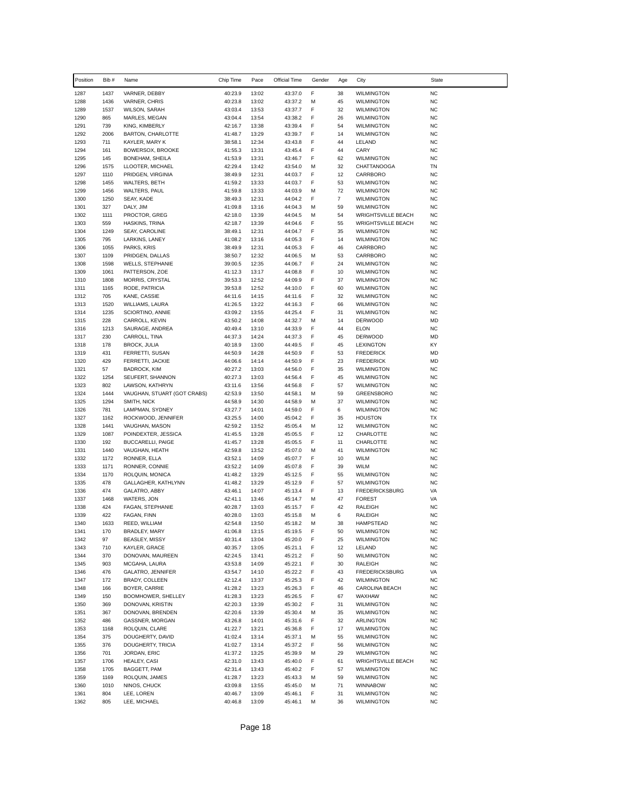| Position     | Bib #        | Name                                           | Chip Time          | Pace           | Official Time      | Gender | Age            | City                                       | <b>State</b>           |
|--------------|--------------|------------------------------------------------|--------------------|----------------|--------------------|--------|----------------|--------------------------------------------|------------------------|
| 1287         | 1437         | VARNER, DEBBY                                  | 40:23.9            | 13:02          | 43:37.0            | F      | 38             | <b>WILMINGTON</b>                          | <b>NC</b>              |
| 1288         | 1436         | VARNER, CHRIS                                  | 40:23.8            | 13:02          | 43:37.2            | м      | 45             | <b>WILMINGTON</b>                          | <b>NC</b>              |
| 1289         | 1537         | <b>WILSON, SARAH</b>                           | 43:03.4            | 13:53          | 43:37.7            | F      | 32             | <b>WILMINGTON</b>                          | <b>NC</b>              |
| 1290         | 865<br>739   | MARLES, MEGAN                                  | 43:04.4            | 13:54          | 43:38.2            | F<br>F | 26             | <b>WILMINGTON</b><br><b>WILMINGTON</b>     | <b>NC</b><br><b>NC</b> |
| 1291<br>1292 | 2006         | KING, KIMBERLY<br><b>BARTON, CHARLOTTE</b>     | 42:16.7<br>41:48.7 | 13:38<br>13:29 | 43:39.4<br>43:39.7 | F      | 54<br>14       | <b>WILMINGTON</b>                          | <b>NC</b>              |
| 1293         | 711          | KAYLER, MARY K                                 | 38:58.1            | 12:34          | 43:43.8            | F      | 44             | LELAND                                     | <b>NC</b>              |
| 1294         | 161          | <b>BOWERSOX, BROOKE</b>                        | 41:55.3            | 13:31          | 43:45.4            | F      | 44             | CARY                                       | <b>NC</b>              |
| 1295         | 145          | BONEHAM, SHEILA                                | 41:53.9            | 13:31          | 43:46.7            | F      | 62             | <b>WILMINGTON</b>                          | <b>NC</b>              |
| 1296         | 1575         | LLOOTER, MICHAEL                               | 42:29.4            | 13:42          | 43:54.0            | M      | 32             | <b>CHATTANOOGA</b>                         | TN                     |
| 1297         | 1110         | PRIDGEN, VIRGINIA                              | 38:49.9            | 12:31          | 44:03.7            | F      | 12             | CARRBORO                                   | <b>NC</b>              |
| 1298<br>1299 | 1455<br>1456 | <b>WALTERS, BETH</b><br>WALTERS, PAUL          | 41:59.2<br>41:59.8 | 13:33<br>13:33 | 44:03.7<br>44:03.9 | F<br>M | 53<br>72       | <b>WILMINGTON</b><br><b>WILMINGTON</b>     | <b>NC</b><br><b>NC</b> |
| 1300         | 1250         | SEAY, KADE                                     | 38:49.3            | 12:31          | 44:04.2            | F      | $\overline{7}$ | <b>WILMINGTON</b>                          | <b>NC</b>              |
| 1301         | 327          | DALY, JIM                                      | 41:09.8            | 13:16          | 44:04.3            | М      | 59             | <b>WILMINGTON</b>                          | <b>NC</b>              |
| 1302         | 1111         | PROCTOR, GREG                                  | 42:18.0            | 13:39          | 44:04.5            | M      | 54             | <b>WRIGHTSVILLE BEACH</b>                  | <b>NC</b>              |
| 1303         | 559          | HASKINS, TRINA                                 | 42:18.7            | 13:39          | 44:04.6            | F      | 55             | <b>WRIGHTSVILLE BEACH</b>                  | <b>NC</b>              |
| 1304         | 1249         | SEAY, CAROLINE                                 | 38:49.1            | 12:31          | 44:04.7            | F      | 35             | <b>WILMINGTON</b>                          | <b>NC</b>              |
| 1305         | 795          | LARKINS, LANEY                                 | 41:08.2            | 13:16          | 44:05.3            | F      | 14             | <b>WILMINGTON</b>                          | <b>NC</b>              |
| 1306<br>1307 | 1055<br>1109 | PARKS, KRIS<br>PRIDGEN, DALLAS                 | 38:49.9<br>38:50.7 | 12:31<br>12:32 | 44:05.3<br>44:06.5 | F<br>М | 46<br>53       | CARRBORO<br>CARRBORO                       | <b>NC</b><br><b>NC</b> |
| 1308         | 1598         | <b>WELLS, STEPHANIE</b>                        | 39:00.5            | 12:35          | 44:06.7            | F      | 24             | <b>WILMINGTON</b>                          | <b>NC</b>              |
| 1309         | 1061         | PATTERSON, ZOE                                 | 41:12.3            | 13:17          | 44:08.8            | F      | 10             | <b>WILMINGTON</b>                          | <b>NC</b>              |
| 1310         | 1808         | MORRIS, CRYSTAL                                | 39:53.3            | 12:52          | 44:09.9            | F      | 37             | <b>WILMINGTON</b>                          | <b>NC</b>              |
| 1311         | 1165         | RODE, PATRICIA                                 | 39:53.8            | 12:52          | 44:10.0            | F      | 60             | <b>WILMINGTON</b>                          | <b>NC</b>              |
| 1312         | 705          | KANE, CASSIE                                   | 44:11.6            | 14:15          | 44:11.6            | F      | 32             | <b>WILMINGTON</b>                          | <b>NC</b>              |
| 1313         | 1520         | WILLIAMS, LAURA                                | 41:26.5            | 13:22          | 44:16.3            | F      | 66             | <b>WILMINGTON</b>                          | <b>NC</b>              |
| 1314<br>1315 | 1235<br>228  | SCIORTINO, ANNIE<br>CARROLL, KEVIN             | 43:09.2<br>43:50.2 | 13:55<br>14:08 | 44:25.4<br>44:32.7 | F<br>М | 31<br>14       | <b>WILMINGTON</b><br><b>DERWOOD</b>        | <b>NC</b><br>MD        |
| 1316         | 1213         | SAURAGE, ANDREA                                | 40:49.4            | 13:10          | 44:33.9            | F      | 44             | <b>ELON</b>                                | <b>NC</b>              |
| 1317         | 230          | CARROLL, TINA                                  | 44:37.3            | 14:24          | 44:37.3            | F      | 45             | <b>DERWOOD</b>                             | <b>MD</b>              |
| 1318         | 178          | <b>BROCK, JULIA</b>                            | 40:18.9            | 13:00          | 44:49.5            | F      | 45             | <b>LEXINGTON</b>                           | KY                     |
| 1319         | 431          | FERRETTI, SUSAN                                | 44:50.9            | 14:28          | 44:50.9            | F      | 53             | <b>FREDERICK</b>                           | MD                     |
| 1320         | 429          | FERRETTI, JACKIE                               | 44:06.6            | 14:14          | 44:50.9            | F      | 23             | <b>FREDERICK</b>                           | <b>MD</b>              |
| 1321         | 57           | <b>BADROCK, KIM</b>                            | 40:27.2            | 13:03          | 44:56.0            | F      | 35             | <b>WILMINGTON</b>                          | <b>NC</b>              |
| 1322         | 1254<br>802  | SEUFERT, SHANNON                               | 40:27.3            | 13:03<br>13:56 | 44:56.4            | F<br>F | 45<br>57       | <b>WILMINGTON</b>                          | <b>NC</b><br><b>NC</b> |
| 1323<br>1324 | 1444         | LAWSON, KATHRYN<br>VAUGHAN, STUART (GOT CRABS) | 43:11.6<br>42:53.9 | 13:50          | 44:56.8<br>44:58.1 | M      | 59             | <b>WILMINGTON</b><br>GREENSBORO            | <b>NC</b>              |
| 1325         | 1294         | SMITH, NICK                                    | 44:58.9            | 14:30          | 44:58.9            | М      | 37             | <b>WILMINGTON</b>                          | <b>NC</b>              |
| 1326         | 781          | LAMPMAN, SYDNEY                                | 43:27.7            | 14:01          | 44:59.0            | F      | 6              | <b>WILMINGTON</b>                          | <b>NC</b>              |
| 1327         | 1162         | ROCKWOOD, JENNIFER                             | 43:25.5            | 14:00          | 45:04.2            | F      | 35             | <b>HOUSTON</b>                             | <b>TX</b>              |
| 1328         | 1441         | VAUGHAN, MASON                                 | 42:59.2            | 13:52          | 45:05.4            | м      | 12             | <b>WILMINGTON</b>                          | <b>NC</b>              |
| 1329         | 1087         | POINDEXTER, JESSICA                            | 41:45.5            | 13:28          | 45:05.5            | F      | 12             | CHARLOTTE                                  | <b>NC</b>              |
| 1330<br>1331 | 192<br>1440  | BUCCARELLI, PAIGE                              | 41:45.7            | 13:28<br>13:52 | 45:05.5            | F      | 11<br>41       | CHARLOTTE                                  | <b>NC</b><br><b>NC</b> |
| 1332         | 1172         | VAUGHAN, HEATH<br>RONNER, ELLA                 | 42:59.8<br>43:52.1 | 14:09          | 45:07.0<br>45:07.7 | м<br>F | 10             | <b>WILMINGTON</b><br><b>WILM</b>           | <b>NC</b>              |
| 1333         | 1171         | RONNER, CONNIE                                 | 43:52.2            | 14:09          | 45:07.8            | F      | 39             | <b>WILM</b>                                | <b>NC</b>              |
| 1334         | 1170         | ROLQUIN, MONICA                                | 41:48.2            | 13:29          | 45:12.5            | F      | 55             | <b>WILMINGTON</b>                          | <b>NC</b>              |
| 1335         | 478          | GALLAGHER, KATHLYNN                            | 41:48.2            | 13:29          | 45:12.9            | F      | 57             | <b>WILMINGTON</b>                          | <b>NC</b>              |
| 1336         | 474          | GALATRO, ABBY                                  | 43:46.1            | 14:07          | 45:13.4            | F      | 13             | <b>FREDERICKSBURG</b>                      | VA                     |
| 1337         | 1468         | WATERS, JON                                    | 42:41.1            | 13:46          | 45:14.7            | м      | 47             | <b>FOREST</b>                              | VA                     |
| 1338<br>1339 | 424<br>422   | FAGAN, STEPHANIE<br>FAGAN, FINN                | 40:28.7<br>40:28.0 | 13:03<br>13:03 | 45:15.7<br>45:15.8 | F<br>М | 42<br>6        | RALEIGH<br>RALEIGH                         | <b>NC</b><br><b>NC</b> |
| 1340         | 1633         | REED, WILLIAM                                  | 42:54.8            | 13:50          | 45:18.2            | М      | 38             | <b>HAMPSTEAD</b>                           | <b>NC</b>              |
| 1341         | 170          | BRADLEY, MARY                                  | 41:06.8            | 13:15          | 45:19.5            | F      | 50             | <b>WILMINGTON</b>                          | <b>NC</b>              |
| 1342         | 97           | BEASLEY, MISSY                                 | 40:31.4            | 13:04          | 45:20.0            | F      | 25             | <b>WILMINGTON</b>                          | <b>NC</b>              |
| 1343         | 710          | KAYLER, GRACE                                  | 40:35.7            | 13:05          | 45:21.1            | F      | 12             | LELAND                                     | <b>NC</b>              |
| 1344         | 370          | DONOVAN, MAUREEN                               | 42:24.5            | 13:41          | 45:21.2            | F      | 50             | WILMINGTON                                 | <b>NC</b>              |
| 1345         | 903          | MCGAHA, LAURA                                  | 43:53.8            | 14:09          | 45:22.1            | F      | 30             | RALEIGH                                    | <b>NC</b>              |
| 1346<br>1347 | 476<br>172   | <b>GALATRO, JENNIFER</b><br>BRADY, COLLEEN     | 43:54.7<br>42:12.4 | 14:10<br>13:37 | 45:22.2<br>45:25.3 | F<br>F | 43<br>42       | <b>FREDERICKSBURG</b><br><b>WILMINGTON</b> | VA<br><b>NC</b>        |
| 1348         | 166          | BOYER, CARRIE                                  | 41:28.2            | 13:23          | 45:26.3            | F      | 46             | CAROLINA BEACH                             | <b>NC</b>              |
| 1349         | 150          | BOOMHOWER, SHELLEY                             | 41:28.3            | 13:23          | 45:26.5            | F      | 67             | WAXHAW                                     | <b>NC</b>              |
| 1350         | 369          | DONOVAN, KRISTIN                               | 42:20.3            | 13:39          | 45:30.2            | F      | 31             | <b>WILMINGTON</b>                          | <b>NC</b>              |
| 1351         | 367          | DONOVAN, BRENDEN                               | 42:20.6            | 13:39          | 45:30.4            | М      | 35             | <b>WILMINGTON</b>                          | <b>NC</b>              |
| 1352         | 486          | GASSNER, MORGAN                                | 43:26.8            | 14:01          | 45:31.6            | F      | 32             | ARLINGTON                                  | <b>NC</b>              |
| 1353         | 1168         | ROLQUIN, CLARE                                 | 41:22.7            | 13:21          | 45:36.8            | F      | 17             | <b>WILMINGTON</b>                          | <b>NC</b>              |
| 1354         | 375          | DOUGHERTY, DAVID                               | 41:02.4<br>41:02.7 | 13:14          | 45:37.1            | М      | 55             | <b>WILMINGTON</b>                          | <b>NC</b>              |
| 1355<br>1356 | 376<br>701   | DOUGHERTY, TRICIA<br>JORDAN, ERIC              | 41:37.2            | 13:14<br>13:25 | 45:37.2<br>45:39.9 | F<br>М | 56<br>29       | <b>WILMINGTON</b><br>WILMINGTON            | <b>NC</b><br><b>NC</b> |
| 1357         | 1706         | HEALEY, CASI                                   | 42:31.0            | 13:43          | 45:40.0            | F      | 61             | <b>WRIGHTSVILLE BEACH</b>                  | <b>NC</b>              |
| 1358         | 1705         | BAGGETT, PAM                                   | 42:31.4            | 13:43          | 45:40.2            | F      | 57             | <b>WILMINGTON</b>                          | <b>NC</b>              |
| 1359         | 1169         | ROLQUIN, JAMES                                 | 41:28.7            | 13:23          | 45:43.3            | М      | 59             | <b>WILMINGTON</b>                          | <b>NC</b>              |
| 1360         | 1010         | NINOS, CHUCK                                   | 43:09.8            | 13:55          | 45:45.0            | М      | 71             | WINNABOW                                   | <b>NC</b>              |
| 1361         | 804          | LEE, LOREN                                     | 40:46.7            | 13:09          | 45:46.1            | F      | 31             | <b>WILMINGTON</b>                          | <b>NC</b>              |
| 1362         | 805          | LEE, MICHAEL                                   | 40:46.8            | 13:09          | 45:46.1            | М      | 36             | <b>WILMINGTON</b>                          | <b>NC</b>              |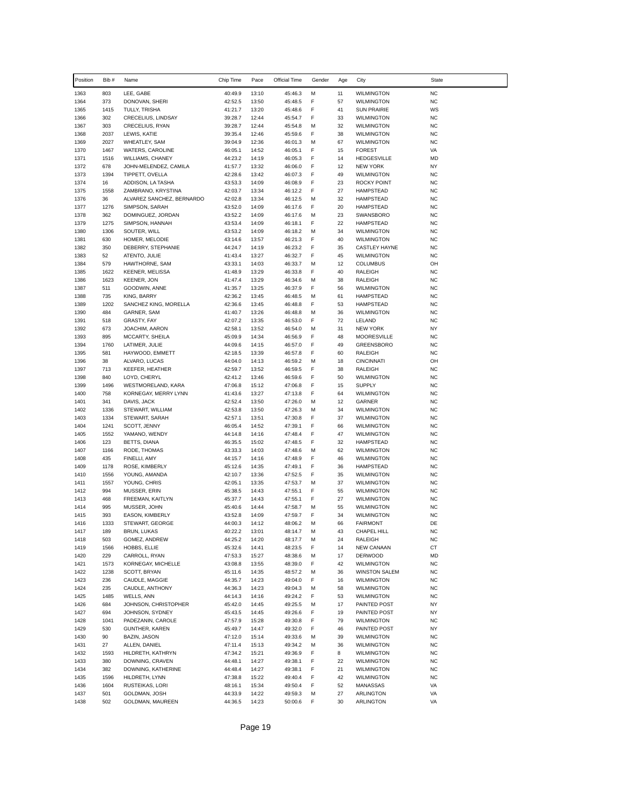| Position     | Bib #        | Name                                    | Chip Time          | Pace           | Official Time      | Gender | Age      | City                                      | State                  |  |
|--------------|--------------|-----------------------------------------|--------------------|----------------|--------------------|--------|----------|-------------------------------------------|------------------------|--|
| 1363         | 803          | LEE, GABE                               | 40:49.9            | 13:10          | 45:46.3            | M      | 11       | <b>WILMINGTON</b>                         | <b>NC</b>              |  |
| 1364         | 373          | DONOVAN, SHERI                          | 42:52.5            | 13:50          | 45:48.5            | F      | 57       | <b>WILMINGTON</b>                         | <b>NC</b>              |  |
| 1365         | 1415         | TULLY, TRISHA                           | 41:21.7            | 13:20          | 45:48.6            | F      | 41       | <b>SUN PRAIRIE</b>                        | WS                     |  |
| 1366         | 302<br>303   | CRECELIUS, LINDSAY                      | 39:28.7            | 12:44<br>12:44 | 45:54.7<br>45:54.8 | F      | 33<br>32 | <b>WILMINGTON</b><br><b>WILMINGTON</b>    | <b>NC</b><br><b>NC</b> |  |
| 1367<br>1368 | 2037         | CRECELIUS, RYAN<br>LEWIS, KATIE         | 39:28.7<br>39:35.4 | 12:46          | 45:59.6            | М<br>F | 38       | <b>WILMINGTON</b>                         | <b>NC</b>              |  |
| 1369         | 2027         | <b>WHEATLEY, SAM</b>                    | 39:04.9            | 12:36          | 46:01.3            | M      | 67       | <b>WILMINGTON</b>                         | <b>NC</b>              |  |
| 1370         | 1467         | WATERS, CAROLINE                        | 46:05.1            | 14:52          | 46:05.1            | F      | 15       | <b>FOREST</b>                             | VA                     |  |
| 1371         | 1516         | <b>WILLIAMS, CHANEY</b>                 | 44:23.2            | 14:19          | 46:05.3            | F      | 14       | <b>HEDGESVILLE</b>                        | <b>MD</b>              |  |
| 1372         | 678          | JOHN-MELENDEZ, CAMILA                   | 41:57.7            | 13:32          | 46:06.0            | F      | 12       | <b>NEW YORK</b>                           | <b>NY</b>              |  |
| 1373         | 1394         | TIPPETT, OVELLA                         | 42:28.6            | 13:42          | 46:07.3            | F      | 49       | <b>WILMINGTON</b>                         | <b>NC</b>              |  |
| 1374<br>1375 | 16<br>1558   | ADDISON, LA TASHA<br>ZAMBRANO, KRYSTINA | 43:53.3<br>42:03.7 | 14:09<br>13:34 | 46:08.9            | F<br>F | 23<br>27 | <b>ROCKY POINT</b><br><b>HAMPSTEAD</b>    | <b>NC</b><br><b>NC</b> |  |
| 1376         | 36           | ALVAREZ SANCHEZ, BERNARDO               | 42:02.8            | 13:34          | 46:12.2<br>46:12.5 | M      | 32       | <b>HAMPSTEAD</b>                          | <b>NC</b>              |  |
| 1377         | 1276         | SIMPSON, SARAH                          | 43:52.0            | 14:09          | 46:17.6            | F      | 20       | <b>HAMPSTEAD</b>                          | <b>NC</b>              |  |
| 1378         | 362          | DOMINGUEZ, JORDAN                       | 43:52.2            | 14:09          | 46:17.6            | M      | 23       | SWANSBORO                                 | <b>NC</b>              |  |
| 1379         | 1275         | SIMPSON, HANNAH                         | 43:53.4            | 14:09          | 46:18.1            | F      | 22       | <b>HAMPSTEAD</b>                          | <b>NC</b>              |  |
| 1380         | 1306         | SOUTER, WILL                            | 43:53.2            | 14:09          | 46:18.2            | М      | 34       | <b>WILMINGTON</b>                         | <b>NC</b>              |  |
| 1381         | 630          | HOMER, MELODIE                          | 43:14.6            | 13:57          | 46:21.3            | F      | 40       | <b>WILMINGTON</b>                         | <b>NC</b>              |  |
| 1382<br>1383 | 350<br>52    | DEBERRY, STEPHANIE<br>ATENTO, JULIE     | 44:24.7<br>41:43.4 | 14:19<br>13:27 | 46:23.2<br>46:32.7 | F<br>F | 35<br>45 | CASTLEY HAYNE<br><b>WILMINGTON</b>        | <b>NC</b><br><b>NC</b> |  |
| 1384         | 579          | HAWTHORNE, SAM                          | 43:33.1            | 14:03          | 46:33.7            | М      | 12       | <b>COLUMBUS</b>                           | OH                     |  |
| 1385         | 1622         | <b>KEENER, MELISSA</b>                  | 41:48.9            | 13:29          | 46:33.8            | F      | 40       | RALEIGH                                   | <b>NC</b>              |  |
| 1386         | 1623         | KEENER, JON                             | 41:47.4            | 13:29          | 46:34.6            | M      | 38       | RALEIGH                                   | <b>NC</b>              |  |
| 1387         | 511          | GOODWIN, ANNE                           | 41:35.7            | 13:25          | 46:37.9            | F      | 56       | <b>WILMINGTON</b>                         | <b>NC</b>              |  |
| 1388         | 735          | KING, BARRY                             | 42:36.2            | 13:45          | 46:48.5            | М      | 61       | <b>HAMPSTEAD</b>                          | <b>NC</b>              |  |
| 1389         | 1202         | SANCHEZ KING, MORELLA                   | 42:36.6            | 13:45          | 46:48.8            | F      | 53       | <b>HAMPSTEAD</b>                          | <b>NC</b>              |  |
| 1390<br>1391 | 484<br>518   | GARNER, SAM<br><b>GRASTY, FAY</b>       | 41:40.7            | 13:26          | 46:48.8            | M<br>F | 36<br>72 | <b>WILMINGTON</b><br>LELAND               | <b>NC</b><br><b>NC</b> |  |
| 1392         | 673          | JOACHIM, AARON                          | 42:07.2<br>42:58.1 | 13:35<br>13:52 | 46:53.0<br>46:54.0 | M      | 31       | <b>NEW YORK</b>                           | <b>NY</b>              |  |
| 1393         | 895          | MCCARTY, SHEILA                         | 45:09.9            | 14:34          | 46:56.9            | F      | 48       | <b>MOORESVILLE</b>                        | <b>NC</b>              |  |
| 1394         | 1760         | LATIMER, JULIE                          | 44:09.6            | 14:15          | 46:57.0            | F      | 49       | <b>GREENSBORO</b>                         | <b>NC</b>              |  |
| 1395         | 581          | HAYWOOD, EMMETT                         | 42:18.5            | 13:39          | 46:57.8            | F      | 60       | RALEIGH                                   | <b>NC</b>              |  |
| 1396         | 38           | ALVARO, LUCAS                           | 44:04.0            | 14:13          | 46:59.2            | M      | 18       | <b>CINCINNATI</b>                         | OH                     |  |
| 1397         | 713          | <b>KEEFER, HEATHER</b>                  | 42:59.7            | 13:52          | 46:59.5            | F      | 38       | RALEIGH                                   | <b>NC</b>              |  |
| 1398<br>1399 | 840<br>1496  | LOYD, CHERYL<br>WESTMORELAND, KARA      | 42:41.2<br>47:06.8 | 13:46<br>15:12 | 46:59.6<br>47:06.8 | F<br>F | 50<br>15 | <b>WILMINGTON</b><br><b>SUPPLY</b>        | <b>NC</b><br><b>NC</b> |  |
| 1400         | 758          | KORNEGAY, MERRY LYNN                    | 41:43.6            | 13:27          | 47:13.8            | F      | 64       | <b>WILMINGTON</b>                         | <b>NC</b>              |  |
| 1401         | 341          | DAVIS, JACK                             | 42:52.4            | 13:50          | 47:26.0            | M      | 12       | GARNER                                    | <b>NC</b>              |  |
| 1402         | 1336         | STEWART, WILLIAM                        | 42:53.8            | 13:50          | 47:26.3            | M      | 34       | <b>WILMINGTON</b>                         | <b>NC</b>              |  |
| 1403         | 1334         | STEWART, SARAH                          | 42:57.1            | 13:51          | 47:30.8            | F      | 37       | <b>WILMINGTON</b>                         | <b>NC</b>              |  |
| 1404         | 1241         | SCOTT, JENNY                            | 46:05.4            | 14:52          | 47:39.1            | F      | 66       | <b>WILMINGTON</b>                         | <b>NC</b>              |  |
| 1405<br>1406 | 1552<br>123  | YAMANO, WENDY<br>BETTS, DIANA           | 44:14.8<br>46:35.5 | 14:16<br>15:02 | 47:48.4<br>47:48.5 | F<br>F | 47<br>32 | <b>WILMINGTON</b><br><b>HAMPSTEAD</b>     | <b>NC</b><br><b>NC</b> |  |
| 1407         | 1166         | RODE, THOMAS                            | 43:33.3            | 14:03          | 47:48.6            | M      | 62       | <b>WILMINGTON</b>                         | <b>NC</b>              |  |
| 1408         | 435          | FINELLI, AMY                            | 44:15.7            | 14:16          | 47:48.9            | F      | 46       | <b>WILMINGTON</b>                         | <b>NC</b>              |  |
| 1409         | 1178         | ROSE, KIMBERLY                          | 45:12.6            | 14:35          | 47:49.1            | F      | 36       | <b>HAMPSTEAD</b>                          | <b>NC</b>              |  |
| 1410         | 1556         | YOUNG, AMANDA                           | 42:10.7            | 13:36          | 47:52.5            | F      | 35       | <b>WILMINGTON</b>                         | <b>NC</b>              |  |
| 1411         | 1557         | YOUNG, CHRIS                            | 42:05.1            | 13:35          | 47:53.7            | М      | 37       | <b>WILMINGTON</b>                         | <b>NC</b>              |  |
| 1412         | 994          | MUSSER, ERIN                            | 45:38.5            | 14:43          | 47:55.1            | F      | 55       | <b>WILMINGTON</b>                         | <b>NC</b>              |  |
| 1413<br>1414 | 468<br>995   | FREEMAN, KAITLYN<br>MUSSER, JOHN        | 45:37.7<br>45:40.6 | 14:43<br>14:44 | 47:55.1<br>47:58.7 | F<br>М | 27<br>55 | <b>WILMINGTON</b><br><b>WILMINGTON</b>    | <b>NC</b><br><b>NC</b> |  |
| 1415         | 393          | EASON, KIMBERLY                         | 43:52.8            | 14:09          | 47:59.7            | F      | 34       | <b>WILMINGTON</b>                         | <b>NC</b>              |  |
| 1416         | 1333         | STEWART, GEORGE                         | 44:00.3            | 14:12          | 48:06.2            | М      | 66       | <b>FAIRMONT</b>                           | DE                     |  |
| 1417         | 189          | BRUN, LUKAS                             | 40:22.2            | 13:01          | 48:14.7            | М      | 43       | CHAPEL HILL                               | <b>NC</b>              |  |
| 1418         | 503          | GOMEZ, ANDREW                           | 44:25.2            | 14:20          | 48:17.7            | М      | 24       | RALEIGH                                   | <b>NC</b>              |  |
| 1419         | 1566         | HOBBS, ELLIE                            | 45:32.6            | 14:41          | 48:23.5            | F      | 14       | NEW CANAAN                                | СT                     |  |
| 1420         | 229          | CARROLL, RYAN                           | 47:53.3            | 15:27          | 48:38.6            | М      | 17       | <b>DERWOOD</b>                            | MD                     |  |
| 1421<br>1422 | 1573<br>1238 | KORNEGAY, MICHELLE<br>SCOTT, BRYAN      | 43:08.8<br>45:11.6 | 13:55<br>14:35 | 48:39.0<br>48:57.2 | F<br>M | 42<br>36 | <b>WILMINGTON</b><br><b>WINSTON SALEM</b> | <b>NC</b><br><b>NC</b> |  |
| 1423         | 236          | CAUDLE, MAGGIE                          | 44:35.7            | 14:23          | 49:04.0            | F      | 16       | <b>WILMINGTON</b>                         | <b>NC</b>              |  |
| 1424         | 235          | CAUDLE, ANTHONY                         | 44:36.3            | 14:23          | 49:04.3            | М      | 58       | WILMINGTON                                | <b>NC</b>              |  |
| 1425         | 1485         | WELLS, ANN                              | 44:14.3            | 14:16          | 49:24.2            | F      | 53       | <b>WILMINGTON</b>                         | <b>NC</b>              |  |
| 1426         | 684          | JOHNSON, CHRISTOPHER                    | 45:42.0            | 14:45          | 49:25.5            | М      | 17       | PAINTED POST                              | NY                     |  |
| 1427         | 694          | JOHNSON, SYDNEY                         | 45:43.5            | 14:45          | 49:26.6            | F      | 19       | PAINTED POST                              | NY                     |  |
| 1428         | 1041         | PADEZANIN, CAROLE                       | 47:57.9            | 15:28          | 49:30.8            | F      | 79       | WILMINGTON                                | <b>NC</b>              |  |
| 1429         | 530<br>90    | GUNTHER, KAREN                          | 45:49.7<br>47:12.0 | 14:47          | 49:32.0<br>49:33.6 | F      | 46       | PAINTED POST                              | NY                     |  |
| 1430<br>1431 | 27           | BAZIN, JASON<br>ALLEN, DANIEL           | 47:11.4            | 15:14<br>15:13 | 49:34.2            | М<br>M | 39<br>36 | <b>WILMINGTON</b><br><b>WILMINGTON</b>    | <b>NC</b><br><b>NC</b> |  |
| 1432         | 1593         | HILDRETH, KATHRYN                       | 47:34.2            | 15:21          | 49:36.9            | F      | 8        | <b>WILMINGTON</b>                         | <b>NC</b>              |  |
| 1433         | 380          | DOWNING, CRAVEN                         | 44:48.1            | 14:27          | 49:38.1            | F      | 22       | <b>WILMINGTON</b>                         | <b>NC</b>              |  |
| 1434         | 382          | DOWNING, KATHERINE                      | 44:48.4            | 14:27          | 49:38.1            | F      | 21       | <b>WILMINGTON</b>                         | <b>NC</b>              |  |
| 1435         | 1596         | HILDRETH, LYNN                          | 47:38.8            | 15:22          | 49:40.4            | F      | 42       | <b>WILMINGTON</b>                         | <b>NC</b>              |  |
| 1436         | 1604         | RUSTEIKAS, LORI                         | 48:16.1            | 15:34          | 49:50.4            | F      | 52       | MANASSAS                                  | VA                     |  |
| 1437         | 501          | GOLDMAN, JOSH                           | 44:33.9            | 14:22          | 49:59.3            | M      | 27       | ARLINGTON                                 | VA                     |  |
| 1438         | 502          | GOLDMAN, MAUREEN                        | 44:36.5            | 14:23          | 50:00.6            | F      | 30       | ARLINGTON                                 | VA                     |  |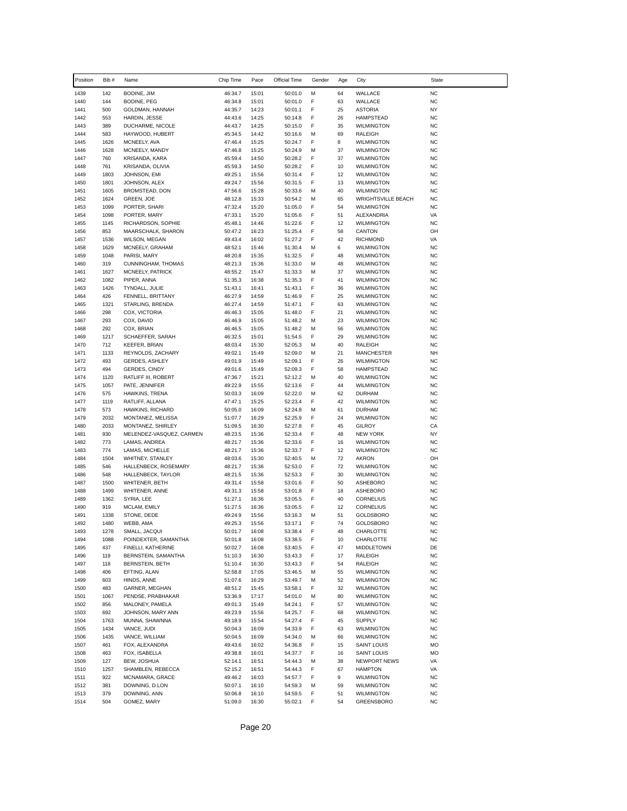| Position     | Bib #        | Name                                          | Chip Time          | Pace           | Official Time      | Gender | Age      | City                                           | <b>State</b>           |
|--------------|--------------|-----------------------------------------------|--------------------|----------------|--------------------|--------|----------|------------------------------------------------|------------------------|
| 1439         | 142          | BODINE, JIM                                   | 46:34.7            | 15:01          | 50:01.0            | М      | 64       | WALLACE                                        | <b>NC</b>              |
| 1440         | 144          | <b>BODINE, PEG</b>                            | 46:34.8            | 15:01          | 50:01.0            | F      | 63       | WALLACE                                        | <b>NC</b>              |
| 1441         | 500          | GOLDMAN, HANNAH                               | 44:35.7            | 14:23          | 50:01.1            | F      | 25       | <b>ASTORIA</b>                                 | <b>NY</b>              |
| 1442         | 553          | HARDIN, JESSE                                 | 44:43.6            | 14:25          | 50:14.8            | F      | 26       | <b>HAMPSTEAD</b>                               | <b>NC</b>              |
| 1443<br>1444 | 389<br>583   | DUCHARME, NICOLE<br>HAYWOOD, HUBERT           | 44:43.7<br>45:34.5 | 14:25<br>14:42 | 50:15.0<br>50:16.6 | F<br>M | 35<br>69 | <b>WILMINGTON</b><br><b>RALEIGH</b>            | <b>NC</b><br><b>NC</b> |
| 1445         | 1626         | MCNEELY, AVA                                  | 47:46.4            | 15:25          | 50:24.7            | F      | 8        | <b>WILMINGTON</b>                              | <b>NC</b>              |
| 1446         | 1628         | MCNEELY, MANDY                                | 47:46.8            | 15:25          | 50:24.9            | М      | 37       | <b>WILMINGTON</b>                              | <b>NC</b>              |
| 1447         | 760          | KRISANDA, KARA                                | 45:59.4            | 14:50          | 50:28.2            | F      | 37       | <b>WILMINGTON</b>                              | <b>NC</b>              |
| 1448         | 761          | KRISANDA, OLIVIA                              | 45:59.3            | 14:50          | 50:28.2            | F      | 10       | <b>WILMINGTON</b>                              | <b>NC</b>              |
| 1449         | 1803         | JOHNSON, EMI                                  | 49:25.1            | 15:56          | 50:31.4            | F      | 12       | <b>WILMINGTON</b>                              | <b>NC</b>              |
| 1450         | 1801         | JOHNSON, ALEX                                 | 49:24.7            | 15:56          | 50:31.5            | F      | 13       | <b>WILMINGTON</b>                              | <b>NC</b>              |
| 1451<br>1452 | 1605<br>1624 | BROMSTEAD, DON<br>GREEN, JOE                  | 47:56.6<br>48:12.8 | 15:28<br>15:33 | 50:33.6<br>50:54.2 | M<br>М | 40<br>65 | <b>WILMINGTON</b><br><b>WRIGHTSVILLE BEACH</b> | <b>NC</b><br><b>NC</b> |
| 1453         | 1099         | PORTER, SHARI                                 | 47:32.4            | 15:20          | 51:05.0            | F      | 54       | <b>WILMINGTON</b>                              | <b>NC</b>              |
| 1454         | 1098         | PORTER, MARY                                  | 47:33.1            | 15:20          | 51:05.6            | F      | 51       | ALEXANDRIA                                     | VA                     |
| 1455         | 1145         | RICHARDSON, SOPHIE                            | 45:48.1            | 14:46          | 51:22.6            | F      | 12       | <b>WILMINGTON</b>                              | <b>NC</b>              |
| 1456         | 853          | MAARSCHALK, SHARON                            | 50:47.2            | 16:23          | 51:25.4            | F      | 58       | CANTON                                         | OH                     |
| 1457         | 1536         | WILSON, MEGAN                                 | 49:43.4            | 16:02          | 51:27.2            | F      | 42       | <b>RICHMOND</b>                                | VA                     |
| 1458<br>1459 | 1629<br>1048 | MCNEELY, GRAHAM<br>PARISI, MARY               | 48:52.1<br>48:20.8 | 15:46<br>15:35 | 51:30.4<br>51:32.5 | м<br>F | 6<br>48  | <b>WILMINGTON</b><br><b>WILMINGTON</b>         | <b>NC</b><br><b>NC</b> |
| 1460         | 319          | CUNNINGHAM, THOMAS                            | 48:21.3            | 15:36          | 51:33.0            | М      | 48       | <b>WILMINGTON</b>                              | <b>NC</b>              |
| 1461         | 1627         | MCNEELY, PATRICK                              | 48:55.2            | 15:47          | 51:33.3            | м      | 37       | <b>WILMINGTON</b>                              | <b>NC</b>              |
| 1462         | 1082         | PIPER, ANNA                                   | 51:35.3            | 16:38          | 51:35.3            | F      | 41       | <b>WILMINGTON</b>                              | <b>NC</b>              |
| 1463         | 1426         | TYNDALL, JULIE                                | 51:43.1            | 16:41          | 51:43.1            | F      | 36       | <b>WILMINGTON</b>                              | <b>NC</b>              |
| 1464         | 426          | FENNELL, BRITTANY                             | 46:27.9            | 14:59          | 51:46.9            | F      | 25       | <b>WILMINGTON</b>                              | <b>NC</b>              |
| 1465         | 1321         | STARLING, BRENDA                              | 46:27.4            | 14:59          | 51:47.1            | F<br>F | 63       | <b>WILMINGTON</b>                              | <b>NC</b>              |
| 1466<br>1467 | 298<br>293   | COX, VICTORIA<br>COX, DAVID                   | 46:46.3<br>46:46.9 | 15:05<br>15:05 | 51:48.0<br>51:48.2 | М      | 21<br>23 | <b>WILMINGTON</b><br><b>WILMINGTON</b>         | <b>NC</b><br><b>NC</b> |
| 1468         | 292          | COX, BRIAN                                    | 46:46.5            | 15:05          | 51:48.2            | М      | 56       | <b>WILMINGTON</b>                              | <b>NC</b>              |
| 1469         | 1217         | SCHAEFFER, SARAH                              | 46:32.5            | 15:01          | 51:54.5            | F      | 29       | <b>WILMINGTON</b>                              | <b>NC</b>              |
| 1470         | 712          | KEEFER, BRIAN                                 | 48:03.4            | 15:30          | 52:05.3            | М      | 40       | RALEIGH                                        | <b>NC</b>              |
| 1471         | 1133         | REYNOLDS, ZACHARY                             | 49:02.1            | 15:49          | 52:09.0            | М      | 21       | <b>MANCHESTER</b>                              | <b>NH</b>              |
| 1472         | 493          | <b>GERDES, ASHLEY</b>                         | 49:01.9            | 15:49          | 52:09.1            | F      | 26       | <b>WILMINGTON</b>                              | <b>NC</b>              |
| 1473<br>1474 | 494<br>1120  | GERDES, CINDY<br>RATLIFF III, ROBERT          | 49:01.6<br>47:36.7 | 15:49<br>15:21 | 52:09.3<br>52:12.2 | F<br>М | 58<br>40 | <b>HAMPSTEAD</b><br><b>WILMINGTON</b>          | <b>NC</b><br><b>NC</b> |
| 1475         | 1057         | PATE, JENNIFER                                | 49:22.9            | 15:55          | 52:13.6            | F      | 44       | <b>WILMINGTON</b>                              | <b>NC</b>              |
| 1476         | 575          | HAWKINS, TRENA                                | 50:03.3            | 16:09          | 52:22.0            | M      | 62       | <b>DURHAM</b>                                  | <b>NC</b>              |
| 1477         | 1119         | RATLIFF, ALLANA                               | 47:47.1            | 15:25          | 52:23.4            | F      | 42       | <b>WILMINGTON</b>                              | <b>NC</b>              |
| 1478         | 573          | HAWKINS, RICHARD                              | 50:05.0            | 16:09          | 52:24.8            | М      | 61       | <b>DURHAM</b>                                  | <b>NC</b>              |
| 1479         | 2032         | MONTANEZ, MELISSA                             | 51:07.7            | 16:29          | 52:25.9            | F      | 24       | <b>WILMINGTON</b>                              | <b>NC</b>              |
| 1480<br>1481 | 2033<br>930  | MONTANEZ, SHIRLEY<br>MELENDEZ-VASQUEZ, CARMEN | 51:09.5<br>48:23.5 | 16:30<br>15:36 | 52:27.8<br>52:33.4 | F<br>F | 45<br>48 | <b>GILROY</b><br><b>NEW YORK</b>               | CA<br><b>NY</b>        |
| 1482         | 773          | LAMAS, ANDREA                                 | 48:21.7            | 15:36          | 52:33.6            | F      | 16       | <b>WILMINGTON</b>                              | <b>NC</b>              |
| 1483         | 774          | LAMAS, MICHELLE                               | 48:21.7            | 15:36          | 52:33.7            | F      | 12       | <b>WILMINGTON</b>                              | <b>NC</b>              |
| 1484         | 1504         | WHITNEY, STANLEY                              | 48:03.6            | 15:30          | 52:40.5            | М      | 72       | <b>AKRON</b>                                   | OH                     |
| 1485         | 546          | HALLENBECK, ROSEMARY                          | 48:21.7            | 15:36          | 52:53.0            | F      | 72       | <b>WILMINGTON</b>                              | <b>NC</b>              |
| 1486         | 548          | HALLENBECK, TAYLOR                            | 48:21.5            | 15:36          | 52:53.3            | F      | 30       | <b>WILMINGTON</b>                              | <b>NC</b>              |
| 1487         | 1500<br>1499 | WHITENER, BETH<br>WHITENER, ANNE              | 49:31.4            | 15:58          | 53:01.6            | F<br>F | 50       | ASHEBORO                                       | <b>NC</b>              |
| 1488<br>1489 | 1362         | SYRIA, LEE                                    | 49:31.3<br>51:27.1 | 15:58<br>16:36 | 53:01.8<br>53:05.5 | F      | 18<br>40 | ASHEBORO<br><b>CORNELIUS</b>                   | <b>NC</b><br><b>NC</b> |
| 1490         | 919          | MCLAM, EMILY                                  | 51:27.5            | 16:36          | 53:05.5            | F      | 12       | CORNELIUS                                      | <b>NC</b>              |
| 1491         | 1338         | STONE, DEDE                                   | 49:24.9            | 15:56          | 53:16.3            | М      | 51       | GOLDSBORO                                      | <b>NC</b>              |
| 1492         | 1480         | WEBB, AMA                                     | 49:25.3            | 15:56          | 53:17.1            | F      | 74       | GOLDSBORO                                      | <b>NC</b>              |
| 1493         | 1278         | SMALL, JACQUI                                 | 50:01.7            | 16:08          | 53:38.4            | F      | 48       | CHARLOTTE                                      | <b>NC</b>              |
| 1494         | 1088         | POINDEXTER, SAMANTHA                          | 50:01.8            | 16:08          | 53:38.5            | F      | 10       | CHARLOTTE                                      | <b>NC</b>              |
| 1495<br>1496 | 437<br>119   | FINELLI, KATHERINE<br>BERNSTEIN, SAMANTHA     | 50:02.7<br>51:10.3 | 16:08<br>16:30 | 53:40.5<br>53:43.3 | F<br>F | 47<br>17 | <b>MIDDLETOWN</b><br>RALEIGH                   | DE<br><b>NC</b>        |
| 1497         | 118          | BERNSTEIN, BETH                               | 51:10.4            | 16:30          | 53:43.3            | F      | 54       | RALEIGH                                        | <b>NC</b>              |
| 1498         | 406          | EFTING, ALAN                                  | 52:58.8            | 17:05          | 53:46.5            | М      | 55       | <b>WILMINGTON</b>                              | <b>NC</b>              |
| 1499         | 603          | HINDS, ANNE                                   | 51:07.6            | 16:29          | 53:49.7            | М      | 52       | <b>WILMINGTON</b>                              | <b>NC</b>              |
| 1500         | 483          | GARNER, MEGHAN                                | 48:51.2            | 15:45          | 53:58.1            | F      | 32       | <b>WILMINGTON</b>                              | <b>NC</b>              |
| 1501         | 1067         | PENDSE, PRABHAKAR                             | 53:36.9            | 17:17          | 54:01.0            | M      | 80       | <b>WILMINGTON</b>                              | <b>NC</b>              |
| 1502         | 856          | MALONEY, PAMELA                               | 49:01.3            | 15:49          | 54:24.1            | F      | 57       | <b>WILMINGTON</b>                              | <b>NC</b>              |
| 1503<br>1504 | 692<br>1763  | JOHNSON, MARY ANN<br>MUNNA, SHAWNNA           | 49:23.9<br>49:18.9 | 15:56<br>15:54 | 54:25.7<br>54:27.4 | F<br>F | 68<br>45 | <b>WILMINGTON</b><br><b>SUPPLY</b>             | <b>NC</b><br><b>NC</b> |
| 1505         | 1434         | VANCE, JUDI                                   | 50:04.3            | 16:09          | 54:33.9            | F      | 63       | <b>WILMINGTON</b>                              | <b>NC</b>              |
| 1506         | 1435         | VANCE, WILLIAM                                | 50:04.5            | 16:09          | 54:34.0            | М      | 66       | <b>WILMINGTON</b>                              | <b>NC</b>              |
| 1507         | 461          | FOX, ALEXANDRA                                | 49:43.6            | 16:02          | 54:36.8            | F      | 15       | SAINT LOUIS                                    | MO                     |
| 1508         | 463          | FOX, ISABELLA                                 | 49:38.8            | 16:01          | 54:37.7            | F      | 16       | <b>SAINT LOUIS</b>                             | <b>MO</b>              |
| 1509         | 127          | BEW, JOSHUA                                   | 52:14.1            | 16:51          | 54:44.3            | М      | 38       | NEWPORT NEWS                                   | VA                     |
| 1510         | 1257         | SHAMBLEN, REBECCA                             | 52:15.2            | 16:51          | 54:44.3            | F      | 67       | <b>HAMPTON</b>                                 | VA                     |
| 1511<br>1512 | 922<br>381   | MCNAMARA, GRACE<br>DOWNING, D.LON             | 49:46.2<br>50:07.1 | 16:03<br>16:10 | 54:57.7<br>54:59.3 | F<br>М | 9<br>59  | <b>WILMINGTON</b><br><b>WILMINGTON</b>         | <b>NC</b><br><b>NC</b> |
| 1513         | 379          | DOWNING, ANN                                  | 50:06.8            | 16:10          | 54:59.5            | F      | 51       | <b>WILMINGTON</b>                              | <b>NC</b>              |
| 1514         | 504          | GOMEZ, MARY                                   | 51:09.0            | 16:30          | 55:02.1            | F      | 54       | <b>GREENSBORO</b>                              | <b>NC</b>              |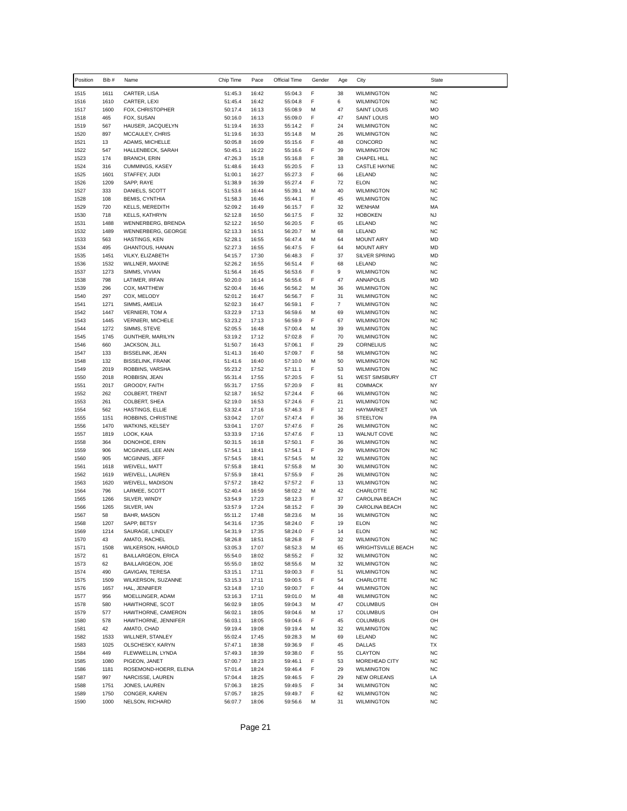| Position     | Bib #        | Name                                           | Chip Time          | Pace           | Official Time      | Gender | Age                  | City                                      | <b>State</b>           |
|--------------|--------------|------------------------------------------------|--------------------|----------------|--------------------|--------|----------------------|-------------------------------------------|------------------------|
| 1515         | 1611         | CARTER, LISA                                   | 51:45.3            | 16:42          | 55:04.3            | F      | 38                   | <b>WILMINGTON</b>                         | <b>NC</b>              |
| 1516         | 1610         | CARTER, LEXI                                   | 51:45.4            | 16:42          | 55:04.8            | F      | 6                    | <b>WILMINGTON</b>                         | <b>NC</b>              |
| 1517         | 1600         | FOX, CHRISTOPHER                               | 50:17.4            | 16:13          | 55:08.9            | M      | 47                   | <b>SAINT LOUIS</b>                        | MO                     |
| 1518<br>1519 | 465<br>567   | FOX, SUSAN<br>HAUSER, JACQUELYN                | 50:16.0<br>51:19.4 | 16:13<br>16:33 | 55:09.0<br>55:14.2 | F<br>F | 47<br>24             | <b>SAINT LOUIS</b><br><b>WILMINGTON</b>   | MO<br><b>NC</b>        |
| 1520         | 897          | MCCAULEY, CHRIS                                | 51:19.6            | 16:33          | 55:14.8            | M      | 26                   | <b>WILMINGTON</b>                         | <b>NC</b>              |
| 1521         | 13           | ADAMS, MICHELLE                                | 50:05.8            | 16:09          | 55:15.6            | F      | 48                   | CONCORD                                   | <b>NC</b>              |
| 1522         | 547          | HALLENBECK, SARAH                              | 50:45.1            | 16:22          | 55:16.6            | F      | 39                   | <b>WILMINGTON</b>                         | <b>NC</b>              |
| 1523         | 174          | <b>BRANCH, ERIN</b>                            | 47:26.3            | 15:18          | 55:16.8            | F      | 38                   | CHAPEL HILL                               | <b>NC</b>              |
| 1524         | 316          | CUMMINGS, KASEY                                | 51:48.6            | 16:43          | 55:20.5            | F      | 13                   | <b>CASTLE HAYNE</b>                       | <b>NC</b>              |
| 1525<br>1526 | 1601<br>1209 | STAFFEY, JUDI<br>SAPP, RAYE                    | 51:00.1<br>51:38.9 | 16:27<br>16:39 | 55:27.3<br>55:27.4 | F<br>F | 66<br>72             | LELAND<br><b>ELON</b>                     | <b>NC</b><br><b>NC</b> |
| 1527         | 333          | DANIELS, SCOTT                                 | 51:53.6            | 16:44          | 55:39.1            | M      | 40                   | <b>WILMINGTON</b>                         | <b>NC</b>              |
| 1528         | 108          | <b>BEMIS, CYNTHIA</b>                          | 51:58.3            | 16:46          | 55:44.1            | F      | 45                   | <b>WILMINGTON</b>                         | <b>NC</b>              |
| 1529         | 720          | <b>KELLS, MEREDITH</b>                         | 52:09.2            | 16:49          | 56:15.7            | F      | 32                   | <b>WENHAM</b>                             | MA                     |
| 1530         | 718          | KELLS, KATHRYN                                 | 52:12.8            | 16:50          | 56:17.5            | F      | 32                   | <b>HOBOKEN</b>                            | <b>NJ</b>              |
| 1531         | 1488         | WENNERBERG, BRENDA                             | 52:12.2            | 16:50          | 56:20.5            | F      | 65                   | LELAND                                    | <b>NC</b>              |
| 1532         | 1489         | WENNERBERG, GEORGE                             | 52:13.3            | 16:51          | 56:20.7            | М      | 68                   | LELAND                                    | <b>NC</b>              |
| 1533<br>1534 | 563<br>495   | HASTINGS, KEN<br>GHANTOUS, HANAN               | 52:28.1<br>52:27.3 | 16:55<br>16:55 | 56:47.4<br>56:47.5 | М<br>F | 64<br>64             | <b>MOUNT AIRY</b><br><b>MOUNT AIRY</b>    | <b>MD</b><br><b>MD</b> |
| 1535         | 1451         | VILKY, ELIZABETH                               | 54:15.7            | 17:30          | 56:48.3            | F      | 37                   | SILVER SPRING                             | <b>MD</b>              |
| 1536         | 1532         | WILLNER, MAXINE                                | 52:26.2            | 16:55          | 56:51.4            | F      | 68                   | LELAND                                    | <b>NC</b>              |
| 1537         | 1273         | SIMMS, VIVIAN                                  | 51:56.4            | 16:45          | 56:53.6            | F      | 9                    | <b>WILMINGTON</b>                         | <b>NC</b>              |
| 1538         | 798          | LATIMER, IRFAN                                 | 50:20.0            | 16:14          | 56:55.6            | F      | 47                   | <b>ANNAPOLIS</b>                          | <b>MD</b>              |
| 1539         | 296          | COX, MATTHEW                                   | 52:00.4            | 16:46          | 56:56.2            | М      | 36                   | <b>WILMINGTON</b>                         | <b>NC</b>              |
| 1540         | 297<br>1271  | COX, MELODY                                    | 52:01.2            | 16:47<br>16:47 | 56:56.7            | F<br>F | 31<br>$\overline{7}$ | <b>WILMINGTON</b><br><b>WILMINGTON</b>    | <b>NC</b><br><b>NC</b> |
| 1541<br>1542 | 1447         | SIMMS, AMELIA<br><b>VERNIERI, TOM A</b>        | 52:02.3<br>53:22.9 | 17:13          | 56:59.1<br>56:59.6 | М      | 69                   | <b>WILMINGTON</b>                         | <b>NC</b>              |
| 1543         | 1445         | <b>VERNIERI, MICHELE</b>                       | 53:23.2            | 17:13          | 56:59.9            | F      | 67                   | <b>WILMINGTON</b>                         | <b>NC</b>              |
| 1544         | 1272         | SIMMS, STEVE                                   | 52:05.5            | 16:48          | 57:00.4            | М      | 39                   | <b>WILMINGTON</b>                         | <b>NC</b>              |
| 1545         | 1745         | GUNTHER, MARILYN                               | 53:19.2            | 17:12          | 57:02.8            | F      | 70                   | <b>WILMINGTON</b>                         | <b>NC</b>              |
| 1546         | 660          | JACKSON, JILL                                  | 51:50.7            | 16:43          | 57:06.1            | F      | 29                   | CORNELIUS                                 | <b>NC</b>              |
| 1547         | 133          | <b>BISSELINK, JEAN</b>                         | 51:41.3            | 16:40          | 57:09.7            | F      | 58                   | <b>WILMINGTON</b>                         | <b>NC</b>              |
| 1548         | 132<br>2019  | <b>BISSELINK, FRANK</b>                        | 51:41.6            | 16:40<br>17:52 | 57:10.0            | М<br>F | 50<br>53             | <b>WILMINGTON</b>                         | <b>NC</b><br><b>NC</b> |
| 1549<br>1550 | 2018         | ROBBINS, VARSHA<br>ROBBISN, JEAN               | 55:23.2<br>55:31.4 | 17:55          | 57:11.1<br>57:20.5 | F      | 51                   | <b>WILMINGTON</b><br><b>WEST SIMSBURY</b> | CT                     |
| 1551         | 2017         | GROODY, FAITH                                  | 55:31.7            | 17:55          | 57:20.9            | F      | 81                   | <b>COMMACK</b>                            | NY                     |
| 1552         | 262          | COLBERT, TRENT                                 | 52:18.7            | 16:52          | 57:24.4            | F      | 66                   | <b>WILMINGTON</b>                         | <b>NC</b>              |
| 1553         | 261          | COLBERT, SHEA                                  | 52:19.0            | 16:53          | 57:24.6            | F      | 21                   | <b>WILMINGTON</b>                         | <b>NC</b>              |
| 1554         | 562          | HASTINGS, ELLIE                                | 53:32.4            | 17:16          | 57:46.3            | F      | 12                   | HAYMARKET                                 | VA                     |
| 1555         | 1151         | ROBBINS, CHRISTINE                             | 53:04.2            | 17:07          | 57:47.4            | F      | 36                   | <b>STEELTON</b>                           | PA                     |
| 1556<br>1557 | 1470<br>1819 | WATKINS, KELSEY<br>LOOK, KAIA                  | 53:04.1<br>53:33.9 | 17:07<br>17:16 | 57:47.6<br>57:47.6 | F<br>F | 26<br>13             | <b>WILMINGTON</b><br><b>WALNUT COVE</b>   | <b>NC</b><br><b>NC</b> |
| 1558         | 364          | DONOHOE, ERIN                                  | 50:31.5            | 16:18          | 57:50.1            | F      | 36                   | <b>WILMINGTON</b>                         | <b>NC</b>              |
| 1559         | 906          | MCGINNIS, LEE ANN                              | 57:54.1            | 18:41          | 57:54.1            | F      | 29                   | <b>WILMINGTON</b>                         | <b>NC</b>              |
| 1560         | 905          | MCGINNIS, JEFF                                 | 57:54.5            | 18:41          | 57:54.5            | М      | 32                   | <b>WILMINGTON</b>                         | <b>NC</b>              |
| 1561         | 1618         | WEIVELL, MATT                                  | 57:55.8            | 18:41          | 57:55.8            | М      | 30                   | <b>WILMINGTON</b>                         | <b>NC</b>              |
| 1562         | 1619         | WEIVELL, LAUREN                                | 57:55.9            | 18:41          | 57:55.9            | F      | 26                   | <b>WILMINGTON</b>                         | <b>NC</b>              |
| 1563         | 1620<br>796  | WEIVELL, MADISON<br>LARMEE, SCOTT              | 57:57.2            | 18:42          | 57:57.2            | F<br>М | 13                   | <b>WILMINGTON</b>                         | <b>NC</b><br><b>NC</b> |
| 1564<br>1565 | 1266         | SILVER, WINDY                                  | 52:40.4<br>53:54.9 | 16:59<br>17:23 | 58:02.2<br>58:12.3 | F      | 42<br>37             | CHARLOTTE<br>CAROLINA BEACH               | <b>NC</b>              |
| 1566         | 1265         | SILVER, IAN                                    | 53:57.9            | 17:24          | 58:15.2            | F      | 39                   | CAROLINA BEACH                            | <b>NC</b>              |
| 1567         | 58           | BAHR, MASON                                    | 55:11.2            | 17:48          | 58:23.6            | М      | 16                   | <b>WILMINGTON</b>                         | <b>NC</b>              |
| 1568         | 1207         | SAPP, BETSY                                    | 54:31.6            | 17:35          | 58:24.0            | F      | 19                   | <b>ELON</b>                               | <b>NC</b>              |
| 1569         | 1214         | SAURAGE, LINDLEY                               | 54:31.9            | 17:35          | 58:24.0            | F      | 14                   | <b>ELON</b>                               | NC                     |
| 1570         | 43           | AMATO, RACHEL                                  | 58:26.8            | 18:51          | 58:26.8            | F      | 32                   | <b>WILMINGTON</b>                         | <b>NC</b>              |
| 1571<br>1572 | 1508<br>61   | WILKERSON, HAROLD<br><b>BAILLARGEON, ERICA</b> | 53:05.3<br>55:54.0 | 17:07<br>18:02 | 58:52.3            | М<br>F | 65<br>32             | WRIGHTSVILLE BEACH<br><b>WILMINGTON</b>   | <b>NC</b><br><b>NC</b> |
| 1573         | 62           | BAILLARGEON, JOE                               | 55:55.0            | 18:02          | 58:55.2<br>58:55.6 | М      | 32                   | <b>WILMINGTON</b>                         | <b>NC</b>              |
| 1574         | 490          | GAVIGAN, TERESA                                | 53:15.1            | 17:11          | 59:00.3            | F      | 51                   | <b>WILMINGTON</b>                         | <b>NC</b>              |
| 1575         | 1509         | WILKERSON, SUZANNE                             | 53:15.3            | 17:11          | 59:00.5            | F      | 54                   | CHARLOTTE                                 | <b>NC</b>              |
| 1576         | 1657         | HAL, JENNIFER                                  | 53:14.8            | 17:10          | 59:00.7            | F      | 44                   | <b>WILMINGTON</b>                         | <b>NC</b>              |
| 1577         | 956          | MOELLINGER, ADAM                               | 53:16.3            | 17:11          | 59:01.0            | М      | 48                   | <b>WILMINGTON</b>                         | <b>NC</b>              |
| 1578         | 580          | HAWTHORNE, SCOT                                | 56:02.9            | 18:05          | 59:04.3            | М      | 47                   | <b>COLUMBUS</b>                           | OH                     |
| 1579<br>1580 | 577<br>578   | HAWTHORNE, CAMERON<br>HAWTHORNE, JENNIFER      | 56:02.1<br>56:03.1 | 18:05<br>18:05 | 59:04.6<br>59:04.6 | М<br>F | 17<br>45             | <b>COLUMBUS</b><br>COLUMBUS               | OH<br>OH               |
| 1581         | 42           | AMATO, CHAD                                    | 59:19.4            | 19:08          | 59:19.4            | М      | 32                   | <b>WILMINGTON</b>                         | <b>NC</b>              |
| 1582         | 1533         | WILLNER, STANLEY                               | 55:02.4            | 17:45          | 59:28.3            | М      | 69                   | LELAND                                    | <b>NC</b>              |
| 1583         | 1025         | OLSCHESKY, KARYN                               | 57:47.1            | 18:38          | 59:36.9            | F      | 45                   | DALLAS                                    | TX                     |
| 1584         | 449          | FLEWWELLIN, LYNDA                              | 57:49.3            | 18:39          | 59:38.0            | F      | 55                   | CLAYTON                                   | <b>NC</b>              |
| 1585         | 1080         | PIGEON, JANET                                  | 57:00.7            | 18:23          | 59:46.1            | F      | 53                   | MOREHEAD CITY                             | <b>NC</b>              |
| 1586         | 1181         | ROSEMOND-HOERR, ELENA                          | 57:01.4            | 18:24          | 59:46.4            | F      | 29                   | <b>WILMINGTON</b>                         | <b>NC</b>              |
| 1587<br>1588 | 997<br>1751  | NARCISSE, LAUREN<br>JONES, LAUREN              | 57:04.4<br>57:06.3 | 18:25<br>18:25 | 59:46.5<br>59:49.5 | F<br>F | 29<br>34             | <b>NEW ORLEANS</b><br><b>WILMINGTON</b>   | LA<br><b>NC</b>        |
| 1589         | 1750         | CONGER, KAREN                                  | 57:05.7            | 18:25          | 59:49.7            | F      | 62                   | <b>WILMINGTON</b>                         | <b>NC</b>              |
| 1590         | 1000         | NELSON, RICHARD                                | 56:07.7            | 18:06          | 59:56.6            | М      | 31                   | <b>WILMINGTON</b>                         | <b>NC</b>              |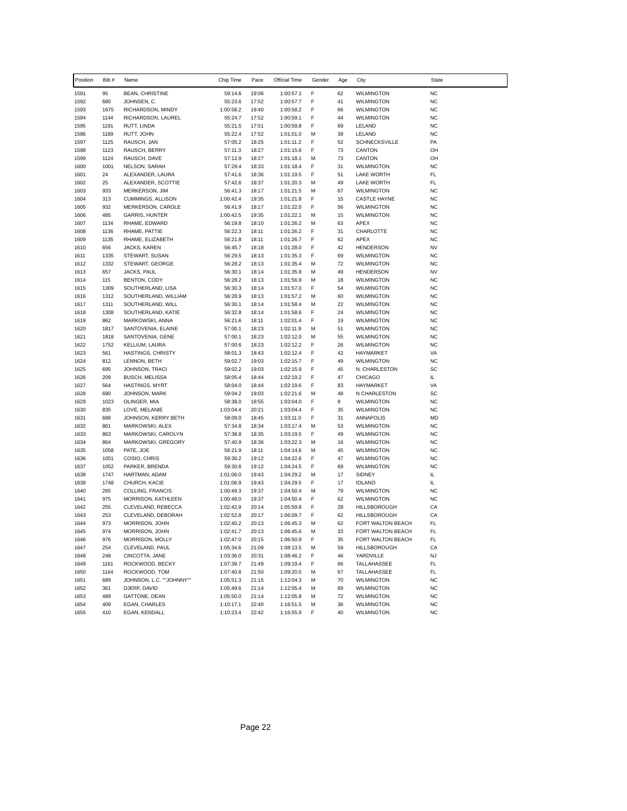| Position     | Bib #        | Name                                | Chip Time              | Pace           | Official Time          | Gender | Age      | City                                   | State                  |
|--------------|--------------|-------------------------------------|------------------------|----------------|------------------------|--------|----------|----------------------------------------|------------------------|
| 1591         | 95           | <b>BEAN, CHRISTINE</b>              | 59:14.6                | 19:06          | 1:00:57.1              | F      | 62       | <b>WILMINGTON</b>                      | <b>NC</b>              |
| 1592         | 680          | JOHNSEN, C.                         | 55:23.6                | 17:52          | 1:00:57.7              | F      | 41       | <b>WILMINGTON</b>                      | <b>NC</b>              |
| 1593         | 1675         | RICHARDSON, MINDY                   | 1:00:58.2              | 19:40          | 1:00:58.2              | F      | 66       | <b>WILMINGTON</b>                      | <b>NC</b>              |
| 1594         | 1144         | RICHARDSON, LAUREL                  | 55:24.7                | 17:52          | 1:00:59.1              | F      | 44       | <b>WILMINGTON</b>                      | <b>NC</b>              |
| 1595         | 1191         | RUTT, LINDA                         | 55:21.5                | 17:51          | 1:00:59.8              | F      | 69       | LELAND                                 | <b>NC</b>              |
| 1596         | 1189<br>1125 | RUTT, JOHN                          | 55:22.4                | 17:52          | 1:01:01.0              | M<br>F | 39       | LELAND<br>SCHNECKSVILLE                | <b>NC</b><br>PA        |
| 1597<br>1598 | 1123         | RAUSCH, JAN<br>RAUSCH, BERRY        | 57:05.2<br>57:11.3     | 18:25<br>18:27 | 1:01:11.2<br>1:01:15.6 | F      | 52<br>73 | CANTON                                 | OH                     |
| 1599         | 1124         | RAUSCH, DAVE                        | 57:12.9                | 18:27          | 1:01:18.1              | М      | 73       | CANTON                                 | OH                     |
| 1600         | 1001         | NELSON, SARAH                       | 57:29.4                | 18:33          | 1:01:18.4              | F      | 31       | <b>WILMINGTON</b>                      | <b>NC</b>              |
| 1601         | 24           | ALEXANDER, LAURA                    | 57:41.6                | 18:36          | 1:01:19.5              | F      | 51       | <b>LAKE WORTH</b>                      | FL.                    |
| 1602         | 25           | ALEXANDER, SCOTTIE                  | 57:42.6                | 18:37          | 1:01:20.3              | М      | 49       | <b>LAKE WORTH</b>                      | FL                     |
| 1603         | 933          | MERKERSON, JIM                      | 56:41.3                | 18:17          | 1:01:21.5              | М      | 67       | <b>WILMINGTON</b>                      | <b>NC</b>              |
| 1604         | 313          | CUMMINGS, ALLISON                   | 1:00:42.4              | 19:35          | 1:01:21.8              | F      | 15       | <b>CASTLE HAYNE</b>                    | <b>NC</b>              |
| 1605         | 932          | MERKERSON, CAROLE                   | 56:41.9                | 18:17          | 1:01:22.0              | F      | 56       | <b>WILMINGTON</b>                      | <b>NC</b>              |
| 1606         | 485          | <b>GARRIS, HUNTER</b>               | 1:00:42.5              | 19:35          | 1:01:22.1              | М      | 15       | <b>WILMINGTON</b>                      | <b>NC</b>              |
| 1607         | 1134         | RHAME, EDWARD                       | 56:19.8                | 18:10          | 1:01:26.2              | М      | 63       | APEX                                   | <b>NC</b>              |
| 1608         | 1136         | RHAME, PATTIE                       | 56:22.3                | 18:11          | 1:01:26.2              | F<br>F | 31       | CHARLOTTE                              | <b>NC</b>              |
| 1609<br>1610 | 1135<br>656  | RHAME, ELIZABETH                    | 56:21.8<br>56:45.7     | 18:11<br>18:18 | 1:01:26.7<br>1:01:28.0 | F      | 62<br>42 | APEX<br><b>HENDERSON</b>               | <b>NC</b><br><b>NV</b> |
| 1611         | 1335         | JACKS, KAREN<br>STEWART, SUSAN      | 56:29.5                | 18:13          | 1:01:35.3              | F      | 69       | <b>WILMINGTON</b>                      | <b>NC</b>              |
| 1612         | 1332         | STEWART, GEORGE                     | 56:28.2                | 18:13          | 1:01:35.4              | М      | 72       | <b>WILMINGTON</b>                      | <b>NC</b>              |
| 1613         | 657          | JACKS, PAUL                         | 56:30.1                | 18:14          | 1:01:35.9              | М      | 49       | <b>HENDERSON</b>                       | <b>NV</b>              |
| 1614         | 115          | <b>BENTON, CODY</b>                 | 56:28.2                | 18:13          | 1:01:56.9              | М      | 18       | <b>WILMINGTON</b>                      | <b>NC</b>              |
| 1615         | 1309         | SOUTHERLAND, LISA                   | 56:30.3                | 18:14          | 1:01:57.0              | F      | 54       | <b>WILMINGTON</b>                      | <b>NC</b>              |
| 1616         | 1312         | SOUTHERLAND, WILLIAM                | 56:28.9                | 18:13          | 1:01:57.2              | М      | 60       | <b>WILMINGTON</b>                      | <b>NC</b>              |
| 1617         | 1311         | SOUTHERLAND, WILL                   | 56:30.1                | 18:14          | 1:01:58.4              | М      | 22       | <b>WILMINGTON</b>                      | <b>NC</b>              |
| 1618         | 1308         | SOUTHERLAND, KATIE                  | 56:32.8                | 18:14          | 1:01:58.6              | F      | 24       | <b>WILMINGTON</b>                      | <b>NC</b>              |
| 1619         | 862          | MARKOWSKI, ANNA                     | 56:21.6                | 18:11          | 1:02:01.4              | F      | 19       | <b>WILMINGTON</b>                      | <b>NC</b>              |
| 1620         | 1817         | SANTOVENIA, ELAINE                  | 57:00.1                | 18:23          | 1:02:11.9              | М      | 51       | <b>WILMINGTON</b>                      | <b>NC</b>              |
| 1621<br>1622 | 1818<br>1752 | SANTOVENIA, GENE                    | 57:00.1                | 18:23          | 1:02:12.0<br>1:02:12.2 | М<br>F | 55       | <b>WILMINGTON</b>                      | <b>NC</b><br><b>NC</b> |
| 1623         | 561          | KELLIUM, LAURA<br>HASTINGS, CHRISTY | 57:00.6<br>58:01.3     | 18:23<br>18:43 | 1:02:12.4              | F      | 26<br>42 | <b>WILMINGTON</b><br><b>HAYMARKET</b>  | VA                     |
| 1624         | 812          | LENNON, BETH                        | 59:02.7                | 19:03          | 1:02:15.7              | F      | 49       | <b>WILMINGTON</b>                      | <b>NC</b>              |
| 1625         | 695          | JOHNSON, TRACI                      | 59:02.2                | 19:03          | 1:02:15.9              | F      | 45       | N. CHARLESTON                          | SC                     |
| 1626         | 209          | <b>BUSCH, MELISSA</b>               | 58:05.4                | 18:44          | 1:02:19.2              | F      | 47       | <b>CHICAGO</b>                         | IL.                    |
| 1627         | 564          | HASTINGS, MYRT                      | 58:04.0                | 18:44          | 1:02:19.6              | F      | 83       | HAYMARKET                              | VA                     |
| 1628         | 690          | JOHNSON, MARK                       | 59:04.2                | 19:03          | 1:02:21.6              | М      | 48       | N CHARLESTON                           | SC                     |
| 1629         | 1023         | OLINGER, MIA                        | 58:38.0                | 18:55          | 1:03:04.0              | F      | 8        | <b>WILMINGTON</b>                      | <b>NC</b>              |
| 1630         | 835          | LOVE, MELANIE                       | 1:03:04.4              | 20:21          | 1:03:04.4              | F      | 35       | <b>WILMINGTON</b>                      | <b>NC</b>              |
| 1631         | 688          | JOHNSON, KERRY BETH                 | 58:09.0                | 18:45          | 1:03:11.0              | F      | 31       | ANNAPOLIS                              | <b>MD</b>              |
| 1632         | 861          | MARKOWSKI, ALEX                     | 57:34.8                | 18:34          | 1:03:17.4              | М      | 53       | <b>WILMINGTON</b>                      | <b>NC</b>              |
| 1633         | 863<br>864   | MARKOWSKI, CAROLYN                  | 57:38.8                | 18:35          | 1:03:19.5              | F<br>М | 49       | <b>WILMINGTON</b>                      | <b>NC</b><br><b>NC</b> |
| 1634<br>1635 | 1058         | MARKOWSKI, GREGORY<br>PATE, JOE     | 57:40.9<br>56:21.9     | 18:36<br>18:11 | 1:03:22.3<br>1:04:14.6 | М      | 16<br>45 | <b>WILMINGTON</b><br><b>WILMINGTON</b> | <b>NC</b>              |
| 1636         | 1051         | COSIO, CHRIS                        | 59:30.2                | 19:12          | 1:04:22.6              | F      | 47       | <b>WILMINGTON</b>                      | <b>NC</b>              |
| 1637         | 1052         | PARKER, BRENDA                      | 59:30.6                | 19:12          | 1:04:24.5              | F      | 69       | <b>WILMINGTON</b>                      | <b>NC</b>              |
| 1638         | 1747         | HARTMAN, ADAM                       | 1:01:06.0              | 19:43          | 1:04:29.2              | М      | 17       | SIDNEY                                 | IL                     |
| 1639         | 1748         | CHURCH, KACIE                       | 1:01:06.9              | 19:43          | 1:04:29.5              | F      | 17       | <b>IOLANO</b>                          | IL.                    |
| 1640         | 265          | COLLING, FRANCIS                    | 1:00:49.3              | 19:37          | 1:04:50.4              | М      | 79       | <b>WILMINGTON</b>                      | <b>NC</b>              |
| 1641         | 975          | MORRISON, KATHLEEN                  | 1:00:48.0              | 19:37          | 1:04:50.4              | F      | 62       | <b>WILMINGTON</b>                      | <b>NC</b>              |
| 1642         | 255          | CLEVELAND, REBECCA                  | 1:02:42.9              | 20:14          | 1:05:59.8              | F      | 28       | HILLSBOROUGH                           | CA                     |
| 1643         | 253          | CLEVELAND, DEBORAH                  | 1:02:52.8              | 20:17          | 1:06:09.7              | F      | 62       | HILLSBOROUGH                           | СA                     |
| 1644         | 973          | MORRISON, JOHN                      | 1:02:40.2              | 20:13          | 1:06:45.3              | М      | 62       | FORT WALTON BEACH                      | FL                     |
| 1645         | 974          | MORRISON, JOHN                      | 1:02:41.7              | 20:13          | 1:06:45.6              | м<br>F | 33       | FORT WALTON BEACH                      | FL.<br>FL              |
| 1646<br>1647 | 976<br>254   | MORRISON, MOLLY<br>CLEVELAND, PAUL  | 1:02:47.0<br>1:05:34.6 | 20:15<br>21:09 | 1:06:50.9<br>1:08:13.5 | М      | 35<br>59 | FORT WALTON BEACH<br>HILLSBOROUGH      | CA                     |
| 1648         | 248          | CINCOTTA, JANE                      | 1:03:36.0              | 20:31          | 1:08:46.2              | F      | 46       | YARDVILLE                              | NJ                     |
| 1649         | 1161         | ROCKWOOD, BECKY                     | 1:07:39.7              | 21:49          | 1:09:19.4              | F      | 66       | TALLAHASSEE                            | FL                     |
| 1650         | 1164         | ROCKWOOD, TOM                       | 1:07:40.8              | 21:50          | 1:09:20.5              | М      | 67       | TALLAHASSEE                            | FL                     |
| 1651         | 689          | JOHNSON, L.C. ""JOHNNY""            | 1:05:51.3              | 21:15          | 1:12:04.3              | М      | 70       | <b>WILMINGTON</b>                      | <b>NC</b>              |
| 1652         | 361          | DJERF, DAVID                        | 1:05:49.6              | 21:14          | 1:12:05.4              | м      | 69       | <b>WILMINGTON</b>                      | <b>NC</b>              |
| 1653         | 489          | GATTONE, DEAN                       | 1:05:50.0              | 21:14          | 1:12:05.8              | М      | 72       | <b>WILMINGTON</b>                      | <b>NC</b>              |
| 1654         | 409          | EGAN, CHARLES                       | 1:10:17.1              | 22:40          | 1:16:51.5              | М      | 36       | <b>WILMINGTON</b>                      | <b>NC</b>              |
| 1655         | 410          | EGAN, KENDALL                       | 1:10:23.4              | 22:42          | 1:16:55.9              | F      | 40       | <b>WILMINGTON</b>                      | <b>NC</b>              |